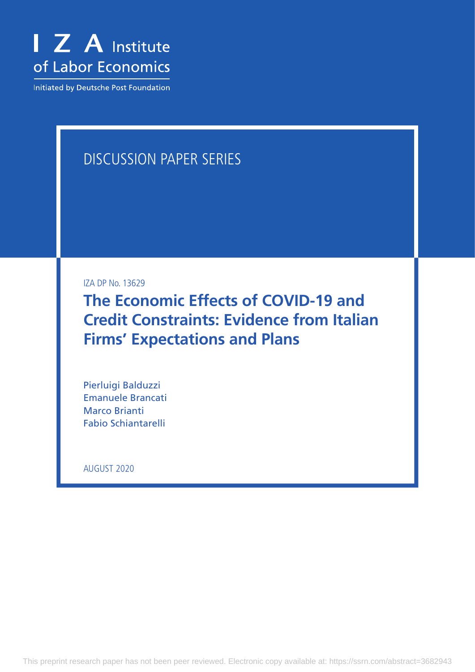

Initiated by Deutsche Post Foundation

# DISCUSSION PAPER SERIES

IZA DP No. 13629

**The Economic Effects of COVID-19 and Credit Constraints: Evidence from Italian Firms' Expectations and Plans**

Pierluigi Balduzzi Emanuele Brancati Marco Brianti Fabio Schiantarelli

AUGUST 2020

This preprint research paper has not been peer reviewed. Electronic copy available at: https://ssrn.com/abstract=3682943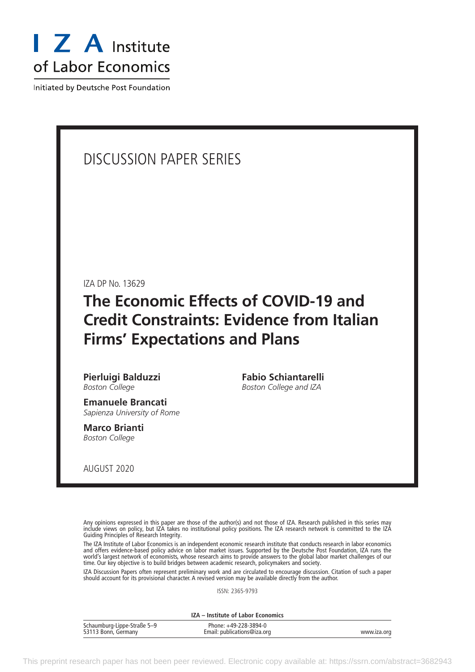

Initiated by Deutsche Post Foundation

## DISCUSSION PAPER SERIES

IZA DP No. 13629

## **The Economic Effects of COVID-19 and Credit Constraints: Evidence from Italian Firms' Expectations and Plans**

**Pierluigi Balduzzi** *Boston College*

**Emanuele Brancati** *Sapienza University of Rome*

**Marco Brianti** *Boston College*

**Fabio Schiantarelli** *Boston College and IZA*

AUGUST 2020

Any opinions expressed in this paper are those of the author(s) and not those of IZA. Research published in this series may include views on policy, but IZA takes no institutional policy positions. The IZA research network is committed to the IZA Guiding Principles of Research Integrity.

The IZA Institute of Labor Economics is an independent economic research institute that conducts research in labor economics and offers evidence-based policy advice on labor market issues. Supported by the Deutsche Post Foundation, IZA runs the world's largest network of economists, whose research aims to provide answers to the global labor market challenges of our time. Our key objective is to build bridges between academic research, policymakers and society.

IZA Discussion Papers often represent preliminary work and are circulated to encourage discussion. Citation of such a paper should account for its provisional character. A revised version may be available directly from the author.

ISSN: 2365-9793

**IZA – Institute of Labor Economics**

| Schaumburg-Lippe-Straße 5–9 | Phone: +49-228-3894-0       |             |
|-----------------------------|-----------------------------|-------------|
| 53113 Bonn, Germany         | Email: publications@iza.org | www.iza.org |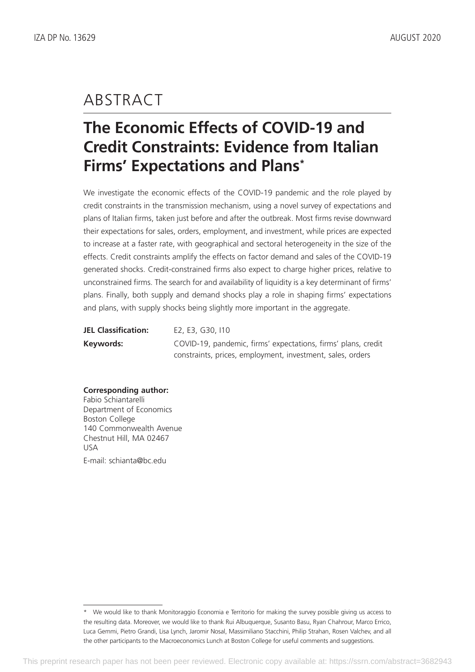## ABSTRACT

# **The Economic Effects of COVID-19 and Credit Constraints: Evidence from Italian Firms' Expectations and Plans\***

We investigate the economic effects of the COVID-19 pandemic and the role played by credit constraints in the transmission mechanism, using a novel survey of expectations and plans of Italian firms, taken just before and after the outbreak. Most firms revise downward their expectations for sales, orders, employment, and investment, while prices are expected to increase at a faster rate, with geographical and sectoral heterogeneity in the size of the effects. Credit constraints amplify the effects on factor demand and sales of the COVID-19 generated shocks. Credit-constrained firms also expect to charge higher prices, relative to unconstrained firms. The search for and availability of liquidity is a key determinant of firms' plans. Finally, both supply and demand shocks play a role in shaping firms' expectations and plans, with supply shocks being slightly more important in the aggregate.

| <b>JEL Classification:</b> | E2, E3, G30, I10                                              |
|----------------------------|---------------------------------------------------------------|
| Keywords:                  | COVID-19, pandemic, firms' expectations, firms' plans, credit |
|                            | constraints, prices, employment, investment, sales, orders    |

#### **Corresponding author:**

Fabio Schiantarelli Department of Economics Boston College 140 Commonwealth Avenue Chestnut Hill, MA 02467 USA E-mail: schianta@bc.edu

<sup>\*</sup> We would like to thank Monitoraggio Economia e Territorio for making the survey possible giving us access to the resulting data. Moreover, we would like to thank Rui Albuquerque, Susanto Basu, Ryan Chahrour, Marco Errico, Luca Gemmi, Pietro Grandi, Lisa Lynch, Jaromir Nosal, Massimiliano Stacchini, Philip Strahan, Rosen Valchev, and all the other participants to the Macroeconomics Lunch at Boston College for useful comments and suggestions.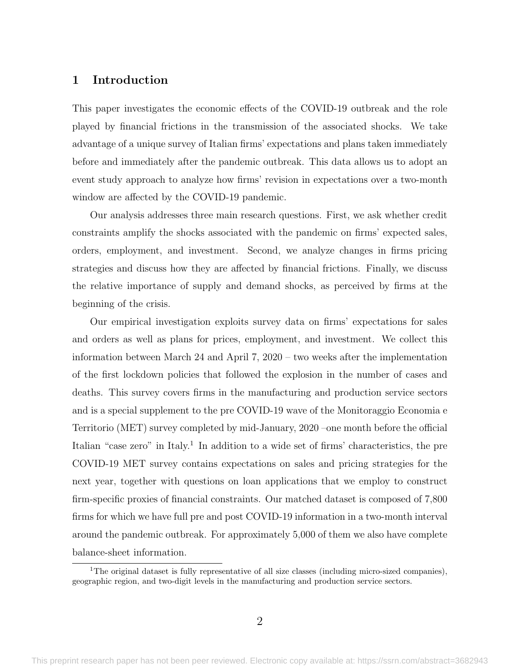#### 1 Introduction

This paper investigates the economic effects of the COVID-19 outbreak and the role played by financial frictions in the transmission of the associated shocks. We take advantage of a unique survey of Italian firms' expectations and plans taken immediately before and immediately after the pandemic outbreak. This data allows us to adopt an event study approach to analyze how firms' revision in expectations over a two-month window are affected by the COVID-19 pandemic.

Our analysis addresses three main research questions. First, we ask whether credit constraints amplify the shocks associated with the pandemic on firms' expected sales, orders, employment, and investment. Second, we analyze changes in firms pricing strategies and discuss how they are affected by financial frictions. Finally, we discuss the relative importance of supply and demand shocks, as perceived by firms at the beginning of the crisis.

Our empirical investigation exploits survey data on firms' expectations for sales and orders as well as plans for prices, employment, and investment. We collect this information between March 24 and April 7, 2020 – two weeks after the implementation of the first lockdown policies that followed the explosion in the number of cases and deaths. This survey covers firms in the manufacturing and production service sectors and is a special supplement to the pre COVID-19 wave of the Monitoraggio Economia e Territorio (MET) survey completed by mid-January, 2020 –one month before the official Italian "case zero" in Italy.<sup>1</sup> In addition to a wide set of firms' characteristics, the pre COVID-19 MET survey contains expectations on sales and pricing strategies for the next year, together with questions on loan applications that we employ to construct firm-specific proxies of financial constraints. Our matched dataset is composed of 7,800 firms for which we have full pre and post COVID-19 information in a two-month interval around the pandemic outbreak. For approximately 5,000 of them we also have complete balance-sheet information.

<sup>&</sup>lt;sup>1</sup>The original dataset is fully representative of all size classes (including micro-sized companies), geographic region, and two-digit levels in the manufacturing and production service sectors.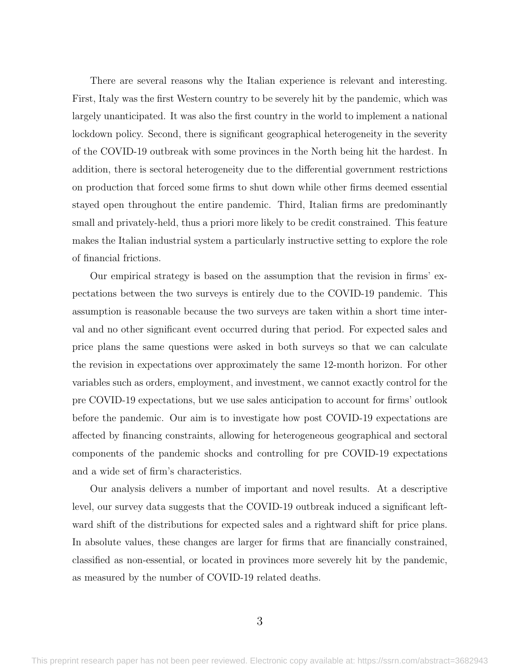There are several reasons why the Italian experience is relevant and interesting. First, Italy was the first Western country to be severely hit by the pandemic, which was largely unanticipated. It was also the first country in the world to implement a national lockdown policy. Second, there is significant geographical heterogeneity in the severity of the COVID-19 outbreak with some provinces in the North being hit the hardest. In addition, there is sectoral heterogeneity due to the differential government restrictions on production that forced some firms to shut down while other firms deemed essential stayed open throughout the entire pandemic. Third, Italian firms are predominantly small and privately-held, thus a priori more likely to be credit constrained. This feature makes the Italian industrial system a particularly instructive setting to explore the role of financial frictions.

Our empirical strategy is based on the assumption that the revision in firms' expectations between the two surveys is entirely due to the COVID-19 pandemic. This assumption is reasonable because the two surveys are taken within a short time interval and no other significant event occurred during that period. For expected sales and price plans the same questions were asked in both surveys so that we can calculate the revision in expectations over approximately the same 12-month horizon. For other variables such as orders, employment, and investment, we cannot exactly control for the pre COVID-19 expectations, but we use sales anticipation to account for firms' outlook before the pandemic. Our aim is to investigate how post COVID-19 expectations are affected by financing constraints, allowing for heterogeneous geographical and sectoral components of the pandemic shocks and controlling for pre COVID-19 expectations and a wide set of firm's characteristics.

Our analysis delivers a number of important and novel results. At a descriptive level, our survey data suggests that the COVID-19 outbreak induced a significant leftward shift of the distributions for expected sales and a rightward shift for price plans. In absolute values, these changes are larger for firms that are financially constrained, classified as non-essential, or located in provinces more severely hit by the pandemic, as measured by the number of COVID-19 related deaths.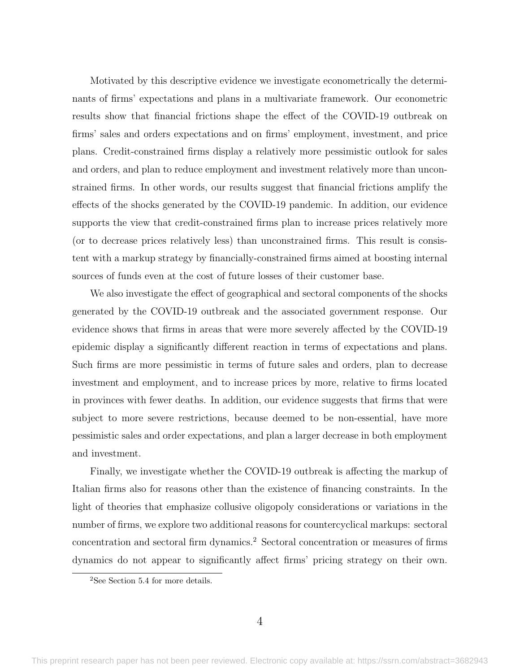Motivated by this descriptive evidence we investigate econometrically the determinants of firms' expectations and plans in a multivariate framework. Our econometric results show that financial frictions shape the effect of the COVID-19 outbreak on firms' sales and orders expectations and on firms' employment, investment, and price plans. Credit-constrained firms display a relatively more pessimistic outlook for sales and orders, and plan to reduce employment and investment relatively more than unconstrained firms. In other words, our results suggest that financial frictions amplify the effects of the shocks generated by the COVID-19 pandemic. In addition, our evidence supports the view that credit-constrained firms plan to increase prices relatively more (or to decrease prices relatively less) than unconstrained firms. This result is consistent with a markup strategy by financially-constrained firms aimed at boosting internal sources of funds even at the cost of future losses of their customer base.

We also investigate the effect of geographical and sectoral components of the shocks generated by the COVID-19 outbreak and the associated government response. Our evidence shows that firms in areas that were more severely affected by the COVID-19 epidemic display a significantly different reaction in terms of expectations and plans. Such firms are more pessimistic in terms of future sales and orders, plan to decrease investment and employment, and to increase prices by more, relative to firms located in provinces with fewer deaths. In addition, our evidence suggests that firms that were subject to more severe restrictions, because deemed to be non-essential, have more pessimistic sales and order expectations, and plan a larger decrease in both employment and investment.

Finally, we investigate whether the COVID-19 outbreak is affecting the markup of Italian firms also for reasons other than the existence of financing constraints. In the light of theories that emphasize collusive oligopoly considerations or variations in the number of firms, we explore two additional reasons for countercyclical markups: sectoral concentration and sectoral firm dynamics.<sup>2</sup> Sectoral concentration or measures of firms dynamics do not appear to significantly affect firms' pricing strategy on their own.

<sup>2</sup>See Section [5.4](#page-31-0) for more details.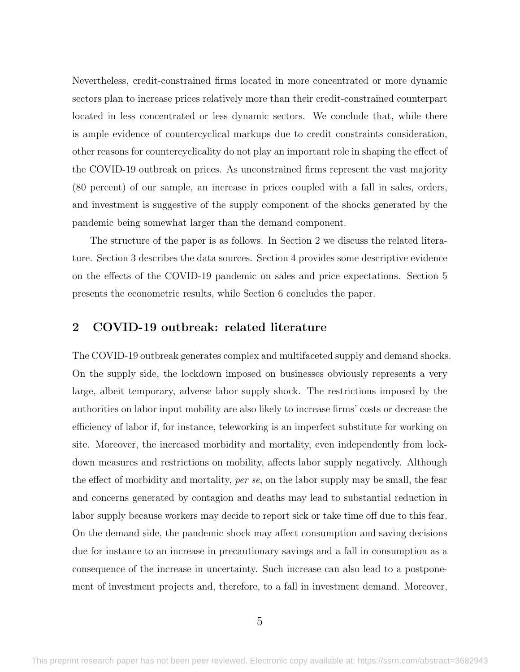Nevertheless, credit-constrained firms located in more concentrated or more dynamic sectors plan to increase prices relatively more than their credit-constrained counterpart located in less concentrated or less dynamic sectors. We conclude that, while there is ample evidence of countercyclical markups due to credit constraints consideration, other reasons for countercyclicality do not play an important role in shaping the effect of the COVID-19 outbreak on prices. As unconstrained firms represent the vast majority (80 percent) of our sample, an increase in prices coupled with a fall in sales, orders, and investment is suggestive of the supply component of the shocks generated by the pandemic being somewhat larger than the demand component.

The structure of the paper is as follows. In Section [2](#page-6-0) we discuss the related literature. Section [3](#page-10-0) describes the data sources. Section [4](#page-15-0) provides some descriptive evidence on the effects of the COVID-19 pandemic on sales and price expectations. Section [5](#page-20-0) presents the econometric results, while Section [6](#page-33-0) concludes the paper.

### <span id="page-6-0"></span>2 COVID-19 outbreak: related literature

The COVID-19 outbreak generates complex and multifaceted supply and demand shocks. On the supply side, the lockdown imposed on businesses obviously represents a very large, albeit temporary, adverse labor supply shock. The restrictions imposed by the authorities on labor input mobility are also likely to increase firms' costs or decrease the efficiency of labor if, for instance, teleworking is an imperfect substitute for working on site. Moreover, the increased morbidity and mortality, even independently from lockdown measures and restrictions on mobility, affects labor supply negatively. Although the effect of morbidity and mortality, per se, on the labor supply may be small, the fear and concerns generated by contagion and deaths may lead to substantial reduction in labor supply because workers may decide to report sick or take time off due to this fear. On the demand side, the pandemic shock may affect consumption and saving decisions due for instance to an increase in precautionary savings and a fall in consumption as a consequence of the increase in uncertainty. Such increase can also lead to a postponement of investment projects and, therefore, to a fall in investment demand. Moreover,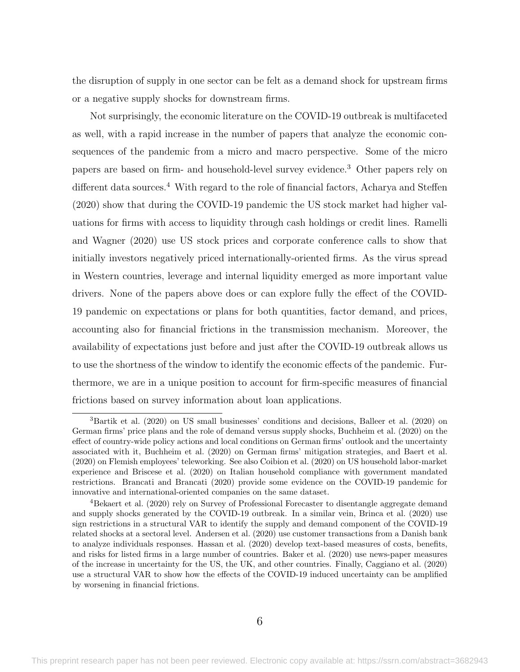the disruption of supply in one sector can be felt as a demand shock for upstream firms or a negative supply shocks for downstream firms.

Not surprisingly, the economic literature on the COVID-19 outbreak is multifaceted as well, with a rapid increase in the number of papers that analyze the economic consequences of the pandemic from a micro and macro perspective. Some of the micro papers are based on firm- and household-level survey evidence.<sup>3</sup> Other papers rely on different data sources.<sup>4</sup> With regard to the role of financial factors, [Acharya and Steffen](#page-35-0) [\(2020\)](#page-35-0) show that during the COVID-19 pandemic the US stock market had higher valuations for firms with access to liquidity through cash holdings or credit lines. [Ramelli](#page-39-0) [and Wagner](#page-39-0) [\(2020\)](#page-39-0) use US stock prices and corporate conference calls to show that initially investors negatively priced internationally-oriented firms. As the virus spread in Western countries, leverage and internal liquidity emerged as more important value drivers. None of the papers above does or can explore fully the effect of the COVID-19 pandemic on expectations or plans for both quantities, factor demand, and prices, accounting also for financial frictions in the transmission mechanism. Moreover, the availability of expectations just before and just after the COVID-19 outbreak allows us to use the shortness of the window to identify the economic effects of the pandemic. Furthermore, we are in a unique position to account for firm-specific measures of financial frictions based on survey information about loan applications.

<sup>3</sup>[Bartik et al.](#page-35-1) [\(2020\)](#page-35-1) on US small businesses' conditions and decisions, [Balleer et al.](#page-35-2) [\(2020\)](#page-35-2) on German firms' price plans and the role of demand versus supply shocks, [Buchheim et al.](#page-36-0) [\(2020\)](#page-36-0) on the effect of country-wide policy actions and local conditions on German firms' outlook and the uncertainty associated with it, [Buchheim et al.](#page-36-1) [\(2020\)](#page-36-1) on German firms' mitigation strategies, and [Baert et al.](#page-35-3) [\(2020\)](#page-35-3) on Flemish employees' teleworking. See also [Coibion et al.](#page-37-0) [\(2020\)](#page-37-0) on US household labor-market experience and [Briscese et al.](#page-36-2) [\(2020\)](#page-36-2) on Italian household compliance with government mandated restrictions. [Brancati and Brancati](#page-36-3) [\(2020\)](#page-36-3) provide some evidence on the COVID-19 pandemic for innovative and international-oriented companies on the same dataset.

<sup>4</sup>[Bekaert et al.](#page-35-4) [\(2020\)](#page-35-4) rely on Survey of Professional Forecaster to disentangle aggregate demand and supply shocks generated by the COVID-19 outbreak. In a similar vein, [Brinca et al.](#page-36-4) [\(2020\)](#page-36-4) use sign restrictions in a structural VAR to identify the supply and demand component of the COVID-19 related shocks at a sectoral level. [Andersen et al.](#page-35-5) [\(2020\)](#page-35-5) use customer transactions from a Danish bank to analyze individuals responses. [Hassan et al.](#page-38-0) [\(2020\)](#page-38-0) develop text-based measures of costs, benefits, and risks for listed firms in a large number of countries. [Baker et al.](#page-35-6) [\(2020\)](#page-35-6) use news-paper measures of the increase in uncertainty for the US, the UK, and other countries. Finally, [Caggiano et al.](#page-36-5) [\(2020\)](#page-36-5) use a structural VAR to show how the effects of the COVID-19 induced uncertainty can be amplified by worsening in financial frictions.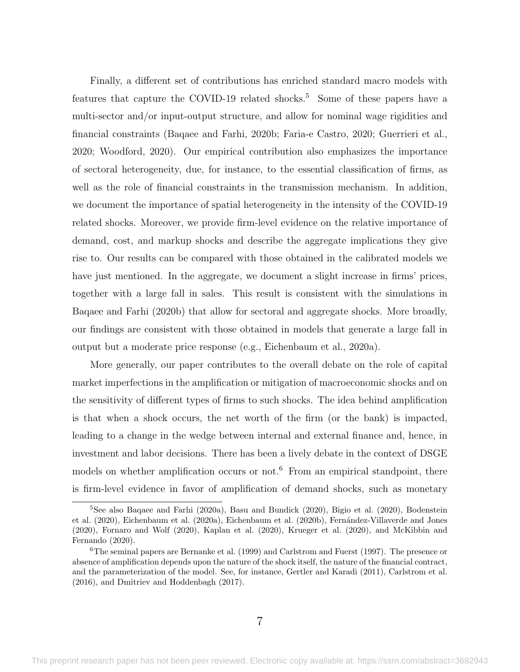Finally, a different set of contributions has enriched standard macro models with features that capture the COVID-19 related shocks.<sup>5</sup> Some of these papers have a multi-sector and/or input-output structure, and allow for nominal wage rigidities and financial constraints [\(Baqaee and Farhi, 2020b;](#page-35-7) [Faria-e Castro, 2020;](#page-37-1) [Guerrieri et al.,](#page-38-1) [2020;](#page-38-1) [Woodford, 2020\)](#page-39-1). Our empirical contribution also emphasizes the importance of sectoral heterogeneity, due, for instance, to the essential classification of firms, as well as the role of financial constraints in the transmission mechanism. In addition, we document the importance of spatial heterogeneity in the intensity of the COVID-19 related shocks. Moreover, we provide firm-level evidence on the relative importance of demand, cost, and markup shocks and describe the aggregate implications they give rise to. Our results can be compared with those obtained in the calibrated models we have just mentioned. In the aggregate, we document a slight increase in firms' prices, together with a large fall in sales. This result is consistent with the simulations in [Baqaee and Farhi](#page-35-7) [\(2020b\)](#page-35-7) that allow for sectoral and aggregate shocks. More broadly, our findings are consistent with those obtained in models that generate a large fall in output but a moderate price response (e.g., [Eichenbaum et al., 2020a\)](#page-37-2).

More generally, our paper contributes to the overall debate on the role of capital market imperfections in the amplification or mitigation of macroeconomic shocks and on the sensitivity of different types of firms to such shocks. The idea behind amplification is that when a shock occurs, the net worth of the firm (or the bank) is impacted, leading to a change in the wedge between internal and external finance and, hence, in investment and labor decisions. There has been a lively debate in the context of DSGE models on whether amplification occurs or not.<sup>6</sup> From an empirical standpoint, there is firm-level evidence in favor of amplification of demand shocks, such as monetary

<sup>5</sup>See also [Baqaee and Farhi](#page-35-8) [\(2020a\)](#page-35-8), [Basu and Bundick](#page-35-9) [\(2020\)](#page-35-9), [Bigio et al.](#page-36-6) [\(2020\)](#page-36-6), [Bodenstein](#page-36-7) [et al.](#page-36-7) [\(2020\)](#page-36-7), [Eichenbaum et al.](#page-37-2) [\(2020a\)](#page-37-2), [Eichenbaum et al.](#page-37-3) [\(2020b\)](#page-37-3), [Fern´andez-Villaverde and Jones](#page-37-4) [\(2020\)](#page-37-4), [Fornaro and Wolf](#page-37-5) [\(2020\)](#page-37-5), [Kaplan et al.](#page-38-2) [\(2020\)](#page-38-2), [Krueger et al.](#page-38-3) [\(2020\)](#page-38-3), and [McKibbin and](#page-38-4) [Fernando](#page-38-4) [\(2020\)](#page-38-4).

 $6$ The seminal papers are [Bernanke et al.](#page-36-8) [\(1999\)](#page-36-8) and [Carlstrom and Fuerst](#page-36-9) [\(1997\)](#page-36-9). The presence or absence of amplification depends upon the nature of the shock itself, the nature of the financial contract, and the parameterization of the model. See, for instance, [Gertler and Karadi](#page-37-6) [\(2011\)](#page-37-6), [Carlstrom et al.](#page-36-10) [\(2016\)](#page-36-10), and [Dmitriev and Hoddenbagh](#page-37-7) [\(2017\)](#page-37-7).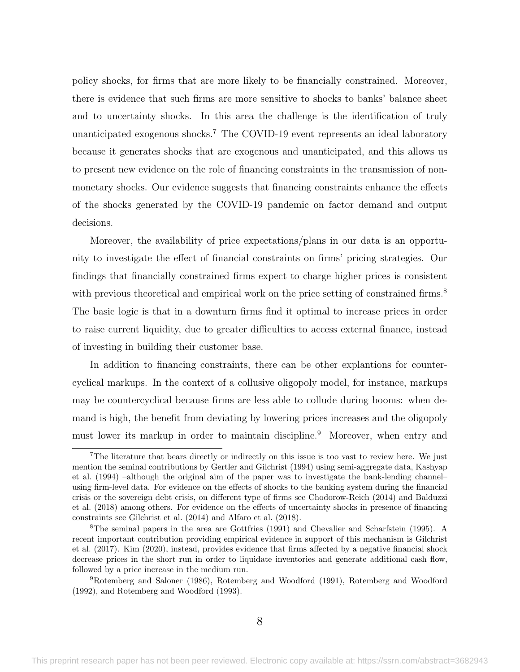policy shocks, for firms that are more likely to be financially constrained. Moreover, there is evidence that such firms are more sensitive to shocks to banks' balance sheet and to uncertainty shocks. In this area the challenge is the identification of truly unanticipated exogenous shocks.<sup>7</sup> The COVID-19 event represents an ideal laboratory because it generates shocks that are exogenous and unanticipated, and this allows us to present new evidence on the role of financing constraints in the transmission of nonmonetary shocks. Our evidence suggests that financing constraints enhance the effects of the shocks generated by the COVID-19 pandemic on factor demand and output decisions.

Moreover, the availability of price expectations/plans in our data is an opportunity to investigate the effect of financial constraints on firms' pricing strategies. Our findings that financially constrained firms expect to charge higher prices is consistent with previous theoretical and empirical work on the price setting of constrained firms.<sup>8</sup> The basic logic is that in a downturn firms find it optimal to increase prices in order to raise current liquidity, due to greater difficulties to access external finance, instead of investing in building their customer base.

In addition to financing constraints, there can be other explantions for countercyclical markups. In the context of a collusive oligopoly model, for instance, markups may be countercyclical because firms are less able to collude during booms: when demand is high, the benefit from deviating by lowering prices increases and the oligopoly must lower its markup in order to maintain discipline.<sup>9</sup> Moreover, when entry and

<sup>&</sup>lt;sup>7</sup>The literature that bears directly or indirectly on this issue is too vast to review here. We just mention the seminal contributions by [Gertler and Gilchrist](#page-37-8) [\(1994\)](#page-37-8) using semi-aggregate data, [Kashyap](#page-38-5) [et al.](#page-38-5) [\(1994\)](#page-38-5) –although the original aim of the paper was to investigate the bank-lending channel– using firm-level data. For evidence on the effects of shocks to the banking system during the financial crisis or the sovereign debt crisis, on different type of firms see [Chodorow-Reich](#page-37-9) [\(2014\)](#page-37-9) and [Balduzzi](#page-35-10) [et al.](#page-35-10) [\(2018\)](#page-35-10) among others. For evidence on the effects of uncertainty shocks in presence of financing constraints see [Gilchrist et al.](#page-38-6) [\(2014\)](#page-38-6) and [Alfaro et al.](#page-35-11) [\(2018\)](#page-35-11).

<sup>8</sup>The seminal papers in the area are [Gottfries](#page-38-7) [\(1991\)](#page-38-7) and [Chevalier and Scharfstein](#page-37-10) [\(1995\)](#page-37-10). A recent important contribution providing empirical evidence in support of this mechanism is [Gilchrist](#page-38-8) [et al.](#page-38-8) [\(2017\)](#page-38-8). [Kim](#page-38-9) [\(2020\)](#page-38-9), instead, provides evidence that firms affected by a negative financial shock decrease prices in the short run in order to liquidate inventories and generate additional cash flow, followed by a price increase in the medium run.

<sup>9</sup>[Rotemberg and Saloner](#page-39-2) [\(1986\)](#page-39-2), [Rotemberg and Woodford](#page-39-3) [\(1991\)](#page-39-3), [Rotemberg and Woodford](#page-39-4) [\(1992\)](#page-39-4), and [Rotemberg and Woodford](#page-39-5) [\(1993\)](#page-39-5).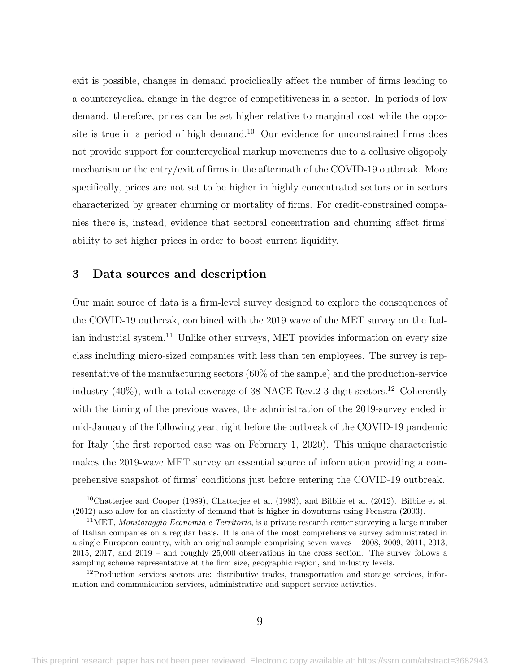exit is possible, changes in demand prociclically affect the number of firms leading to a countercyclical change in the degree of competitiveness in a sector. In periods of low demand, therefore, prices can be set higher relative to marginal cost while the opposite is true in a period of high demand.<sup>10</sup> Our evidence for unconstrained firms does not provide support for countercyclical markup movements due to a collusive oligopoly mechanism or the entry/exit of firms in the aftermath of the COVID-19 outbreak. More specifically, prices are not set to be higher in highly concentrated sectors or in sectors characterized by greater churning or mortality of firms. For credit-constrained companies there is, instead, evidence that sectoral concentration and churning affect firms' ability to set higher prices in order to boost current liquidity.

### <span id="page-10-0"></span>3 Data sources and description

Our main source of data is a firm-level survey designed to explore the consequences of the COVID-19 outbreak, combined with the 2019 wave of the MET survey on the Italian industrial system.<sup>11</sup> Unlike other surveys, MET provides information on every size class including micro-sized companies with less than ten employees. The survey is representative of the manufacturing sectors (60% of the sample) and the production-service industry  $(40\%)$ , with a total coverage of 38 NACE Rev. 2 3 digit sectors.<sup>12</sup> Coherently with the timing of the previous waves, the administration of the 2019-survey ended in mid-January of the following year, right before the outbreak of the COVID-19 pandemic for Italy (the first reported case was on February 1, 2020). This unique characteristic makes the 2019-wave MET survey an essential source of information providing a comprehensive snapshot of firms' conditions just before entering the COVID-19 outbreak.

<sup>10</sup>[Chatterjee and Cooper](#page-36-11) [\(1989\)](#page-36-11), [Chatterjee et al.](#page-36-12) [\(1993\)](#page-36-12), and [Bilbiie et al.](#page-36-13) [\(2012\)](#page-36-13). [Bilbiie et al.](#page-36-13) [\(2012\)](#page-36-13) also allow for an elasticity of demand that is higher in downturns using [Feenstra](#page-37-11) [\(2003\)](#page-37-11).

<sup>&</sup>lt;sup>11</sup>MET, *Monitoraggio Economia e Territorio*, is a private research center surveying a large number of Italian companies on a regular basis. It is one of the most comprehensive survey administrated in a single European country, with an original sample comprising seven waves – 2008, 2009, 2011, 2013, 2015, 2017, and 2019 – and roughly 25,000 observations in the cross section. The survey follows a sampling scheme representative at the firm size, geographic region, and industry levels.

<sup>&</sup>lt;sup>12</sup>Production services sectors are: distributive trades, transportation and storage services, information and communication services, administrative and support service activities.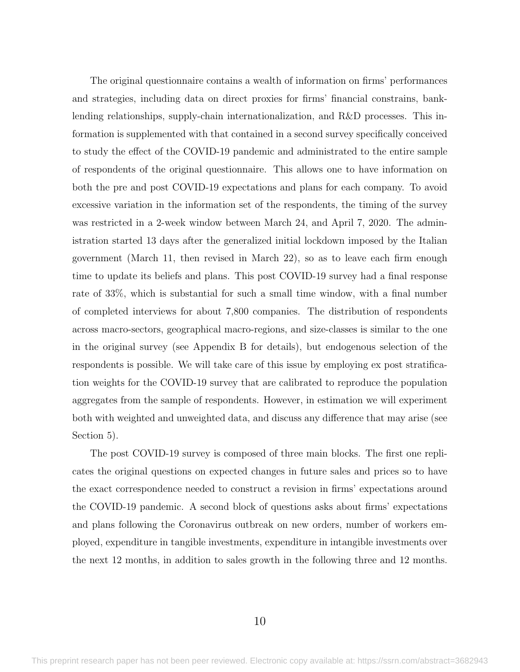The original questionnaire contains a wealth of information on firms' performances and strategies, including data on direct proxies for firms' financial constrains, banklending relationships, supply-chain internationalization, and R&D processes. This information is supplemented with that contained in a second survey specifically conceived to study the effect of the COVID-19 pandemic and administrated to the entire sample of respondents of the original questionnaire. This allows one to have information on both the pre and post COVID-19 expectations and plans for each company. To avoid excessive variation in the information set of the respondents, the timing of the survey was restricted in a 2-week window between March 24, and April 7, 2020. The administration started 13 days after the generalized initial lockdown imposed by the Italian government (March 11, then revised in March 22), so as to leave each firm enough time to update its beliefs and plans. This post COVID-19 survey had a final response rate of 33%, which is substantial for such a small time window, with a final number of completed interviews for about 7,800 companies. The distribution of respondents across macro-sectors, geographical macro-regions, and size-classes is similar to the one in the original survey (see Appendix B for details), but endogenous selection of the respondents is possible. We will take care of this issue by employing ex post stratification weights for the COVID-19 survey that are calibrated to reproduce the population aggregates from the sample of respondents. However, in estimation we will experiment both with weighted and unweighted data, and discuss any difference that may arise (see Section [5\)](#page-20-0).

The post COVID-19 survey is composed of three main blocks. The first one replicates the original questions on expected changes in future sales and prices so to have the exact correspondence needed to construct a revision in firms' expectations around the COVID-19 pandemic. A second block of questions asks about firms' expectations and plans following the Coronavirus outbreak on new orders, number of workers employed, expenditure in tangible investments, expenditure in intangible investments over the next 12 months, in addition to sales growth in the following three and 12 months.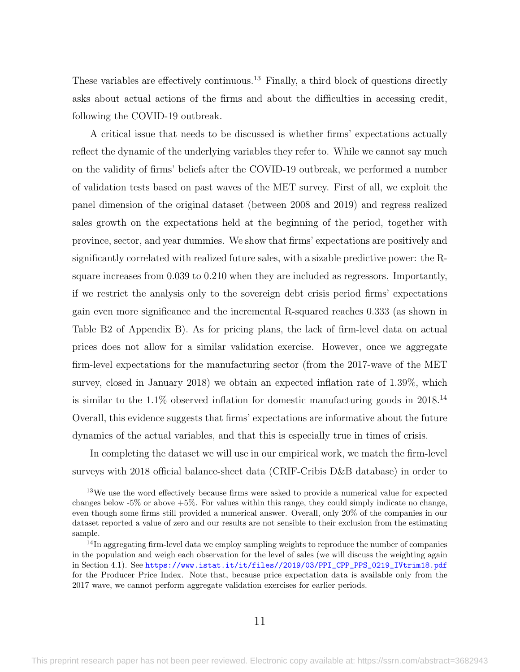These variables are effectively continuous.<sup>13</sup> Finally, a third block of questions directly asks about actual actions of the firms and about the difficulties in accessing credit, following the COVID-19 outbreak.

A critical issue that needs to be discussed is whether firms' expectations actually reflect the dynamic of the underlying variables they refer to. While we cannot say much on the validity of firms' beliefs after the COVID-19 outbreak, we performed a number of validation tests based on past waves of the MET survey. First of all, we exploit the panel dimension of the original dataset (between 2008 and 2019) and regress realized sales growth on the expectations held at the beginning of the period, together with province, sector, and year dummies. We show that firms' expectations are positively and significantly correlated with realized future sales, with a sizable predictive power: the Rsquare increases from 0.039 to 0.210 when they are included as regressors. Importantly, if we restrict the analysis only to the sovereign debt crisis period firms' expectations gain even more significance and the incremental R-squared reaches 0.333 (as shown in Table [B2](#page-61-0) of Appendix B). As for pricing plans, the lack of firm-level data on actual prices does not allow for a similar validation exercise. However, once we aggregate firm-level expectations for the manufacturing sector (from the 2017-wave of the MET survey, closed in January 2018) we obtain an expected inflation rate of 1.39%, which is similar to the  $1.1\%$  observed inflation for domestic manufacturing goods in 2018.<sup>14</sup> Overall, this evidence suggests that firms' expectations are informative about the future dynamics of the actual variables, and that this is especially true in times of crisis.

In completing the dataset we will use in our empirical work, we match the firm-level surveys with 2018 official balance-sheet data (CRIF-Cribis D&B database) in order to

<sup>&</sup>lt;sup>13</sup>We use the word effectively because firms were asked to provide a numerical value for expected changes below -5% or above +5%. For values within this range, they could simply indicate no change, even though some firms still provided a numerical answer. Overall, only 20% of the companies in our dataset reported a value of zero and our results are not sensible to their exclusion from the estimating sample.

<sup>&</sup>lt;sup>14</sup>In aggregating firm-level data we employ sampling weights to reproduce the number of companies in the population and weigh each observation for the level of sales (we will discuss the weighting again in Section [4.1\)](#page-15-1). See [https://www.istat.it/it/files//2019/03/PPI\\_CPP\\_PPS\\_0219\\_IVtrim18.pdf](https://www.istat.it/it/files//2019/03/PPI_CPP_PPS_0219_IVtrim18.pdf) for the Producer Price Index. Note that, because price expectation data is available only from the 2017 wave, we cannot perform aggregate validation exercises for earlier periods.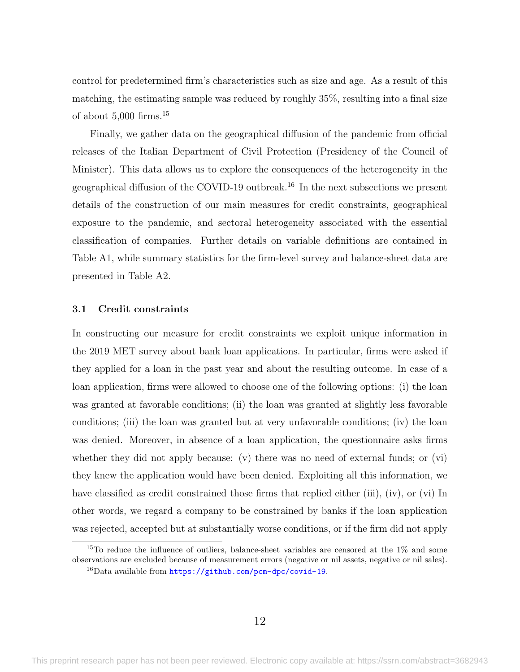control for predetermined firm's characteristics such as size and age. As a result of this matching, the estimating sample was reduced by roughly 35%, resulting into a final size of about  $5,000$  firms.<sup>15</sup>

Finally, we gather data on the geographical diffusion of the pandemic from official releases of the Italian Department of Civil Protection (Presidency of the Council of Minister). This data allows us to explore the consequences of the heterogeneity in the geographical diffusion of the COVID-19 outbreak.<sup>16</sup> In the next subsections we present details of the construction of our main measures for credit constraints, geographical exposure to the pandemic, and sectoral heterogeneity associated with the essential classification of companies. Further details on variable definitions are contained in Table [A1,](#page-57-0) while summary statistics for the firm-level survey and balance-sheet data are presented in Table [A2.](#page-59-0)

#### 3.1 Credit constraints

In constructing our measure for credit constraints we exploit unique information in the 2019 MET survey about bank loan applications. In particular, firms were asked if they applied for a loan in the past year and about the resulting outcome. In case of a loan application, firms were allowed to choose one of the following options: (i) the loan was granted at favorable conditions; (ii) the loan was granted at slightly less favorable conditions; (iii) the loan was granted but at very unfavorable conditions; (iv) the loan was denied. Moreover, in absence of a loan application, the questionnaire asks firms whether they did not apply because: (v) there was no need of external funds; or (vi) they knew the application would have been denied. Exploiting all this information, we have classified as credit constrained those firms that replied either (iii), (iv), or (vi) In other words, we regard a company to be constrained by banks if the loan application was rejected, accepted but at substantially worse conditions, or if the firm did not apply

<sup>&</sup>lt;sup>15</sup>To reduce the influence of outliers, balance-sheet variables are censored at the  $1\%$  and some observations are excluded because of measurement errors (negative or nil assets, negative or nil sales).

 $^{16}$ Data available from <https://github.com/pcm-dpc/covid-19>.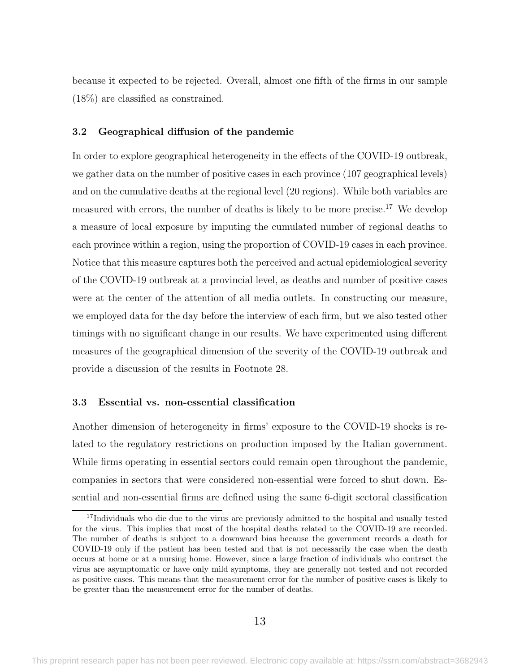because it expected to be rejected. Overall, almost one fifth of the firms in our sample (18%) are classified as constrained.

#### 3.2 Geographical diffusion of the pandemic

In order to explore geographical heterogeneity in the effects of the COVID-19 outbreak, we gather data on the number of positive cases in each province (107 geographical levels) and on the cumulative deaths at the regional level (20 regions). While both variables are measured with errors, the number of deaths is likely to be more precise.<sup>17</sup> We develop a measure of local exposure by imputing the cumulated number of regional deaths to each province within a region, using the proportion of COVID-19 cases in each province. Notice that this measure captures both the perceived and actual epidemiological severity of the COVID-19 outbreak at a provincial level, as deaths and number of positive cases were at the center of the attention of all media outlets. In constructing our measure, we employed data for the day before the interview of each firm, but we also tested other timings with no significant change in our results. We have experimented using different measures of the geographical dimension of the severity of the COVID-19 outbreak and provide a discussion of the results in Footnote [28.](#page-23-0)

#### 3.3 Essential vs. non-essential classification

Another dimension of heterogeneity in firms' exposure to the COVID-19 shocks is related to the regulatory restrictions on production imposed by the Italian government. While firms operating in essential sectors could remain open throughout the pandemic, companies in sectors that were considered non-essential were forced to shut down. Essential and non-essential firms are defined using the same 6-digit sectoral classification

<sup>&</sup>lt;sup>17</sup>Individuals who die due to the virus are previously admitted to the hospital and usually tested for the virus. This implies that most of the hospital deaths related to the COVID-19 are recorded. The number of deaths is subject to a downward bias because the government records a death for COVID-19 only if the patient has been tested and that is not necessarily the case when the death occurs at home or at a nursing home. However, since a large fraction of individuals who contract the virus are asymptomatic or have only mild symptoms, they are generally not tested and not recorded as positive cases. This means that the measurement error for the number of positive cases is likely to be greater than the measurement error for the number of deaths.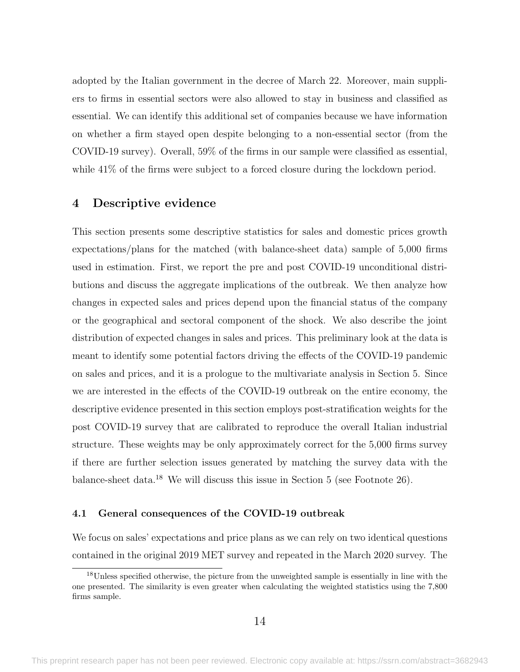adopted by the Italian government in the decree of March 22. Moreover, main suppliers to firms in essential sectors were also allowed to stay in business and classified as essential. We can identify this additional set of companies because we have information on whether a firm stayed open despite belonging to a non-essential sector (from the COVID-19 survey). Overall, 59% of the firms in our sample were classified as essential, while  $41\%$  of the firms were subject to a forced closure during the lockdown period.

#### <span id="page-15-0"></span>4 Descriptive evidence

This section presents some descriptive statistics for sales and domestic prices growth expectations/plans for the matched (with balance-sheet data) sample of 5,000 firms used in estimation. First, we report the pre and post COVID-19 unconditional distributions and discuss the aggregate implications of the outbreak. We then analyze how changes in expected sales and prices depend upon the financial status of the company or the geographical and sectoral component of the shock. We also describe the joint distribution of expected changes in sales and prices. This preliminary look at the data is meant to identify some potential factors driving the effects of the COVID-19 pandemic on sales and prices, and it is a prologue to the multivariate analysis in Section [5.](#page-20-0) Since we are interested in the effects of the COVID-19 outbreak on the entire economy, the descriptive evidence presented in this section employs post-stratification weights for the post COVID-19 survey that are calibrated to reproduce the overall Italian industrial structure. These weights may be only approximately correct for the 5,000 firms survey if there are further selection issues generated by matching the survey data with the balance-sheet data.<sup>18</sup> We will discuss this issue in Section [5](#page-20-0) (see Footnote [26\)](#page-20-1).

#### <span id="page-15-1"></span>4.1 General consequences of the COVID-19 outbreak

We focus on sales' expectations and price plans as we can rely on two identical questions contained in the original 2019 MET survey and repeated in the March 2020 survey. The

<sup>&</sup>lt;sup>18</sup>Unless specified otherwise, the picture from the unweighted sample is essentially in line with the one presented. The similarity is even greater when calculating the weighted statistics using the 7,800 firms sample.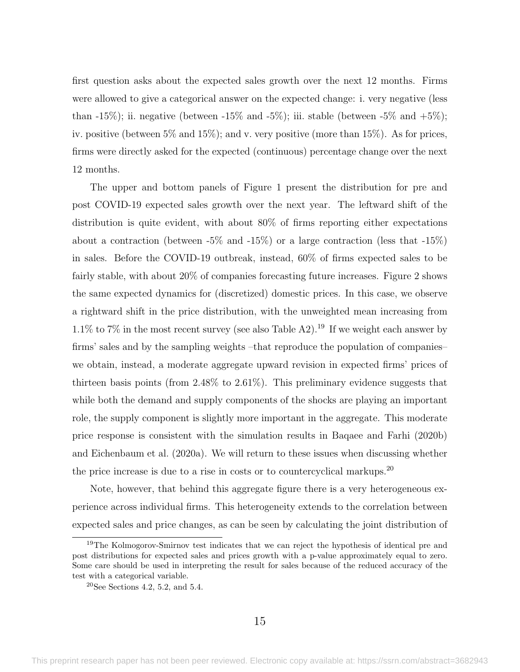first question asks about the expected sales growth over the next 12 months. Firms were allowed to give a categorical answer on the expected change: i. very negative (less than -15%); ii. negative (between -15% and -5%); iii. stable (between -5% and  $+5\%$ ); iv. positive (between 5% and 15%); and v. very positive (more than 15%). As for prices, firms were directly asked for the expected (continuous) percentage change over the next 12 months.

The upper and bottom panels of Figure [1](#page-40-0) present the distribution for pre and post COVID-19 expected sales growth over the next year. The leftward shift of the distribution is quite evident, with about 80% of firms reporting either expectations about a contraction (between  $-5\%$  and  $-15\%$ ) or a large contraction (less that  $-15\%$ ) in sales. Before the COVID-19 outbreak, instead, 60% of firms expected sales to be fairly stable, with about 20% of companies forecasting future increases. Figure [2](#page-41-0) shows the same expected dynamics for (discretized) domestic prices. In this case, we observe a rightward shift in the price distribution, with the unweighted mean increasing from 1.1% to 7% in the most recent survey (see also Table [A2\)](#page-59-0).<sup>19</sup> If we weight each answer by firms' sales and by the sampling weights –that reproduce the population of companies– we obtain, instead, a moderate aggregate upward revision in expected firms' prices of thirteen basis points (from 2.48% to 2.61%). This preliminary evidence suggests that while both the demand and supply components of the shocks are playing an important role, the supply component is slightly more important in the aggregate. This moderate price response is consistent with the simulation results in [Baqaee and Farhi](#page-35-7) [\(2020b\)](#page-35-7) and [Eichenbaum et al.](#page-37-2) [\(2020a\)](#page-37-2). We will return to these issues when discussing whether the price increase is due to a rise in costs or to countercyclical markups.<sup>20</sup>

Note, however, that behind this aggregate figure there is a very heterogeneous experience across individual firms. This heterogeneity extends to the correlation between expected sales and price changes, as can be seen by calculating the joint distribution of

<sup>&</sup>lt;sup>19</sup>The Kolmogorov-Smirnov test indicates that we can reject the hypothesis of identical pre and post distributions for expected sales and prices growth with a p-value approximately equal to zero. Some care should be used in interpreting the result for sales because of the reduced accuracy of the test with a categorical variable.

<sup>&</sup>lt;sup>20</sup>See Sections [4.2,](#page-17-0) [5.2,](#page-28-0) and [5.4.](#page-31-0)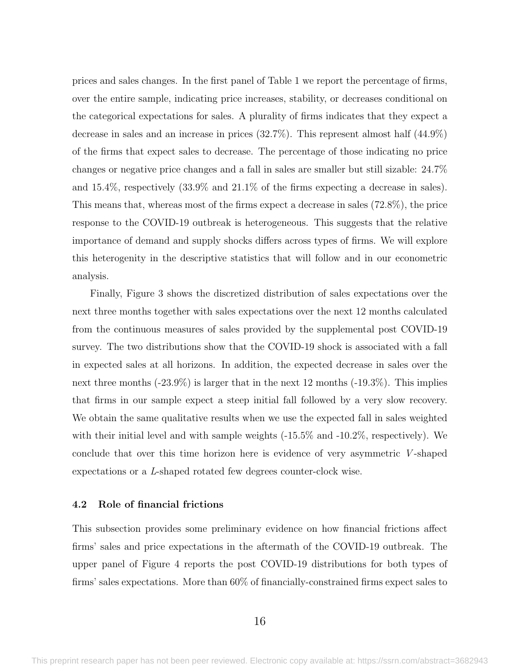prices and sales changes. In the first panel of Table [1](#page-47-0) we report the percentage of firms, over the entire sample, indicating price increases, stability, or decreases conditional on the categorical expectations for sales. A plurality of firms indicates that they expect a decrease in sales and an increase in prices (32.7%). This represent almost half (44.9%) of the firms that expect sales to decrease. The percentage of those indicating no price changes or negative price changes and a fall in sales are smaller but still sizable: 24.7% and 15.4%, respectively (33.9% and 21.1% of the firms expecting a decrease in sales). This means that, whereas most of the firms expect a decrease in sales (72.8%), the price response to the COVID-19 outbreak is heterogeneous. This suggests that the relative importance of demand and supply shocks differs across types of firms. We will explore this heterogenity in the descriptive statistics that will follow and in our econometric analysis.

Finally, Figure [3](#page-42-0) shows the discretized distribution of sales expectations over the next three months together with sales expectations over the next 12 months calculated from the continuous measures of sales provided by the supplemental post COVID-19 survey. The two distributions show that the COVID-19 shock is associated with a fall in expected sales at all horizons. In addition, the expected decrease in sales over the next three months (-23.9%) is larger that in the next 12 months (-19.3%). This implies that firms in our sample expect a steep initial fall followed by a very slow recovery. We obtain the same qualitative results when we use the expected fall in sales weighted with their initial level and with sample weights (-15.5% and -10.2%, respectively). We conclude that over this time horizon here is evidence of very asymmetric  $V$ -shaped expectations or a L-shaped rotated few degrees counter-clock wise.

#### <span id="page-17-0"></span>4.2 Role of financial frictions

This subsection provides some preliminary evidence on how financial frictions affect firms' sales and price expectations in the aftermath of the COVID-19 outbreak. The upper panel of Figure [4](#page-43-0) reports the post COVID-19 distributions for both types of firms' sales expectations. More than 60% of financially-constrained firms expect sales to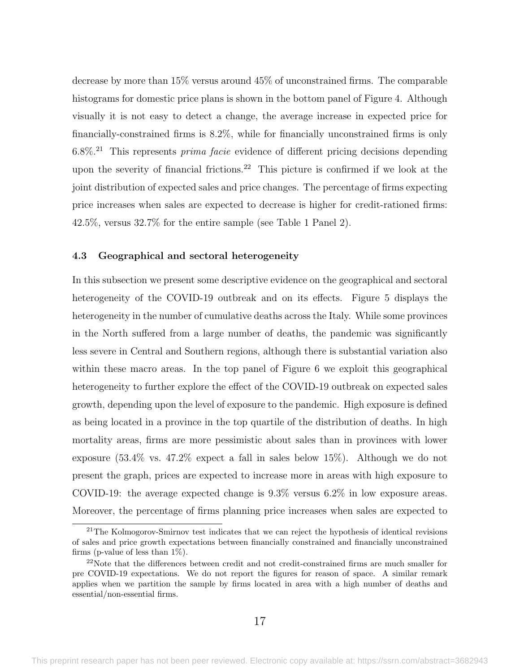decrease by more than 15% versus around 45% of unconstrained firms. The comparable histograms for domestic price plans is shown in the bottom panel of Figure [4.](#page-43-0) Although visually it is not easy to detect a change, the average increase in expected price for financially-constrained firms is 8.2%, while for financially unconstrained firms is only  $6.8\%$ <sup>21</sup> This represents *prima facie* evidence of different pricing decisions depending upon the severity of financial frictions.<sup>22</sup> This picture is confirmed if we look at the joint distribution of expected sales and price changes. The percentage of firms expecting price increases when sales are expected to decrease is higher for credit-rationed firms: 42.5%, versus 32.7% for the entire sample (see Table [1](#page-47-0) Panel 2).

#### 4.3 Geographical and sectoral heterogeneity

In this subsection we present some descriptive evidence on the geographical and sectoral heterogeneity of the COVID-19 outbreak and on its effects. Figure [5](#page-44-0) displays the heterogeneity in the number of cumulative deaths across the Italy. While some provinces in the North suffered from a large number of deaths, the pandemic was significantly less severe in Central and Southern regions, although there is substantial variation also within these macro areas. In the top panel of Figure [6](#page-45-0) we exploit this geographical heterogeneity to further explore the effect of the COVID-19 outbreak on expected sales growth, depending upon the level of exposure to the pandemic. High exposure is defined as being located in a province in the top quartile of the distribution of deaths. In high mortality areas, firms are more pessimistic about sales than in provinces with lower exposure (53.4% vs. 47.2% expect a fall in sales below 15%). Although we do not present the graph, prices are expected to increase more in areas with high exposure to COVID-19: the average expected change is 9.3% versus 6.2% in low exposure areas. Moreover, the percentage of firms planning price increases when sales are expected to

<sup>&</sup>lt;sup>21</sup>The Kolmogorov-Smirnov test indicates that we can reject the hypothesis of identical revisions of sales and price growth expectations between financially constrained and financially unconstrained firms (p-value of less than  $1\%$ ).

<sup>&</sup>lt;sup>22</sup>Note that the differences between credit and not credit-constrained firms are much smaller for pre COVID-19 expectations. We do not report the figures for reason of space. A similar remark applies when we partition the sample by firms located in area with a high number of deaths and essential/non-essential firms.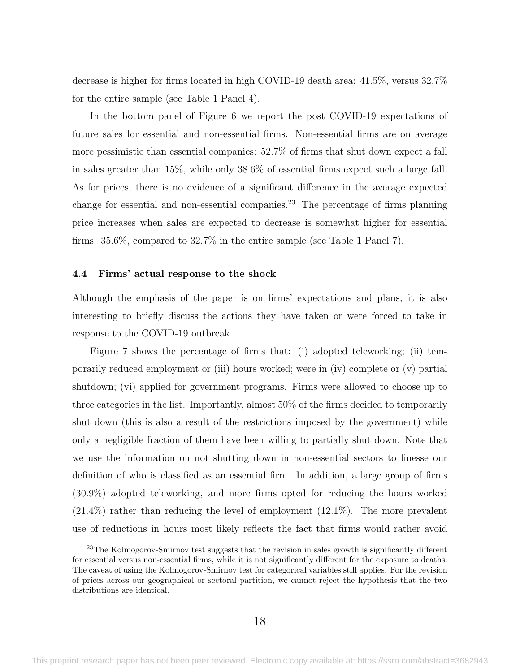decrease is higher for firms located in high COVID-19 death area: 41.5%, versus 32.7% for the entire sample (see Table [1](#page-47-0) Panel 4).

In the bottom panel of Figure [6](#page-45-0) we report the post COVID-19 expectations of future sales for essential and non-essential firms. Non-essential firms are on average more pessimistic than essential companies: 52.7% of firms that shut down expect a fall in sales greater than 15%, while only 38.6% of essential firms expect such a large fall. As for prices, there is no evidence of a significant difference in the average expected change for essential and non-essential companies.<sup>23</sup> The percentage of firms planning price increases when sales are expected to decrease is somewhat higher for essential firms: 35.6%, compared to 32.7% in the entire sample (see Table [1](#page-47-0) Panel 7).

#### 4.4 Firms' actual response to the shock

Although the emphasis of the paper is on firms' expectations and plans, it is also interesting to briefly discuss the actions they have taken or were forced to take in response to the COVID-19 outbreak.

Figure [7](#page-46-0) shows the percentage of firms that: (i) adopted teleworking; (ii) temporarily reduced employment or (iii) hours worked; were in (iv) complete or (v) partial shutdown; (vi) applied for government programs. Firms were allowed to choose up to three categories in the list. Importantly, almost 50% of the firms decided to temporarily shut down (this is also a result of the restrictions imposed by the government) while only a negligible fraction of them have been willing to partially shut down. Note that we use the information on not shutting down in non-essential sectors to finesse our definition of who is classified as an essential firm. In addition, a large group of firms (30.9%) adopted teleworking, and more firms opted for reducing the hours worked (21.4%) rather than reducing the level of employment (12.1%). The more prevalent use of reductions in hours most likely reflects the fact that firms would rather avoid

<sup>&</sup>lt;sup>23</sup>The Kolmogorov-Smirnov test suggests that the revision in sales growth is significantly different for essential versus non-essential firms, while it is not significantly different for the exposure to deaths. The caveat of using the Kolmogorov-Smirnov test for categorical variables still applies. For the revision of prices across our geographical or sectoral partition, we cannot reject the hypothesis that the two distributions are identical.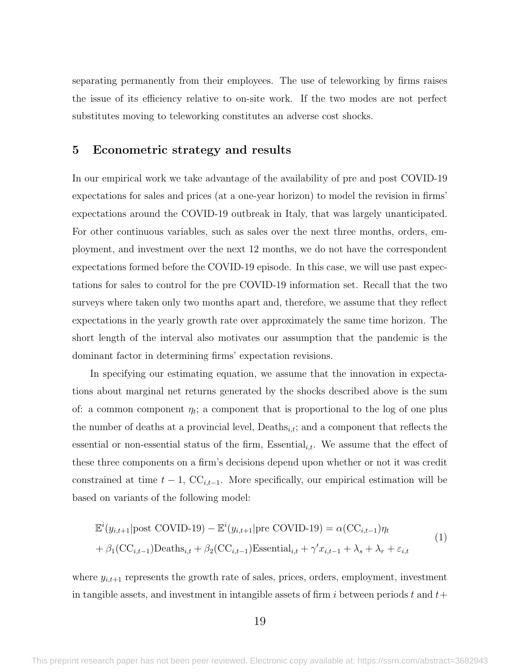separating permanently from their employees. The use of teleworking by firms raises the issue of its efficiency relative to on-site work. If the two modes are not perfect substitutes moving to teleworking constitutes an adverse cost shocks.

#### <span id="page-20-0"></span>5 Econometric strategy and results

In our empirical work we take advantage of the availability of pre and post COVID-19 expectations for sales and prices (at a one-year horizon) to model the revision in firms' expectations around the COVID-19 outbreak in Italy, that was largely unanticipated. For other continuous variables, such as sales over the next three months, orders, employment, and investment over the next 12 months, we do not have the correspondent expectations formed before the COVID-19 episode. In this case, we will use past expectations for sales to control for the pre COVID-19 information set. Recall that the two surveys where taken only two months apart and, therefore, we assume that they reflect expectations in the yearly growth rate over approximately the same time horizon. The short length of the interval also motivates our assumption that the pandemic is the dominant factor in determining firms' expectation revisions.

In specifying our estimating equation, we assume that the innovation in expectations about marginal net returns generated by the shocks described above is the sum of: a common component  $\eta_t$ ; a component that is proportional to the log of one plus the number of deaths at a provincial level,  $\text{Deaths}_{i,t}$ ; and a component that reflects the essential or non-essential status of the firm, Essential<sub>i,t</sub>. We assume that the effect of these three components on a firm's decisions depend upon whether or not it was credit constrained at time  $t - 1$ ,  $\mathbf{CC}_{i,t-1}$ . More specifically, our empirical estimation will be based on variants of the following model:

<span id="page-20-1"></span>
$$
\mathbb{E}^{i}(y_{i,t+1}|\text{post COVID-19}) - \mathbb{E}^{i}(y_{i,t+1}|\text{pre COVID-19}) = \alpha(\text{CC}_{i,t-1})\eta_{t}
$$
  
+  $\beta_{1}(\text{CC}_{i,t-1})\text{Deaths}_{i,t} + \beta_{2}(\text{CC}_{i,t-1})\text{Essential}_{i,t} + \gamma' x_{i,t-1} + \lambda_{s} + \lambda_{r} + \varepsilon_{i,t}$  (1)

where  $y_{i,t+1}$  represents the growth rate of sales, prices, orders, employment, investment in tangible assets, and investment in intangible assets of firm i between periods t and  $t+$ 

19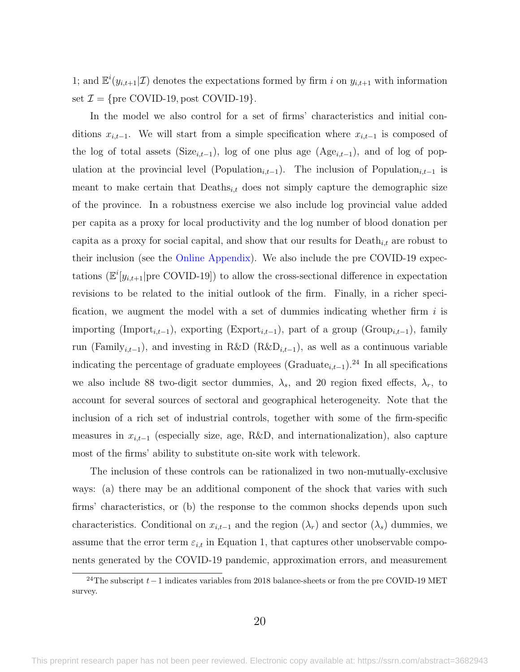1; and  $\mathbb{E}^i(y_{i,t+1}|\mathcal{I})$  denotes the expectations formed by firm i on  $y_{i,t+1}$  with information set  $\mathcal{I} = \{ \text{pre COVID-19}, \text{post COVID-19} \}.$ 

In the model we also control for a set of firms' characteristics and initial conditions  $x_{i,t-1}$ . We will start from a simple specification where  $x_{i,t-1}$  is composed of the log of total assets (Size<sub>i,t−1</sub>), log of one plus age (Age<sub>i,t−1</sub>), and of log of population at the provincial level (Population<sub>i,t−1</sub>). The inclusion of Population<sub>i,t−1</sub> is meant to make certain that  $Deaths_{i,t}$  does not simply capture the demographic size of the province. In a robustness exercise we also include log provincial value added per capita as a proxy for local productivity and the log number of blood donation per capita as a proxy for social capital, and show that our results for  $\text{Death}_{i,t}$  are robust to their inclusion (see the [Online Appendix\)](https://sites.google.com/site/emanuelebrancati/research/separate-online-appendix). We also include the pre COVID-19 expectations  $(\mathbb{E}^i[y_{i,t+1}]$  pre COVID-19]) to allow the cross-sectional difference in expectation revisions to be related to the initial outlook of the firm. Finally, in a richer specification, we augment the model with a set of dummies indicating whether firm  $i$  is importing (Import<sub>i,t−1</sub>), exporting (Export<sub>i,t−1</sub>), part of a group (Group<sub>i,t−1</sub>), family run (Family<sub>i,t−1</sub>), and investing in R&D (R&D<sub>i,t−1</sub>), as well as a continuous variable indicating the percentage of graduate employees (Graduate<sub>i,t−1</sub>).<sup>24</sup> In all specifications we also include 88 two-digit sector dummies,  $\lambda_s$ , and 20 region fixed effects,  $\lambda_r$ , to account for several sources of sectoral and geographical heterogeneity. Note that the inclusion of a rich set of industrial controls, together with some of the firm-specific measures in  $x_{i,t-1}$  (especially size, age, R&D, and internationalization), also capture most of the firms' ability to substitute on-site work with telework.

The inclusion of these controls can be rationalized in two non-mutually-exclusive ways: (a) there may be an additional component of the shock that varies with such firms' characteristics, or (b) the response to the common shocks depends upon such characteristics. Conditional on  $x_{i,t-1}$  and the region  $(\lambda_r)$  and sector  $(\lambda_s)$  dummies, we assume that the error term  $\varepsilon_{i,t}$  in Equation [1,](#page-20-1) that captures other unobservable components generated by the COVID-19 pandemic, approximation errors, and measurement

<sup>&</sup>lt;sup>24</sup>The subscript  $t-1$  indicates variables from 2018 balance-sheets or from the pre COVID-19 MET survey.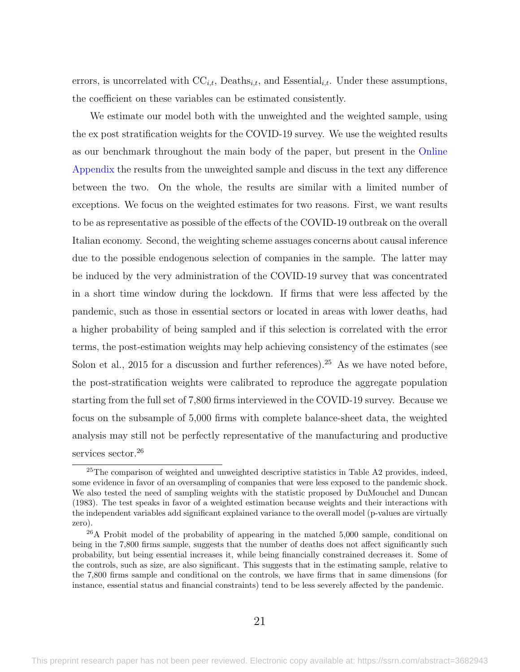errors, is uncorrelated with  $\mathrm{CC}_{i,t}$ , Deaths<sub>i,t</sub>, and Essential<sub>i,t</sub>. Under these assumptions, the coefficient on these variables can be estimated consistently.

We estimate our model both with the unweighted and the weighted sample, using the ex post stratification weights for the COVID-19 survey. We use the weighted results as our benchmark throughout the main body of the paper, but present in the [Online](https://sites.google.com/site/emanuelebrancati/research/separate-online-appendix) [Appendix](https://sites.google.com/site/emanuelebrancati/research/separate-online-appendix) the results from the unweighted sample and discuss in the text any difference between the two. On the whole, the results are similar with a limited number of exceptions. We focus on the weighted estimates for two reasons. First, we want results to be as representative as possible of the effects of the COVID-19 outbreak on the overall Italian economy. Second, the weighting scheme assuages concerns about causal inference due to the possible endogenous selection of companies in the sample. The latter may be induced by the very administration of the COVID-19 survey that was concentrated in a short time window during the lockdown. If firms that were less affected by the pandemic, such as those in essential sectors or located in areas with lower deaths, had a higher probability of being sampled and if this selection is correlated with the error terms, the post-estimation weights may help achieving consistency of the estimates (see [Solon et al., 2015](#page-39-6) for a discussion and further references).<sup>25</sup> As we have noted before, the post-stratification weights were calibrated to reproduce the aggregate population starting from the full set of 7,800 firms interviewed in the COVID-19 survey. Because we focus on the subsample of 5,000 firms with complete balance-sheet data, the weighted analysis may still not be perfectly representative of the manufacturing and productive services sector.<sup>26</sup>

<sup>&</sup>lt;sup>25</sup>The comparison of weighted and unweighted descriptive statistics in Table [A2](#page-59-0) provides, indeed, some evidence in favor of an oversampling of companies that were less exposed to the pandemic shock. We also tested the need of sampling weights with the statistic proposed by [DuMouchel and Duncan](#page-37-12) [\(1983\)](#page-37-12). The test speaks in favor of a weighted estimation because weights and their interactions with the independent variables add significant explained variance to the overall model (p-values are virtually zero).

<sup>26</sup>A Probit model of the probability of appearing in the matched 5,000 sample, conditional on being in the 7,800 firms sample, suggests that the number of deaths does not affect significantly such probability, but being essential increases it, while being financially constrained decreases it. Some of the controls, such as size, are also significant. This suggests that in the estimating sample, relative to the 7,800 firms sample and conditional on the controls, we have firms that in same dimensions (for instance, essential status and financial constraints) tend to be less severely affected by the pandemic.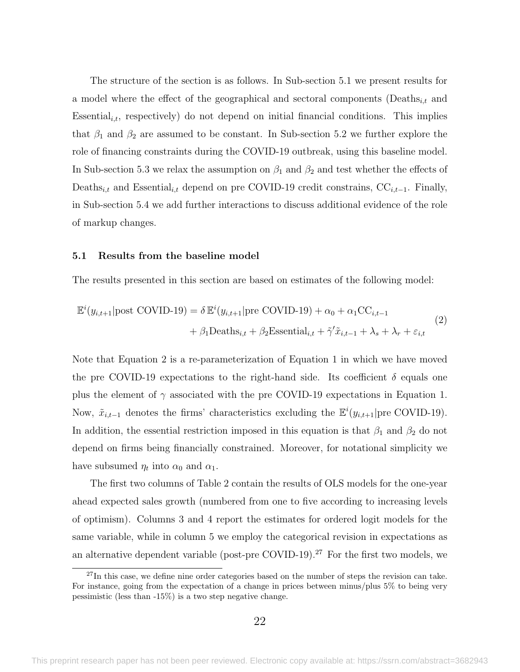The structure of the section is as follows. In Sub-section [5.1](#page-23-1) we present results for a model where the effect of the geographical and sectoral components (Deaths<sub>it</sub> and Essential $i_{i,t}$ , respectively) do not depend on initial financial conditions. This implies that  $\beta_1$  and  $\beta_2$  are assumed to be constant. In Sub-section [5.2](#page-28-0) we further explore the role of financing constraints during the COVID-19 outbreak, using this baseline model. In Sub-section [5.3](#page-29-0) we relax the assumption on  $\beta_1$  and  $\beta_2$  and test whether the effects of Deaths<sub>i,t</sub> and Essential<sub>i,t</sub> depend on pre COVID-19 credit constrains, CC<sub>i,t−1</sub>. Finally, in Sub-section [5.4](#page-31-0) we add further interactions to discuss additional evidence of the role of markup changes.

#### <span id="page-23-1"></span>5.1 Results from the baseline model

The results presented in this section are based on estimates of the following model:

<span id="page-23-0"></span>
$$
\mathbb{E}^{i}(y_{i,t+1}|\text{post COVID-19}) = \delta \mathbb{E}^{i}(y_{i,t+1}|\text{pre COVID-19}) + \alpha_0 + \alpha_1 \text{CC}_{i,t-1}
$$
  
+  $\beta_1 \text{Deaths}_{i,t} + \beta_2 \text{Essential}_{i,t} + \tilde{\gamma}' \tilde{x}_{i,t-1} + \lambda_s + \lambda_r + \varepsilon_{i,t}$  (2)

Note that Equation [2](#page-23-0) is a re-parameterization of Equation [1](#page-20-1) in which we have moved the pre COVID-19 expectations to the right-hand side. Its coefficient  $\delta$  equals one plus the element of  $\gamma$  associated with the pre COVID-19 expectations in Equation [1.](#page-20-1) Now,  $\tilde{x}_{i,t-1}$  denotes the firms' characteristics excluding the  $\mathbb{E}^{i}(y_{i,t+1}|\text{pre COVID-19}).$ In addition, the essential restriction imposed in this equation is that  $\beta_1$  and  $\beta_2$  do not depend on firms being financially constrained. Moreover, for notational simplicity we have subsumed  $\eta_t$  into  $\alpha_0$  and  $\alpha_1$ .

The first two columns of Table [2](#page-48-0) contain the results of OLS models for the one-year ahead expected sales growth (numbered from one to five according to increasing levels of optimism). Columns 3 and 4 report the estimates for ordered logit models for the same variable, while in column 5 we employ the categorical revision in expectations as an alternative dependent variable (post-pre COVID-19).<sup>27</sup> For the first two models, we

 $27$ In this case, we define nine order categories based on the number of steps the revision can take. For instance, going from the expectation of a change in prices between minus/plus 5% to being very pessimistic (less than -15%) is a two step negative change.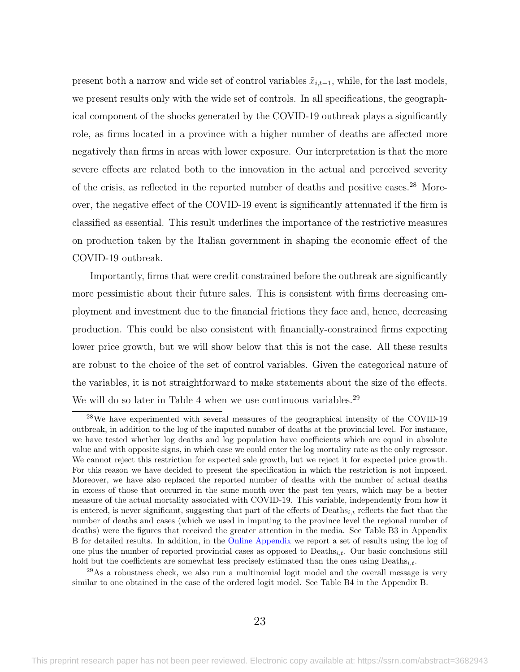present both a narrow and wide set of control variables  $\tilde{x}_{i,t-1}$ , while, for the last models, we present results only with the wide set of controls. In all specifications, the geographical component of the shocks generated by the COVID-19 outbreak plays a significantly role, as firms located in a province with a higher number of deaths are affected more negatively than firms in areas with lower exposure. Our interpretation is that the more severe effects are related both to the innovation in the actual and perceived severity of the crisis, as reflected in the reported number of deaths and positive cases.<sup>28</sup> Moreover, the negative effect of the COVID-19 event is significantly attenuated if the firm is classified as essential. This result underlines the importance of the restrictive measures on production taken by the Italian government in shaping the economic effect of the COVID-19 outbreak.

Importantly, firms that were credit constrained before the outbreak are significantly more pessimistic about their future sales. This is consistent with firms decreasing employment and investment due to the financial frictions they face and, hence, decreasing production. This could be also consistent with financially-constrained firms expecting lower price growth, but we will show below that this is not the case. All these results are robust to the choice of the set of control variables. Given the categorical nature of the variables, it is not straightforward to make statements about the size of the effects. We will do so later in Table [4](#page-50-0) when we use continuous variables.<sup>29</sup>

<sup>28</sup>We have experimented with several measures of the geographical intensity of the COVID-19 outbreak, in addition to the log of the imputed number of deaths at the provincial level. For instance, we have tested whether log deaths and log population have coefficients which are equal in absolute value and with opposite signs, in which case we could enter the log mortality rate as the only regressor. We cannot reject this restriction for expected sale growth, but we reject it for expected price growth. For this reason we have decided to present the specification in which the restriction is not imposed. Moreover, we have also replaced the reported number of deaths with the number of actual deaths in excess of those that occurred in the same month over the past ten years, which may be a better measure of the actual mortality associated with COVID-19. This variable, independently from how it is entered, is never significant, suggesting that part of the effects of  $Deaths_{i,t}$  reflects the fact that the number of deaths and cases (which we used in imputing to the province level the regional number of deaths) were the figures that received the greater attention in the media. See Table [B3](#page-62-0) in Appendix [B](#page-60-0) for detailed results. In addition, in the [Online Appendix](https://sites.google.com/site/emanuelebrancati/research/separate-online-appendix) we report a set of results using the log of one plus the number of reported provincial cases as opposed to  $Deaths_{i,t}$ . Our basic conclusions still hold but the coefficients are somewhat less precisely estimated than the ones using  $\text{Deaths}_{i,t}$ .

 $^{29}$ As a robustness check, we also run a multinomial logit model and the overall message is very similar to one obtained in the case of the ordered logit model. See Table [B4](#page-63-0) in the Appendix [B.](#page-60-0)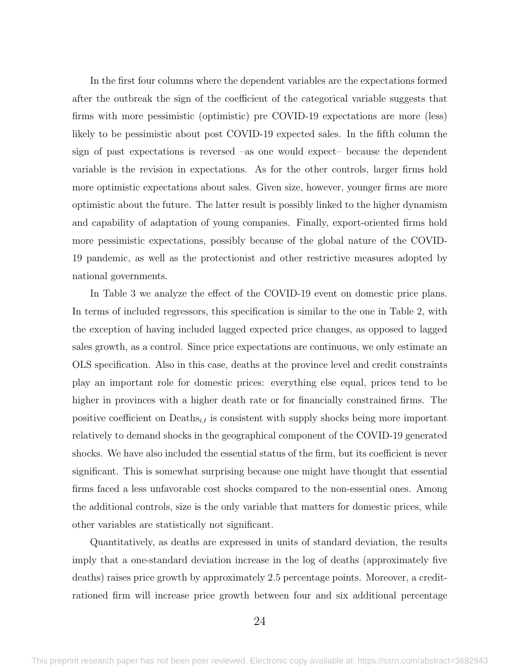In the first four columns where the dependent variables are the expectations formed after the outbreak the sign of the coefficient of the categorical variable suggests that firms with more pessimistic (optimistic) pre COVID-19 expectations are more (less) likely to be pessimistic about post COVID-19 expected sales. In the fifth column the sign of past expectations is reversed –as one would expect– because the dependent variable is the revision in expectations. As for the other controls, larger firms hold more optimistic expectations about sales. Given size, however, younger firms are more optimistic about the future. The latter result is possibly linked to the higher dynamism and capability of adaptation of young companies. Finally, export-oriented firms hold more pessimistic expectations, possibly because of the global nature of the COVID-19 pandemic, as well as the protectionist and other restrictive measures adopted by national governments.

In Table [3](#page-49-0) we analyze the effect of the COVID-19 event on domestic price plans. In terms of included regressors, this specification is similar to the one in Table [2,](#page-48-0) with the exception of having included lagged expected price changes, as opposed to lagged sales growth, as a control. Since price expectations are continuous, we only estimate an OLS specification. Also in this case, deaths at the province level and credit constraints play an important role for domestic prices: everything else equal, prices tend to be higher in provinces with a higher death rate or for financially constrained firms. The positive coefficient on  $\text{Deaths}_{i,t}$  is consistent with supply shocks being more important relatively to demand shocks in the geographical component of the COVID-19 generated shocks. We have also included the essential status of the firm, but its coefficient is never significant. This is somewhat surprising because one might have thought that essential firms faced a less unfavorable cost shocks compared to the non-essential ones. Among the additional controls, size is the only variable that matters for domestic prices, while other variables are statistically not significant.

Quantitatively, as deaths are expressed in units of standard deviation, the results imply that a one-standard deviation increase in the log of deaths (approximately five deaths) raises price growth by approximately 2.5 percentage points. Moreover, a creditrationed firm will increase price growth between four and six additional percentage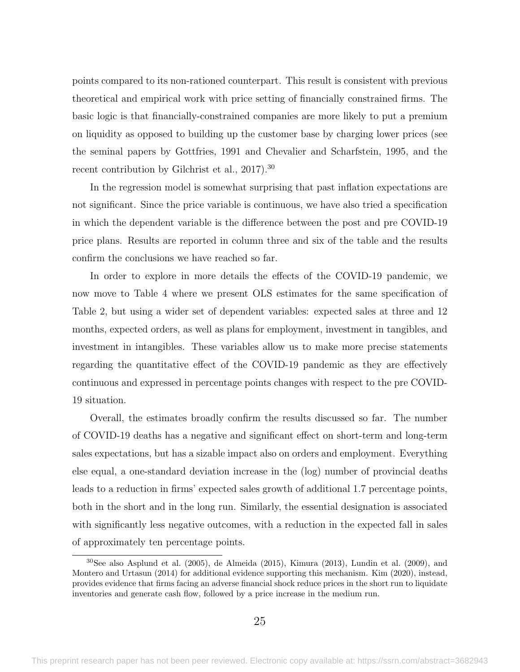points compared to its non-rationed counterpart. This result is consistent with previous theoretical and empirical work with price setting of financially constrained firms. The basic logic is that financially-constrained companies are more likely to put a premium on liquidity as opposed to building up the customer base by charging lower prices (see the seminal papers by [Gottfries, 1991](#page-38-7) and [Chevalier and Scharfstein, 1995,](#page-37-10) and the recent contribution by [Gilchrist et al., 2017\)](#page-38-8).<sup>30</sup>

In the regression model is somewhat surprising that past inflation expectations are not significant. Since the price variable is continuous, we have also tried a specification in which the dependent variable is the difference between the post and pre COVID-19 price plans. Results are reported in column three and six of the table and the results confirm the conclusions we have reached so far.

In order to explore in more details the effects of the COVID-19 pandemic, we now move to Table [4](#page-50-0) where we present OLS estimates for the same specification of Table [2,](#page-48-0) but using a wider set of dependent variables: expected sales at three and 12 months, expected orders, as well as plans for employment, investment in tangibles, and investment in intangibles. These variables allow us to make more precise statements regarding the quantitative effect of the COVID-19 pandemic as they are effectively continuous and expressed in percentage points changes with respect to the pre COVID-19 situation.

Overall, the estimates broadly confirm the results discussed so far. The number of COVID-19 deaths has a negative and significant effect on short-term and long-term sales expectations, but has a sizable impact also on orders and employment. Everything else equal, a one-standard deviation increase in the (log) number of provincial deaths leads to a reduction in firms' expected sales growth of additional 1.7 percentage points, both in the short and in the long run. Similarly, the essential designation is associated with significantly less negative outcomes, with a reduction in the expected fall in sales of approximately ten percentage points.

 $30$ See also [Asplund et al.](#page-35-12) [\(2005\)](#page-35-12), [de Almeida](#page-37-13) [\(2015\)](#page-37-13), [Kimura](#page-38-10) [\(2013\)](#page-38-10), [Lundin et al.](#page-38-11) [\(2009\)](#page-38-11), and [Montero and Urtasun](#page-38-12) [\(2014\)](#page-38-12) for additional evidence supporting this mechanism. [Kim](#page-38-9) [\(2020\)](#page-38-9), instead, provides evidence that firms facing an adverse financial shock reduce prices in the short run to liquidate inventories and generate cash flow, followed by a price increase in the medium run.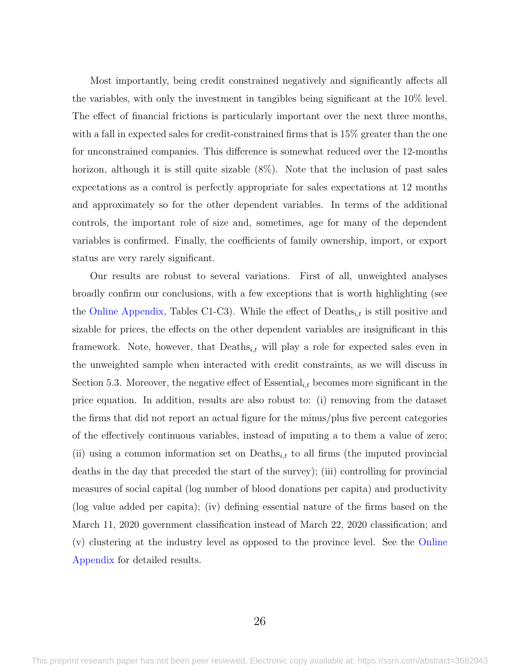Most importantly, being credit constrained negatively and significantly affects all the variables, with only the investment in tangibles being significant at the 10% level. The effect of financial frictions is particularly important over the next three months, with a fall in expected sales for credit-constrained firms that is 15% greater than the one for unconstrained companies. This difference is somewhat reduced over the 12-months horizon, although it is still quite sizable  $(8\%)$ . Note that the inclusion of past sales expectations as a control is perfectly appropriate for sales expectations at 12 months and approximately so for the other dependent variables. In terms of the additional controls, the important role of size and, sometimes, age for many of the dependent variables is confirmed. Finally, the coefficients of family ownership, import, or export status are very rarely significant.

Our results are robust to several variations. First of all, unweighted analyses broadly confirm our conclusions, with a few exceptions that is worth highlighting (see the [Online Appendix,](https://sites.google.com/site/emanuelebrancati/research/separate-online-appendix) Tables C1-C3). While the effect of  $\text{Deaths}_{i,t}$  is still positive and sizable for prices, the effects on the other dependent variables are insignificant in this framework. Note, however, that  $\text{Deaths}_{i,t}$  will play a role for expected sales even in the unweighted sample when interacted with credit constraints, as we will discuss in Section [5.3.](#page-29-0) Moreover, the negative effect of Essential<sub>i,t</sub> becomes more significant in the price equation. In addition, results are also robust to: (i) removing from the dataset the firms that did not report an actual figure for the minus/plus five percent categories of the effectively continuous variables, instead of imputing a to them a value of zero; (ii) using a common information set on  $\text{Deaths}_{i,t}$  to all firms (the imputed provincial deaths in the day that preceded the start of the survey); (iii) controlling for provincial measures of social capital (log number of blood donations per capita) and productivity (log value added per capita); (iv) defining essential nature of the firms based on the March 11, 2020 government classification instead of March 22, 2020 classification; and (v) clustering at the industry level as opposed to the province level. See the [Online](https://sites.google.com/site/emanuelebrancati/research/separate-online-appendix) [Appendix](https://sites.google.com/site/emanuelebrancati/research/separate-online-appendix) for detailed results.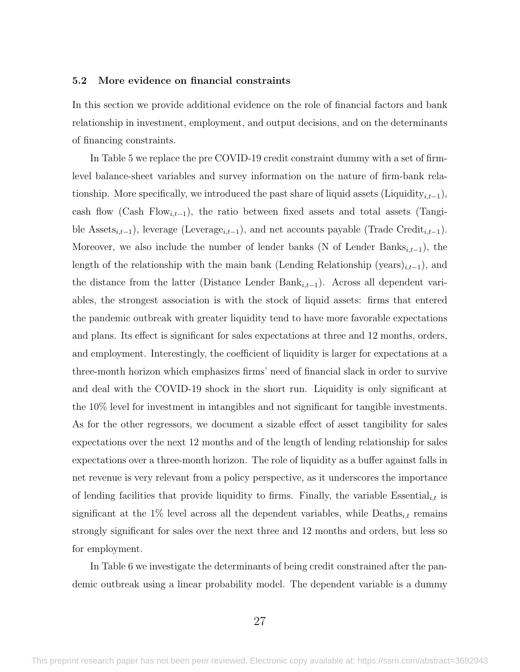#### <span id="page-28-0"></span>5.2 More evidence on financial constraints

In this section we provide additional evidence on the role of financial factors and bank relationship in investment, employment, and output decisions, and on the determinants of financing constraints.

In Table [5](#page-51-0) we replace the pre COVID-19 credit constraint dummy with a set of firmlevel balance-sheet variables and survey information on the nature of firm-bank relationship. More specifically, we introduced the past share of liquid assets (Liquidity<sub>i,t−1</sub>), cash flow (Cash Flow<sub>i,t−1</sub>), the ratio between fixed assets and total assets (Tangible Assets<sub>i,t−1</sub>), leverage (Leverage<sub>i,t−1</sub>), and net accounts payable (Trade Credit<sub>i,t−1</sub>). Moreover, we also include the number of lender banks (N of Lender Banks<sub>i,t−1</sub>), the length of the relationship with the main bank (Lending Relationship (years)<sub>i,t−1</sub>), and the distance from the latter (Distance Lender Ban $k_{i,t-1}$ ). Across all dependent variables, the strongest association is with the stock of liquid assets: firms that entered the pandemic outbreak with greater liquidity tend to have more favorable expectations and plans. Its effect is significant for sales expectations at three and 12 months, orders, and employment. Interestingly, the coefficient of liquidity is larger for expectations at a three-month horizon which emphasizes firms' need of financial slack in order to survive and deal with the COVID-19 shock in the short run. Liquidity is only significant at the 10% level for investment in intangibles and not significant for tangible investments. As for the other regressors, we document a sizable effect of asset tangibility for sales expectations over the next 12 months and of the length of lending relationship for sales expectations over a three-month horizon. The role of liquidity as a buffer against falls in net revenue is very relevant from a policy perspective, as it underscores the importance of lending facilities that provide liquidity to firms. Finally, the variable Essential<sub>i,t</sub> is significant at the 1% level across all the dependent variables, while Deaths<sub>i,t</sub> remains strongly significant for sales over the next three and 12 months and orders, but less so for employment.

In Table [6](#page-52-0) we investigate the determinants of being credit constrained after the pandemic outbreak using a linear probability model. The dependent variable is a dummy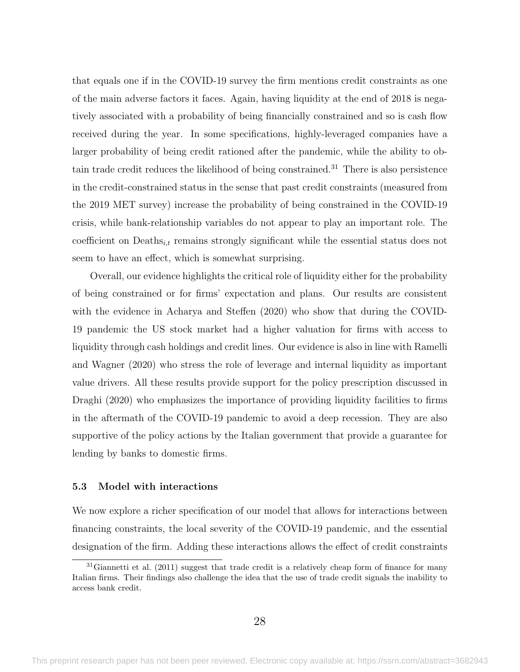that equals one if in the COVID-19 survey the firm mentions credit constraints as one of the main adverse factors it faces. Again, having liquidity at the end of 2018 is negatively associated with a probability of being financially constrained and so is cash flow received during the year. In some specifications, highly-leveraged companies have a larger probability of being credit rationed after the pandemic, while the ability to obtain trade credit reduces the likelihood of being constrained.<sup>31</sup> There is also persistence in the credit-constrained status in the sense that past credit constraints (measured from the 2019 MET survey) increase the probability of being constrained in the COVID-19 crisis, while bank-relationship variables do not appear to play an important role. The coefficient on  $\text{Deaths}_{i,t}$  remains strongly significant while the essential status does not seem to have an effect, which is somewhat surprising.

Overall, our evidence highlights the critical role of liquidity either for the probability of being constrained or for firms' expectation and plans. Our results are consistent with the evidence in [Acharya and Steffen](#page-35-0) [\(2020\)](#page-35-0) who show that during the COVID-19 pandemic the US stock market had a higher valuation for firms with access to liquidity through cash holdings and credit lines. Our evidence is also in line with [Ramelli](#page-39-0) [and Wagner](#page-39-0) [\(2020\)](#page-39-0) who stress the role of leverage and internal liquidity as important value drivers. All these results provide support for the policy prescription discussed in [Draghi](#page-37-14) [\(2020\)](#page-37-14) who emphasizes the importance of providing liquidity facilities to firms in the aftermath of the COVID-19 pandemic to avoid a deep recession. They are also supportive of the policy actions by the Italian government that provide a guarantee for lending by banks to domestic firms.

#### <span id="page-29-0"></span>5.3 Model with interactions

We now explore a richer specification of our model that allows for interactions between financing constraints, the local severity of the COVID-19 pandemic, and the essential designation of the firm. Adding these interactions allows the effect of credit constraints

 $31$ [Giannetti et al.](#page-38-13) [\(2011\)](#page-38-13) suggest that trade credit is a relatively cheap form of finance for many Italian firms. Their findings also challenge the idea that the use of trade credit signals the inability to access bank credit.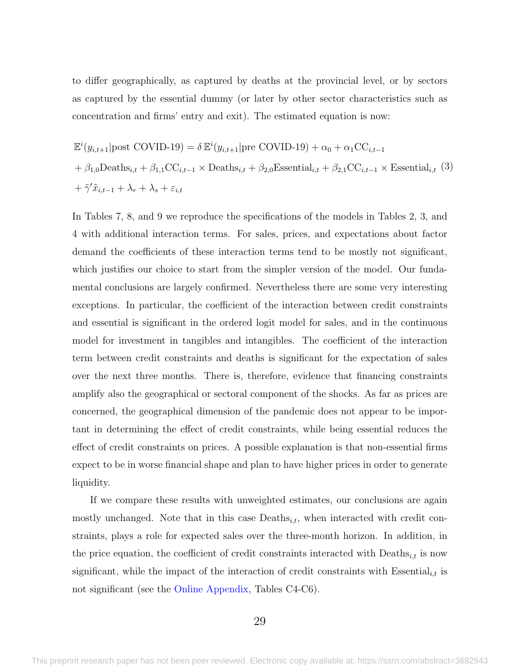to differ geographically, as captured by deaths at the provincial level, or by sectors as captured by the essential dummy (or later by other sector characteristics such as concentration and firms' entry and exit). The estimated equation is now:

<span id="page-30-0"></span>
$$
\mathbb{E}^{i}(y_{i,t+1}|\text{post COVID-19}) = \delta \mathbb{E}^{i}(y_{i,t+1}|\text{pre COVID-19}) + \alpha_{0} + \alpha_{1}CC_{i,t-1}
$$
  
+  $\beta_{1,0}$ Deaths<sub>i,t</sub> +  $\beta_{1,1}$ CC<sub>i,t-1</sub> × Deaths<sub>i,t</sub> +  $\beta_{2,0}$ Essential<sub>i,t</sub> +  $\beta_{2,1}$ CC<sub>i,t-1</sub> × Essential<sub>i,t</sub> (3)  
+  $\tilde{\gamma}'\tilde{x}_{i,t-1} + \lambda_{r} + \lambda_{s} + \varepsilon_{i,t}$ 

In Tables [7,](#page-53-0) [8,](#page-54-0) and [9](#page-55-0) we reproduce the specifications of the models in Tables [2,](#page-48-0) [3,](#page-49-0) and [4](#page-50-0) with additional interaction terms. For sales, prices, and expectations about factor demand the coefficients of these interaction terms tend to be mostly not significant, which justifies our choice to start from the simpler version of the model. Our fundamental conclusions are largely confirmed. Nevertheless there are some very interesting exceptions. In particular, the coefficient of the interaction between credit constraints and essential is significant in the ordered logit model for sales, and in the continuous model for investment in tangibles and intangibles. The coefficient of the interaction term between credit constraints and deaths is significant for the expectation of sales over the next three months. There is, therefore, evidence that financing constraints amplify also the geographical or sectoral component of the shocks. As far as prices are concerned, the geographical dimension of the pandemic does not appear to be important in determining the effect of credit constraints, while being essential reduces the effect of credit constraints on prices. A possible explanation is that non-essential firms expect to be in worse financial shape and plan to have higher prices in order to generate liquidity.

If we compare these results with unweighted estimates, our conclusions are again mostly unchanged. Note that in this case  $\text{Deaths}_{i,t}$ , when interacted with credit constraints, plays a role for expected sales over the three-month horizon. In addition, in the price equation, the coefficient of credit constraints interacted with  $\mathrm{Deaths}_{i,t}$  is now significant, while the impact of the interaction of credit constraints with Essential<sub>i,t</sub> is not significant (see the [Online Appendix,](https://sites.google.com/site/emanuelebrancati/research/separate-online-appendix) Tables C4-C6).

#### 29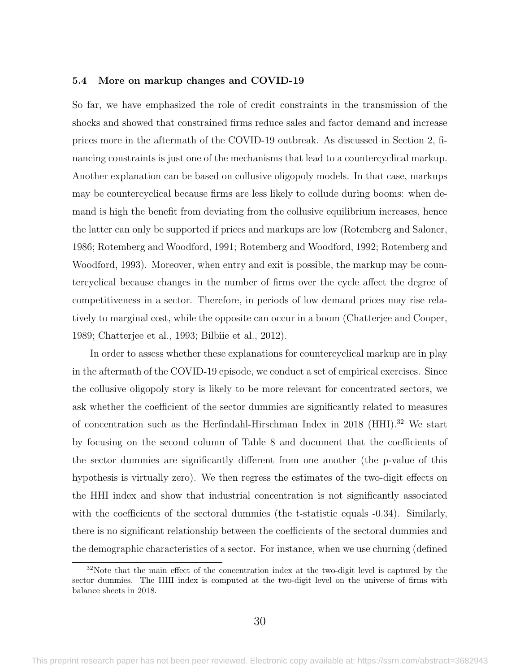#### <span id="page-31-0"></span>5.4 More on markup changes and COVID-19

So far, we have emphasized the role of credit constraints in the transmission of the shocks and showed that constrained firms reduce sales and factor demand and increase prices more in the aftermath of the COVID-19 outbreak. As discussed in Section [2,](#page-6-0) financing constraints is just one of the mechanisms that lead to a countercyclical markup. Another explanation can be based on collusive oligopoly models. In that case, markups may be countercyclical because firms are less likely to collude during booms: when demand is high the benefit from deviating from the collusive equilibrium increases, hence the latter can only be supported if prices and markups are low [\(Rotemberg and Saloner,](#page-39-2) [1986;](#page-39-2) [Rotemberg and Woodford, 1991;](#page-39-3) [Rotemberg and Woodford, 1992;](#page-39-4) [Rotemberg and](#page-39-5) [Woodford, 1993\)](#page-39-5). Moreover, when entry and exit is possible, the markup may be countercyclical because changes in the number of firms over the cycle affect the degree of competitiveness in a sector. Therefore, in periods of low demand prices may rise relatively to marginal cost, while the opposite can occur in a boom [\(Chatterjee and Cooper,](#page-36-11) [1989;](#page-36-11) [Chatterjee et al., 1993;](#page-36-12) [Bilbiie et al., 2012\)](#page-36-13).

In order to assess whether these explanations for countercyclical markup are in play in the aftermath of the COVID-19 episode, we conduct a set of empirical exercises. Since the collusive oligopoly story is likely to be more relevant for concentrated sectors, we ask whether the coefficient of the sector dummies are significantly related to measures of concentration such as the Herfindahl-Hirschman Index in 2018 (HHI).<sup>32</sup> We start by focusing on the second column of Table [8](#page-54-0) and document that the coefficients of the sector dummies are significantly different from one another (the p-value of this hypothesis is virtually zero). We then regress the estimates of the two-digit effects on the HHI index and show that industrial concentration is not significantly associated with the coefficients of the sectoral dummies (the t-statistic equals  $-0.34$ ). Similarly, there is no significant relationship between the coefficients of the sectoral dummies and the demographic characteristics of a sector. For instance, when we use churning (defined

 $32\text{Note that the main effect of the concentration index at the two-digit level is captured by the$ sector dummies. The HHI index is computed at the two-digit level on the universe of firms with balance sheets in 2018.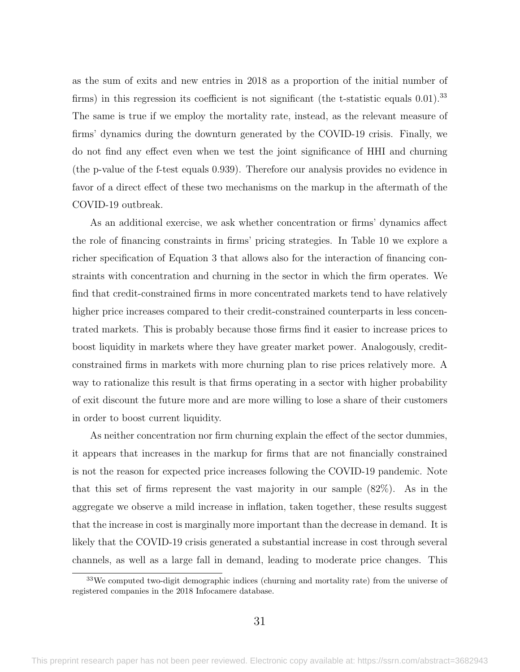as the sum of exits and new entries in 2018 as a proportion of the initial number of firms) in this regression its coefficient is not significant (the t-statistic equals  $0.01$ ).<sup>33</sup> The same is true if we employ the mortality rate, instead, as the relevant measure of firms' dynamics during the downturn generated by the COVID-19 crisis. Finally, we do not find any effect even when we test the joint significance of HHI and churning (the p-value of the f-test equals 0.939). Therefore our analysis provides no evidence in favor of a direct effect of these two mechanisms on the markup in the aftermath of the COVID-19 outbreak.

As an additional exercise, we ask whether concentration or firms' dynamics affect the role of financing constraints in firms' pricing strategies. In Table [10](#page-56-0) we explore a richer specification of Equation [3](#page-30-0) that allows also for the interaction of financing constraints with concentration and churning in the sector in which the firm operates. We find that credit-constrained firms in more concentrated markets tend to have relatively higher price increases compared to their credit-constrained counterparts in less concentrated markets. This is probably because those firms find it easier to increase prices to boost liquidity in markets where they have greater market power. Analogously, creditconstrained firms in markets with more churning plan to rise prices relatively more. A way to rationalize this result is that firms operating in a sector with higher probability of exit discount the future more and are more willing to lose a share of their customers in order to boost current liquidity.

As neither concentration nor firm churning explain the effect of the sector dummies, it appears that increases in the markup for firms that are not financially constrained is not the reason for expected price increases following the COVID-19 pandemic. Note that this set of firms represent the vast majority in our sample (82%). As in the aggregate we observe a mild increase in inflation, taken together, these results suggest that the increase in cost is marginally more important than the decrease in demand. It is likely that the COVID-19 crisis generated a substantial increase in cost through several channels, as well as a large fall in demand, leading to moderate price changes. This

<sup>&</sup>lt;sup>33</sup>We computed two-digit demographic indices (churning and mortality rate) from the universe of registered companies in the 2018 Infocamere database.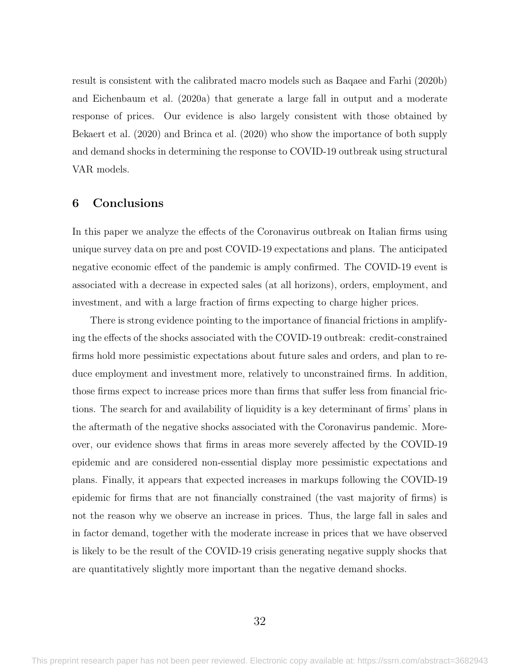result is consistent with the calibrated macro models such as [Baqaee and Farhi](#page-35-7) [\(2020b\)](#page-35-7) and [Eichenbaum et al.](#page-37-2) [\(2020a\)](#page-37-2) that generate a large fall in output and a moderate response of prices. Our evidence is also largely consistent with those obtained by [Bekaert et al.](#page-35-4) [\(2020\)](#page-35-4) and [Brinca et al.](#page-36-4) [\(2020\)](#page-36-4) who show the importance of both supply and demand shocks in determining the response to COVID-19 outbreak using structural VAR models.

### <span id="page-33-0"></span>6 Conclusions

In this paper we analyze the effects of the Coronavirus outbreak on Italian firms using unique survey data on pre and post COVID-19 expectations and plans. The anticipated negative economic effect of the pandemic is amply confirmed. The COVID-19 event is associated with a decrease in expected sales (at all horizons), orders, employment, and investment, and with a large fraction of firms expecting to charge higher prices.

There is strong evidence pointing to the importance of financial frictions in amplifying the effects of the shocks associated with the COVID-19 outbreak: credit-constrained firms hold more pessimistic expectations about future sales and orders, and plan to reduce employment and investment more, relatively to unconstrained firms. In addition, those firms expect to increase prices more than firms that suffer less from financial frictions. The search for and availability of liquidity is a key determinant of firms' plans in the aftermath of the negative shocks associated with the Coronavirus pandemic. Moreover, our evidence shows that firms in areas more severely affected by the COVID-19 epidemic and are considered non-essential display more pessimistic expectations and plans. Finally, it appears that expected increases in markups following the COVID-19 epidemic for firms that are not financially constrained (the vast majority of firms) is not the reason why we observe an increase in prices. Thus, the large fall in sales and in factor demand, together with the moderate increase in prices that we have observed is likely to be the result of the COVID-19 crisis generating negative supply shocks that are quantitatively slightly more important than the negative demand shocks.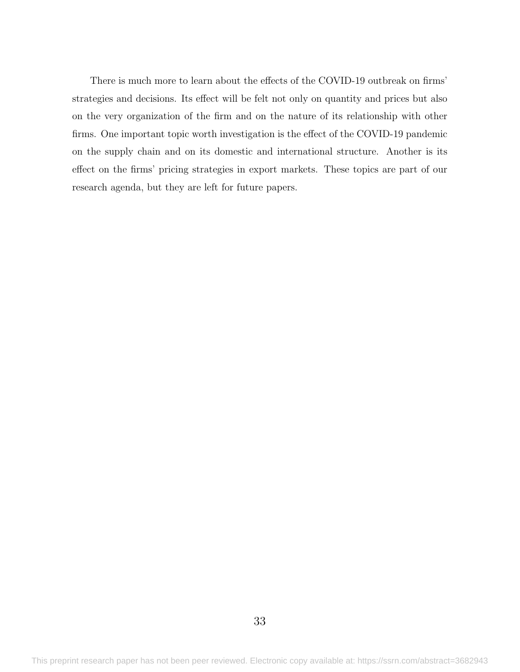There is much more to learn about the effects of the COVID-19 outbreak on firms' strategies and decisions. Its effect will be felt not only on quantity and prices but also on the very organization of the firm and on the nature of its relationship with other firms. One important topic worth investigation is the effect of the COVID-19 pandemic on the supply chain and on its domestic and international structure. Another is its effect on the firms' pricing strategies in export markets. These topics are part of our research agenda, but they are left for future papers.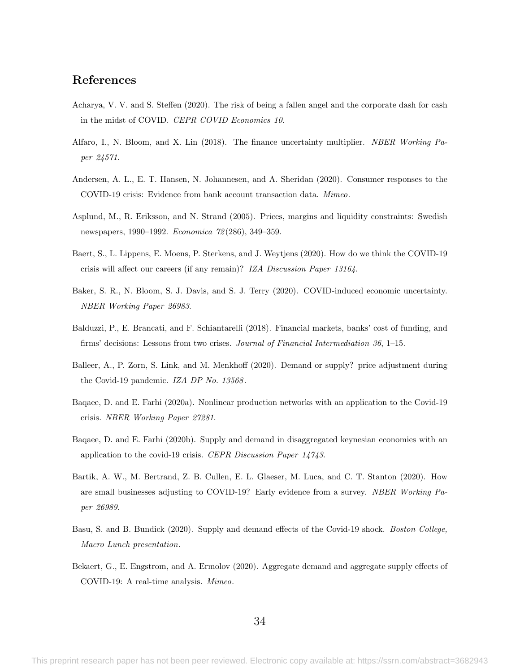### References

- <span id="page-35-0"></span>Acharya, V. V. and S. Steffen (2020). The risk of being a fallen angel and the corporate dash for cash in the midst of COVID. CEPR COVID Economics 10.
- <span id="page-35-11"></span>Alfaro, I., N. Bloom, and X. Lin (2018). The finance uncertainty multiplier. NBER Working Paper 24571.
- <span id="page-35-5"></span>Andersen, A. L., E. T. Hansen, N. Johannesen, and A. Sheridan (2020). Consumer responses to the COVID-19 crisis: Evidence from bank account transaction data. Mimeo.
- <span id="page-35-12"></span>Asplund, M., R. Eriksson, and N. Strand (2005). Prices, margins and liquidity constraints: Swedish newspapers, 1990–1992. Economica 72 (286), 349–359.
- <span id="page-35-3"></span>Baert, S., L. Lippens, E. Moens, P. Sterkens, and J. Weytjens (2020). How do we think the COVID-19 crisis will affect our careers (if any remain)? IZA Discussion Paper 13164.
- <span id="page-35-6"></span>Baker, S. R., N. Bloom, S. J. Davis, and S. J. Terry (2020). COVID-induced economic uncertainty. NBER Working Paper 26983.
- <span id="page-35-10"></span>Balduzzi, P., E. Brancati, and F. Schiantarelli (2018). Financial markets, banks' cost of funding, and firms' decisions: Lessons from two crises. Journal of Financial Intermediation 36, 1–15.
- <span id="page-35-2"></span>Balleer, A., P. Zorn, S. Link, and M. Menkhoff (2020). Demand or supply? price adjustment during the Covid-19 pandemic. IZA DP No. 13568.
- <span id="page-35-8"></span>Baqaee, D. and E. Farhi (2020a). Nonlinear production networks with an application to the Covid-19 crisis. NBER Working Paper 27281.
- <span id="page-35-7"></span>Baqaee, D. and E. Farhi (2020b). Supply and demand in disaggregated keynesian economies with an application to the covid-19 crisis. CEPR Discussion Paper 14743.
- <span id="page-35-1"></span>Bartik, A. W., M. Bertrand, Z. B. Cullen, E. L. Glaeser, M. Luca, and C. T. Stanton (2020). How are small businesses adjusting to COVID-19? Early evidence from a survey. NBER Working Paper 26989.
- <span id="page-35-9"></span>Basu, S. and B. Bundick (2020). Supply and demand effects of the Covid-19 shock. Boston College, Macro Lunch presentation.
- <span id="page-35-4"></span>Bekaert, G., E. Engstrom, and A. Ermolov (2020). Aggregate demand and aggregate supply effects of COVID-19: A real-time analysis. Mimeo.

34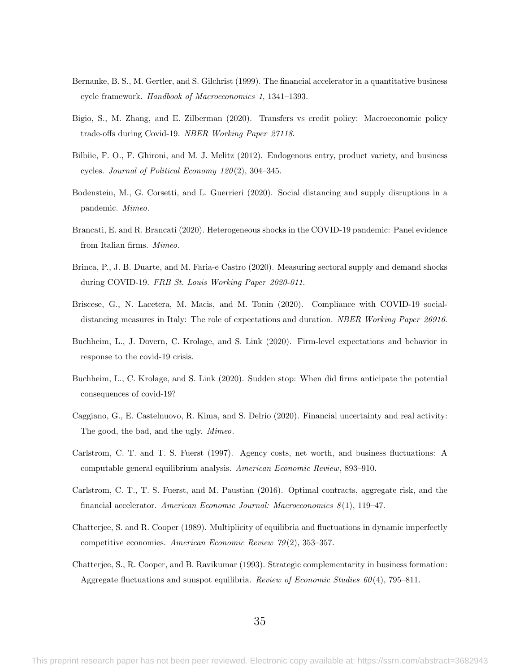- <span id="page-36-8"></span>Bernanke, B. S., M. Gertler, and S. Gilchrist (1999). The financial accelerator in a quantitative business cycle framework. Handbook of Macroeconomics 1, 1341–1393.
- <span id="page-36-6"></span>Bigio, S., M. Zhang, and E. Zilberman (2020). Transfers vs credit policy: Macroeconomic policy trade-offs during Covid-19. NBER Working Paper 27118.
- <span id="page-36-13"></span>Bilbiie, F. O., F. Ghironi, and M. J. Melitz (2012). Endogenous entry, product variety, and business cycles. Journal of Political Economy 120 (2), 304–345.
- <span id="page-36-7"></span>Bodenstein, M., G. Corsetti, and L. Guerrieri (2020). Social distancing and supply disruptions in a pandemic. Mimeo.
- <span id="page-36-3"></span>Brancati, E. and R. Brancati (2020). Heterogeneous shocks in the COVID-19 pandemic: Panel evidence from Italian firms. Mimeo.
- <span id="page-36-4"></span>Brinca, P., J. B. Duarte, and M. Faria-e Castro (2020). Measuring sectoral supply and demand shocks during COVID-19. FRB St. Louis Working Paper 2020-011.
- <span id="page-36-2"></span>Briscese, G., N. Lacetera, M. Macis, and M. Tonin (2020). Compliance with COVID-19 socialdistancing measures in Italy: The role of expectations and duration. NBER Working Paper 26916.
- <span id="page-36-1"></span>Buchheim, L., J. Dovern, C. Krolage, and S. Link (2020). Firm-level expectations and behavior in response to the covid-19 crisis.
- <span id="page-36-0"></span>Buchheim, L., C. Krolage, and S. Link (2020). Sudden stop: When did firms anticipate the potential consequences of covid-19?
- <span id="page-36-5"></span>Caggiano, G., E. Castelnuovo, R. Kima, and S. Delrio (2020). Financial uncertainty and real activity: The good, the bad, and the ugly. Mimeo.
- <span id="page-36-9"></span>Carlstrom, C. T. and T. S. Fuerst (1997). Agency costs, net worth, and business fluctuations: A computable general equilibrium analysis. American Economic Review, 893–910.
- <span id="page-36-10"></span>Carlstrom, C. T., T. S. Fuerst, and M. Paustian (2016). Optimal contracts, aggregate risk, and the financial accelerator. American Economic Journal: Macroeconomics  $8(1)$ , 119–47.
- <span id="page-36-11"></span>Chatterjee, S. and R. Cooper (1989). Multiplicity of equilibria and fluctuations in dynamic imperfectly competitive economies. American Economic Review 79 (2), 353–357.
- <span id="page-36-12"></span>Chatterjee, S., R. Cooper, and B. Ravikumar (1993). Strategic complementarity in business formation: Aggregate fluctuations and sunspot equilibria. Review of Economic Studies  $60(4)$ , 795–811.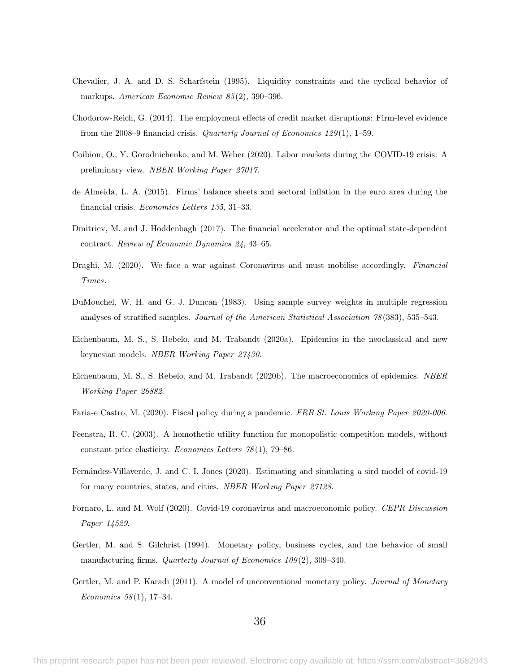- <span id="page-37-10"></span>Chevalier, J. A. and D. S. Scharfstein (1995). Liquidity constraints and the cyclical behavior of markups. American Economic Review 85 (2), 390–396.
- <span id="page-37-9"></span>Chodorow-Reich, G. (2014). The employment effects of credit market disruptions: Firm-level evidence from the 2008–9 financial crisis. Quarterly Journal of Economics 129(1), 1–59.
- <span id="page-37-0"></span>Coibion, O., Y. Gorodnichenko, and M. Weber (2020). Labor markets during the COVID-19 crisis: A preliminary view. NBER Working Paper 27017.
- <span id="page-37-13"></span>de Almeida, L. A. (2015). Firms' balance sheets and sectoral inflation in the euro area during the financial crisis. Economics Letters 135, 31–33.
- <span id="page-37-7"></span>Dmitriev, M. and J. Hoddenbagh (2017). The financial accelerator and the optimal state-dependent contract. Review of Economic Dynamics 24, 43–65.
- <span id="page-37-14"></span>Draghi, M. (2020). We face a war against Coronavirus and must mobilise accordingly. Financial Times.
- <span id="page-37-12"></span>DuMouchel, W. H. and G. J. Duncan (1983). Using sample survey weights in multiple regression analyses of stratified samples. Journal of the American Statistical Association 78 (383), 535–543.
- <span id="page-37-2"></span>Eichenbaum, M. S., S. Rebelo, and M. Trabandt (2020a). Epidemics in the neoclassical and new keynesian models. NBER Working Paper 27430.
- <span id="page-37-3"></span>Eichenbaum, M. S., S. Rebelo, and M. Trabandt (2020b). The macroeconomics of epidemics. NBER Working Paper 26882.
- <span id="page-37-1"></span>Faria-e Castro, M. (2020). Fiscal policy during a pandemic. FRB St. Louis Working Paper 2020-006.
- <span id="page-37-11"></span>Feenstra, R. C. (2003). A homothetic utility function for monopolistic competition models, without constant price elasticity. Economics Letters 78 (1), 79–86.
- <span id="page-37-4"></span>Fernández-Villaverde, J. and C. I. Jones (2020). Estimating and simulating a sird model of covid-19 for many countries, states, and cities. NBER Working Paper 27128.
- <span id="page-37-5"></span>Fornaro, L. and M. Wolf (2020). Covid-19 coronavirus and macroeconomic policy. CEPR Discussion Paper 14529.
- <span id="page-37-8"></span>Gertler, M. and S. Gilchrist (1994). Monetary policy, business cycles, and the behavior of small manufacturing firms. Quarterly Journal of Economics 109(2), 309-340.
- <span id="page-37-6"></span>Gertler, M. and P. Karadi (2011). A model of unconventional monetary policy. *Journal of Monetary* Economics  $58(1)$ , 17-34.

36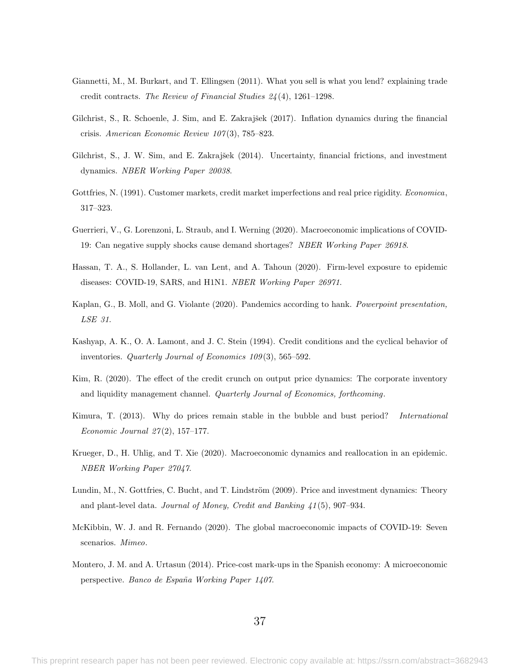- <span id="page-38-13"></span>Giannetti, M., M. Burkart, and T. Ellingsen (2011). What you sell is what you lend? explaining trade credit contracts. The Review of Financial Studies 24 (4), 1261–1298.
- <span id="page-38-8"></span>Gilchrist, S., R. Schoenle, J. Sim, and E. Zakrajšek  $(2017)$ . Inflation dynamics during the financial crisis. American Economic Review 107 (3), 785–823.
- <span id="page-38-6"></span>Gilchrist, S., J. W. Sim, and E. Zakrajšek (2014). Uncertainty, financial frictions, and investment dynamics. NBER Working Paper 20038.
- <span id="page-38-7"></span>Gottfries, N. (1991). Customer markets, credit market imperfections and real price rigidity. *Economica*, 317–323.
- <span id="page-38-1"></span>Guerrieri, V., G. Lorenzoni, L. Straub, and I. Werning (2020). Macroeconomic implications of COVID-19: Can negative supply shocks cause demand shortages? NBER Working Paper 26918.
- <span id="page-38-0"></span>Hassan, T. A., S. Hollander, L. van Lent, and A. Tahoun (2020). Firm-level exposure to epidemic diseases: COVID-19, SARS, and H1N1. NBER Working Paper 26971.
- <span id="page-38-2"></span>Kaplan, G., B. Moll, and G. Violante (2020). Pandemics according to hank. Powerpoint presentation, LSE 31.
- <span id="page-38-5"></span>Kashyap, A. K., O. A. Lamont, and J. C. Stein (1994). Credit conditions and the cyclical behavior of inventories. Quarterly Journal of Economics 109(3), 565-592.
- <span id="page-38-9"></span>Kim, R. (2020). The effect of the credit crunch on output price dynamics: The corporate inventory and liquidity management channel. Quarterly Journal of Economics, forthcoming.
- <span id="page-38-10"></span>Kimura, T. (2013). Why do prices remain stable in the bubble and bust period? International Economic Journal 27 (2), 157–177.
- <span id="page-38-3"></span>Krueger, D., H. Uhlig, and T. Xie (2020). Macroeconomic dynamics and reallocation in an epidemic. NBER Working Paper 27047.
- <span id="page-38-11"></span>Lundin, M., N. Gottfries, C. Bucht, and T. Lindström (2009). Price and investment dynamics: Theory and plant-level data. Journal of Money, Credit and Banking 41 (5), 907–934.
- <span id="page-38-4"></span>McKibbin, W. J. and R. Fernando (2020). The global macroeconomic impacts of COVID-19: Seven scenarios. Mimeo.
- <span id="page-38-12"></span>Montero, J. M. and A. Urtasun (2014). Price-cost mark-ups in the Spanish economy: A microeconomic perspective. Banco de España Working Paper 1407.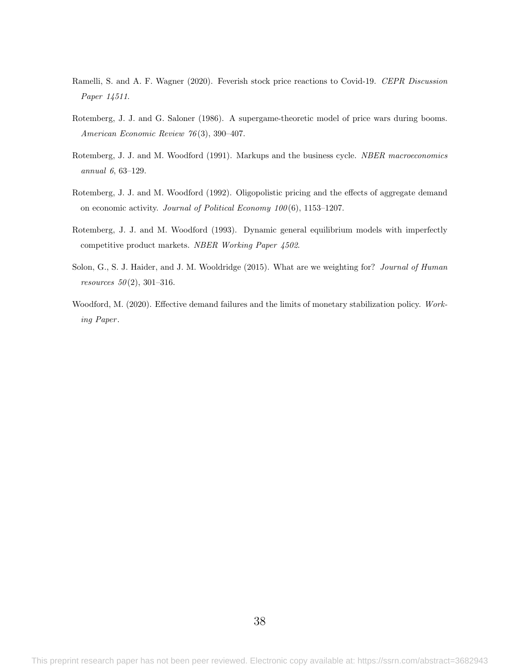- <span id="page-39-0"></span>Ramelli, S. and A. F. Wagner (2020). Feverish stock price reactions to Covid-19. CEPR Discussion Paper 14511.
- <span id="page-39-2"></span>Rotemberg, J. J. and G. Saloner (1986). A supergame-theoretic model of price wars during booms. American Economic Review 76 (3), 390–407.
- <span id="page-39-3"></span>Rotemberg, J. J. and M. Woodford (1991). Markups and the business cycle. *NBER macroeconomics* annual 6, 63–129.
- <span id="page-39-4"></span>Rotemberg, J. J. and M. Woodford (1992). Oligopolistic pricing and the effects of aggregate demand on economic activity. Journal of Political Economy 100 (6), 1153–1207.
- <span id="page-39-5"></span>Rotemberg, J. J. and M. Woodford (1993). Dynamic general equilibrium models with imperfectly competitive product markets. NBER Working Paper 4502.
- <span id="page-39-6"></span>Solon, G., S. J. Haider, and J. M. Wooldridge (2015). What are we weighting for? Journal of Human *resources*  $50(2)$ , 301–316.
- <span id="page-39-1"></span>Woodford, M. (2020). Effective demand failures and the limits of monetary stabilization policy. Working Paper .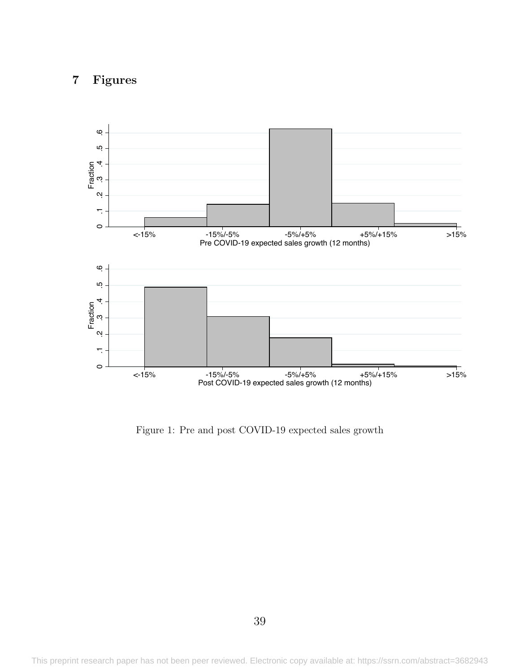## 7 Figures

<span id="page-40-0"></span>

Figure 1: Pre and post COVID-19 expected sales growth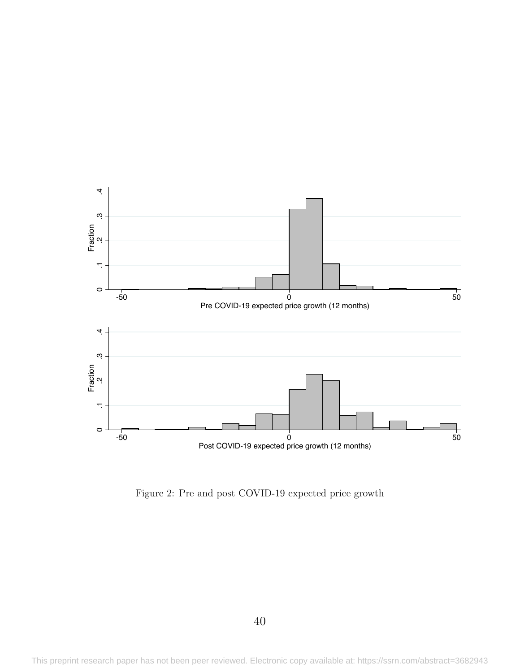<span id="page-41-0"></span>

Figure 2: Pre and post COVID-19 expected price growth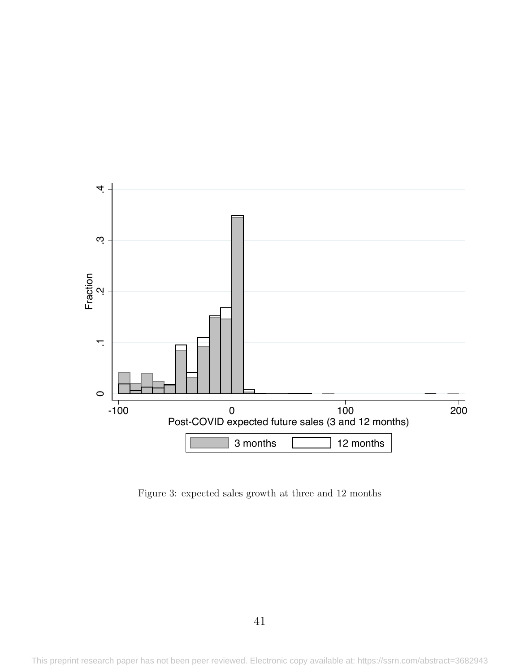<span id="page-42-0"></span>

Figure 3: expected sales growth at three and 12 months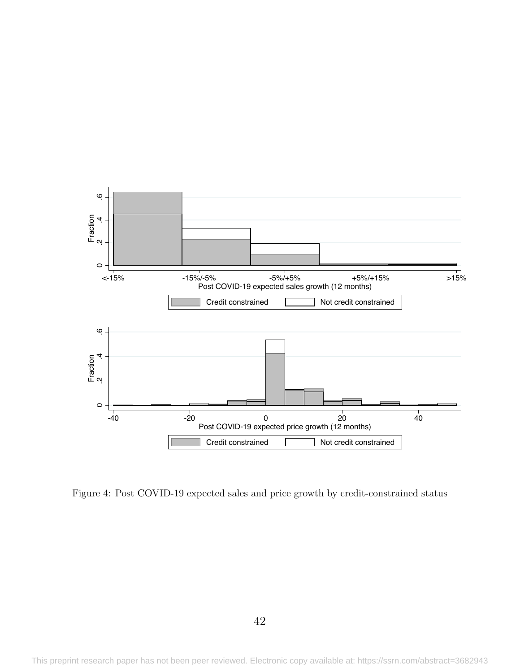<span id="page-43-0"></span>

Figure 4: Post COVID-19 expected sales and price growth by credit-constrained status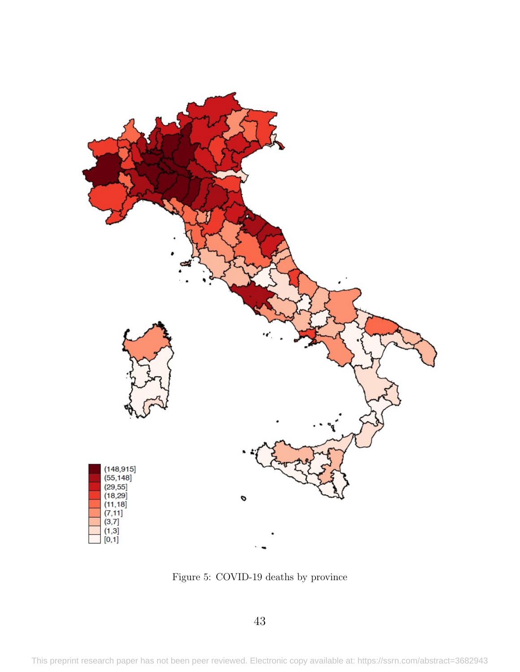<span id="page-44-0"></span>

Figure 5: COVID-19 deaths by province

43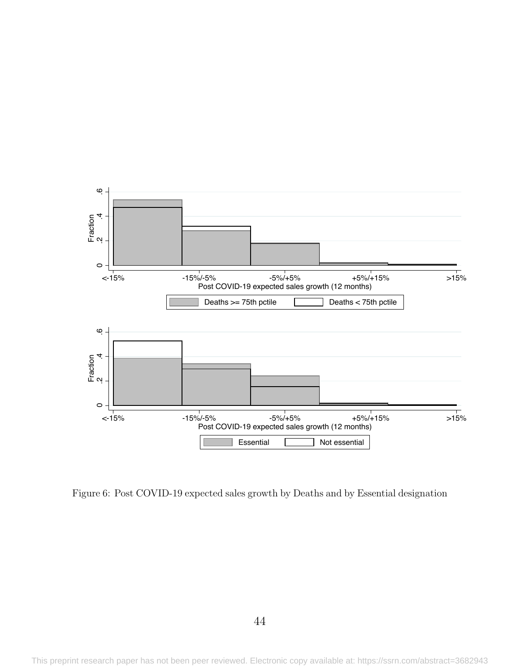<span id="page-45-0"></span>

Figure 6: Post COVID-19 expected sales growth by Deaths and by Essential designation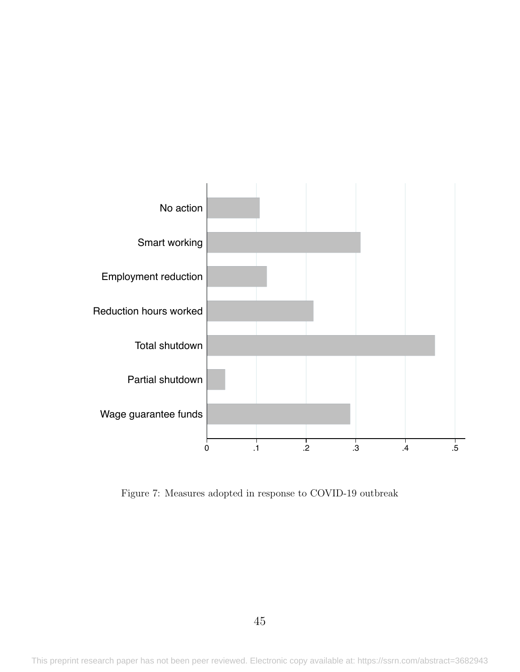<span id="page-46-0"></span>

Figure 7: Measures adopted in response to COVID-19 outbreak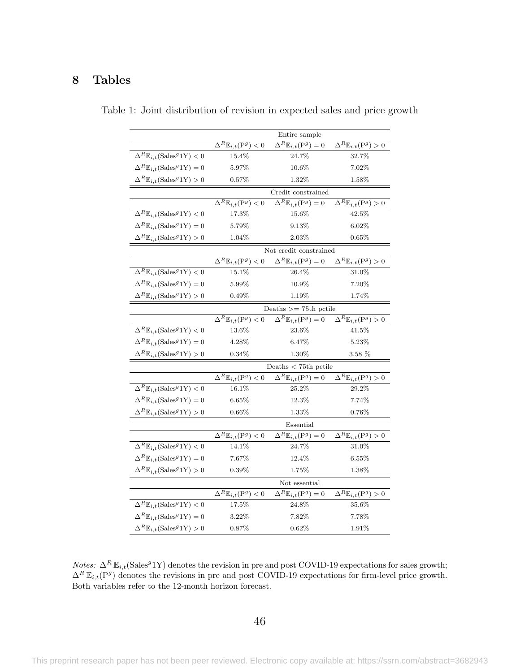## <span id="page-47-0"></span>8 Tables

|                                                           |                                               | Entire sample                                 |                                               |  |  |
|-----------------------------------------------------------|-----------------------------------------------|-----------------------------------------------|-----------------------------------------------|--|--|
|                                                           | $\Delta^R \mathbb{E}_{i,t}(\mathbf{P}^g) < 0$ | $\Delta^R \mathbb{E}_{i,t}(\mathbf{P}^g) = 0$ | $\Delta^R \mathbb{E}_{i,t}(\mathbf{P}^g) > 0$ |  |  |
| $\Delta^R \mathbb{E}_{i,t}(\text{Sales}^g 1\text{Y}) < 0$ | $15.4\%$                                      | $24.7\%$                                      | $32.7\%$                                      |  |  |
| $\Delta^R \mathbb{E}_{i,t}(\text{Sales}^g1\text{Y})=0$    | 5.97%                                         | $10.6\%$                                      | $7.02\%$                                      |  |  |
| $\Delta^R \mathbb{E}_{i,t}(\text{Sales}^g 1\text{Y}) > 0$ | $0.57\%$                                      | $1.32\%$                                      | $1.58\%$                                      |  |  |
|                                                           |                                               | Credit constrained                            |                                               |  |  |
|                                                           | $\Delta^R \mathbb{E}_{i,t}(\mathbf{P}^g) < 0$ | $\Delta^R \mathbb{E}_{i,t}(\mathbf{P}^g) = 0$ | $\Delta^R \mathbb{E}_{i,t}(\mathbf{P}^g) > 0$ |  |  |
| $\Delta^R \mathbb{E}_{i,t}(\text{Sales}^g 1\text{Y}) < 0$ | 17.3%                                         | 15.6%                                         | 42.5%                                         |  |  |
| $\Delta^R \mathbb{E}_{i,t}(\text{Sales}^g1\text{Y})=0$    | $5.79\%$                                      | 9.13\%                                        | 6.02%                                         |  |  |
| $\Delta^R \mathbb{E}_{i,t}(\text{Sales}^g 1\text{Y}) > 0$ | 1.04%                                         | 2.03%                                         | $0.65\%$                                      |  |  |
|                                                           |                                               | Not credit constrained                        |                                               |  |  |
|                                                           | $\Delta^R \mathbb{E}_{i,t}(\mathbf{P}^g) < 0$ | $\Delta^R \mathbb{E}_{i,t}(\mathbf{P}^g) = 0$ | $\Delta^R \mathbb{E}_{i,t}(\mathbf{P}^g) > 0$ |  |  |
| $\Delta^R \mathbb{E}_{i,t}(\text{Sales}^g 1\text{Y}) < 0$ | 15.1%                                         | 26.4%                                         | $31.0\%$                                      |  |  |
| $\Delta^R \mathbb{E}_{i,t}(\text{Sales}^g1\text{Y})=0$    | $5.99\%$                                      | $10.9\%$                                      | $7.20\%$                                      |  |  |
| $\Delta^R \mathbb{E}_{i,t}$ (Sales <sup>9</sup> 1Y) > 0   | $0.49\%$                                      | 1.19%                                         | 1.74%                                         |  |  |
|                                                           | Deaths $>=$ 75th pctile                       |                                               |                                               |  |  |
|                                                           | $\Delta^R \mathbb{E}_{i,t}(\mathbf{P}^g) < 0$ | $\Delta^R \mathbb{E}_{i,t}(\mathbf{P}^g) = 0$ | $\Delta^R \mathbb{E}_{i,t}(\mathbf{P}^g) > 0$ |  |  |
| $\Delta^R \mathbb{E}_{i,t}(\text{Sales}^g 1\text{Y}) < 0$ | 13.6%                                         | 23.6%                                         | $41.5\%$                                      |  |  |
| $\Delta^R \mathbb{E}_{i,t}(\text{Sales}^g1\text{Y})=0$    | 4.28%                                         | $6.47\%$                                      | 5.23%                                         |  |  |
| $\Delta^R \mathbb{E}_{i,t}(\text{Sales}^g 1\text{Y}) > 0$ | $0.34\%$                                      | $1.30\%$                                      | 3.58 %                                        |  |  |
|                                                           |                                               | Deaths $<$ 75th pctile                        |                                               |  |  |
|                                                           | $\Delta^R \mathbb{E}_{i,t}(\mathbf{P}^g) < 0$ | $\Delta^R \mathbb{E}_{i,t}(\mathbf{P}^g) = 0$ | $\Delta^R \mathbb{E}_{i,t}(\mathbf{P}^g) > 0$ |  |  |
| $\Delta^R \mathbb{E}_{i,t}(\text{Sales}^g 1\text{Y}) < 0$ | $16.1\%$                                      | 25.2%                                         | 29.2%                                         |  |  |
| $\Delta^R \mathbb{E}_{i,t}(\text{Sales}^g1\text{Y})=0$    | 6.65%                                         | $12.3\%$                                      | 7.74%                                         |  |  |
| $\Delta^R \mathbb{E}_{i,t}(\text{Sales}^g 1\text{Y}) > 0$ | $0.66\%$                                      | $1.33\%$                                      | 0.76%                                         |  |  |
|                                                           |                                               | Essential                                     |                                               |  |  |
|                                                           | $\Delta^R \mathbb{E}_{i,t}(\mathbf{P}^g) < 0$ | $\Delta^R \mathbb{E}_{i,t}(\mathbf{P}^g) = 0$ | $\Delta^R \mathbb{E}_{i,t}(\mathbf{P}^g) > 0$ |  |  |
| $\Delta^R \mathbb{E}_{i,t}(\text{Sales}^g 1\text{Y}) < 0$ | 14.1%                                         | 24.7%                                         | 31.0%                                         |  |  |
| $\Delta^R \mathbb{E}_{i,t}(\text{Sales}^g1\text{Y})=0$    | 7.67%                                         | 12.4%                                         | $6.55\%$                                      |  |  |
| $\Delta^R \mathbb{E}_{i,t}(\text{Sales}^g 1\text{Y}) > 0$ | $0.39\%$                                      | $1.75\%$                                      | $1.38\%$                                      |  |  |
|                                                           |                                               | Not essential                                 |                                               |  |  |
|                                                           | $\Delta^R \mathbb{E}_{i,t}(\mathbf{P}^g) < 0$ | $\Delta^R \mathbb{E}_{i,t}(\mathbf{P}^g) = 0$ | $\Delta^R \mathbb{E}_{i,t}(\mathbf{P}^g) > 0$ |  |  |
| $\Delta^R \mathbb{E}_{i,t}(\text{Sales}^g 1\text{Y}) < 0$ | 17.5%                                         | 24.8%                                         | 35.6%                                         |  |  |
| $\Delta^R \mathbb{E}_{i,t}(\text{Sales}^g1\text{Y})=0$    | 3.22%                                         | 7.82%                                         | $7.78\%$                                      |  |  |
| $\Delta^R \mathbb{E}_{i,t}(\text{Sales}^g 1\text{Y}) > 0$ | 0.87%                                         | $0.62\%$                                      | 1.91%                                         |  |  |

Table 1: Joint distribution of revision in expected sales and price growth

*Notes:*  $\Delta^R \mathbb{E}_{i,t}$ (Sales<sup>9</sup>1Y) denotes the revision in pre and post COVID-19 expectations for sales growth;  $\Delta^R \mathbb{E}_{i,t}(\mathbb{P}^g)$  denotes the revisions in pre and post COVID-19 expectations for firm-level price growth. Both variables refer to the 12-month horizon forecast.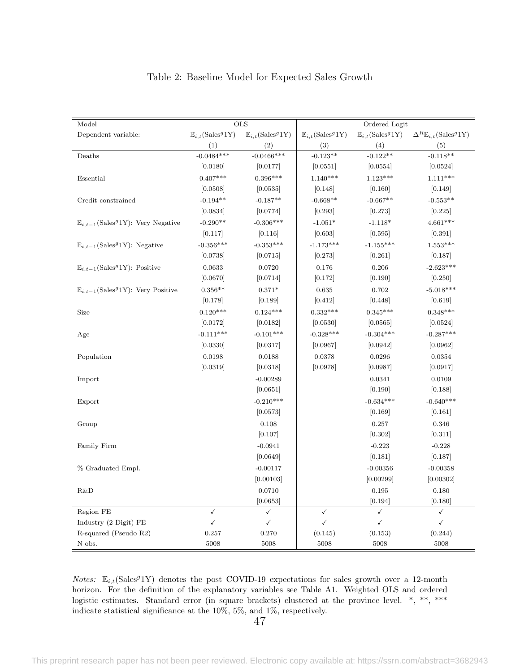<span id="page-48-0"></span>

| Model                                                         |                                              | <b>OLS</b>                                  |                                             | Ordered Logit                               |                                                       |
|---------------------------------------------------------------|----------------------------------------------|---------------------------------------------|---------------------------------------------|---------------------------------------------|-------------------------------------------------------|
| Dependent variable:                                           | $\mathbb{E}_{i,t}(\text{Sales}^g 1\text{Y})$ | $\mathbb{E}_{i,t}(\text{Sales}^g1\text{Y})$ | $\mathbb{E}_{i,t}(\text{Sales}^g1\text{Y})$ | $\mathbb{E}_{i,t}(\text{Sales}^g1\text{Y})$ | $\Delta^R \mathbb{E}_{i,t}(\text{Sales}^g 1\text{Y})$ |
|                                                               | (1)                                          | (2)                                         | (3)                                         | (4)                                         | (5)                                                   |
| Deaths                                                        | $-0.0484***$                                 | $-0.0466$ ***                               | $-0.123**$                                  | $-0.122**$                                  | $-0.118**$                                            |
|                                                               | [0.0180]                                     | [0.0177]                                    | [0.0551]                                    | [0.0554]                                    | [0.0524]                                              |
| Essential                                                     | $0.407***$                                   | $0.396***$                                  | $1.140***$                                  | $1.123***$                                  | $1.111***$                                            |
|                                                               | [0.0508]                                     | [0.0535]                                    | [0.148]                                     | [0.160]                                     | [0.149]                                               |
| Credit constrained                                            | $-0.194**$                                   | $-0.187**$                                  | $-0.668**$                                  | $-0.667**$                                  | $-0.553**$                                            |
|                                                               | [0.0834]                                     | [0.0774]                                    | [0.293]                                     | [0.273]                                     | [0.225]                                               |
| $\mathbb{E}_{i,t-1}(\text{Sales}^g 1Y)$ : Very Negative       | $-0.290**$                                   | $-0.306***$                                 | $-1.051*$                                   | $-1.118*$                                   | $4.661***$                                            |
|                                                               | [0.117]                                      | [0.116]                                     | [0.603]                                     | [0.595]                                     | [0.391]                                               |
| $\mathbb{E}_{i,t-1}(\text{Sales}^g 1Y)$ : Negative            | $-0.356***$                                  | $-0.353***$                                 | $-1.173***$                                 | $-1.155***$                                 | $1.553***$                                            |
|                                                               | [0.0738]                                     | [0.0715]                                    | [0.273]                                     | [0.261]                                     | [0.187]                                               |
| $\mathbb{E}_{i,t-1}$ (Sales <sup><i>g</i></sup> 1Y): Positive | 0.0633                                       | 0.0720                                      | 0.176                                       | 0.206                                       | $-2.623***$                                           |
|                                                               | [0.0670]                                     | [0.0714]                                    | [0.172]                                     | [0.190]                                     | [0.250]                                               |
| $\mathbb{E}_{i,t-1}$ (Sales <sup>9</sup> 1Y): Very Positive   | $0.356**$                                    | $0.371*$                                    | 0.635                                       | 0.702                                       | $-5.018***$                                           |
|                                                               | [0.178]                                      | [0.189]                                     | [0.412]                                     | [0.448]                                     | [0.619]                                               |
| Size                                                          | $0.120***$                                   | $0.124***$                                  | $0.332***$                                  | $0.345***$                                  | $0.348***$                                            |
|                                                               | [0.0172]                                     | [0.0182]                                    | [0.0530]                                    | [0.0565]                                    | [0.0524]                                              |
| Age                                                           | $-0.111***$                                  | $-0.101***$                                 | $-0.328***$                                 | $-0.304***$                                 | $-0.287***$                                           |
|                                                               | [0.0330]                                     | [0.0317]                                    | [0.0967]                                    | [0.0942]                                    | [0.0962]                                              |
| Population                                                    | 0.0198                                       | 0.0188                                      | 0.0378                                      | 0.0296                                      | 0.0354                                                |
|                                                               | [0.0319]                                     | [0.0318]                                    | [0.0978]                                    | [0.0987]                                    | [0.0917]                                              |
| Import                                                        |                                              | $-0.00289$                                  |                                             | 0.0341                                      | 0.0109                                                |
|                                                               |                                              | [0.0651]                                    |                                             | [0.190]                                     | [0.188]                                               |
| Export                                                        |                                              | $-0.210***$                                 |                                             | $-0.634***$                                 | $-0.640***$                                           |
|                                                               |                                              | [0.0573]                                    |                                             | [0.169]                                     | [0.161]                                               |
| Group                                                         |                                              | 0.108                                       |                                             | 0.257                                       | 0.346                                                 |
|                                                               |                                              | [0.107]                                     |                                             | [0.302]                                     | [0.311]                                               |
| Family Firm                                                   |                                              | $-0.0941$                                   |                                             | $-0.223$                                    | $-0.228$                                              |
|                                                               |                                              | [0.0649]                                    |                                             | [0.181]                                     | [0.187]                                               |
| % Graduated Empl.                                             |                                              | $-0.00117$                                  |                                             | $-0.00356$                                  | $-0.00358$                                            |
|                                                               |                                              | [0.00103]                                   |                                             | [0.00299]                                   | [0.00302]                                             |
| R&D                                                           |                                              | 0.0710                                      |                                             | 0.195                                       | 0.180                                                 |
|                                                               |                                              | [0.0653]                                    |                                             | [0.194]                                     | [0.180]                                               |
| Region FE                                                     | $\checkmark$                                 | $\checkmark$                                | $\checkmark$                                | $\checkmark$                                | $\checkmark$                                          |
| Industry (2 Digit) FE                                         | $\checkmark$                                 | ✓                                           | $\checkmark$                                | $\checkmark$                                | $\checkmark$                                          |
| R-squared (Pseudo R2)                                         | 0.257                                        | 0.270                                       | (0.145)                                     | (0.153)                                     | (0.244)                                               |
| ${\cal N}$ obs.                                               | 5008                                         | 5008                                        | 5008                                        | 5008                                        | 5008                                                  |

#### Table 2: Baseline Model for Expected Sales Growth

*Notes:*  $\mathbb{E}_{i,t}$ (Sales<sup>9</sup>1Y) denotes the post COVID-19 expectations for sales growth over a 12-month horizon. For the definition of the explanatory variables see Table [A1.](#page-57-0) Weighted OLS and ordered logistic estimates. Standard error (in square brackets) clustered at the province level. \*, \*\*, \*\*\* indicate statistical significance at the 10%, 5%, and 1%, respectively.

47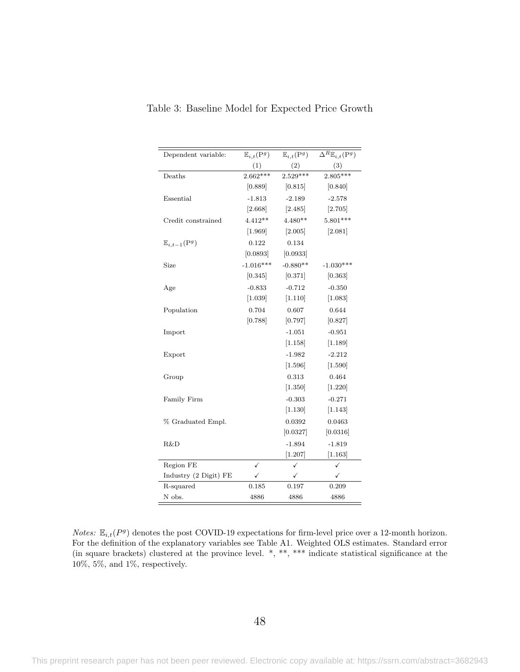| Dependent variable:                | $\mathbb{E}_{i,t}(\mathrm{P}^g)$ | $\mathbb{E}_{i,t}(\mathrm{P}^g)$ | $\Delta^R \mathbb{E}_{i,t}(\mathbf{P}^g)$ |
|------------------------------------|----------------------------------|----------------------------------|-------------------------------------------|
|                                    | (1)                              | (2)                              | (3)                                       |
| Deaths                             | $2.662***$                       | $2.529***$                       | $2.805***$                                |
|                                    | [0.889]                          | [0.815]                          | [0.840]                                   |
| Essential                          | $-1.813$                         | $-2.189$                         | $-2.578$                                  |
|                                    | [2.668]                          | [2.485]                          | [2.705]                                   |
| Credit constrained                 | $4.412**$                        | $4.480**$                        | $5.801***$                                |
|                                    | [1.969]                          | [2.005]                          | [2.081]                                   |
| $\mathbb{E}_{i,t-1}(\mathrm{P}^g)$ | 0.122                            | 0.134                            |                                           |
|                                    | [0.0893]                         | [0.0933]                         |                                           |
| Size                               | $-1.016***$                      | $-0.880**$                       | $-1.030***$                               |
|                                    | [0.345]                          | [0.371]                          | [0.363]                                   |
| Age                                | $-0.833$                         | $-0.712$                         | $-0.350$                                  |
|                                    | [1.039]                          | [1.110]                          | [1.083]                                   |
| Population                         | 0.704                            | 0.607                            | 0.644                                     |
|                                    | [0.788]                          | [0.797]                          | [0.827]                                   |
| Import                             |                                  | $-1.051$                         | $-0.951$                                  |
|                                    |                                  | [1.158]                          | [1.189]                                   |
| Export                             |                                  | $-1.982$                         | $-2.212$                                  |
|                                    |                                  | [1.596]                          | [1.590]                                   |
| Group                              |                                  | 0.313                            | 0.464                                     |
|                                    |                                  | [1.350]                          | [1.220]                                   |
| Family Firm                        |                                  | $-0.303$                         | $-0.271$                                  |
|                                    |                                  | [1.130]                          | [1.143]                                   |
| % Graduated Empl.                  |                                  | 0.0392                           | 0.0463                                    |
|                                    |                                  | [0.0327]                         | [0.0316]                                  |
| R&D                                |                                  | $-1.894$                         | $-1.819$                                  |
|                                    |                                  | [1.207]                          | [1.163]                                   |
| Region FE                          | ✓                                | ✓                                | ✓                                         |
| Industry (2 Digit) FE              | ✓                                | ✓                                | ✓                                         |
| R-squared                          | 0.185                            | 0.197                            | 0.209                                     |
| N obs.                             | 4886                             | 4886                             | 4886                                      |

<span id="page-49-0"></span>Table 3: Baseline Model for Expected Price Growth

*Notes:*  $\mathbb{E}_{i,t}(P^g)$  denotes the post COVID-19 expectations for firm-level price over a 12-month horizon. For the definition of the explanatory variables see Table [A1.](#page-57-0) Weighted OLS estimates. Standard error (in square brackets) clustered at the province level. \*, \*\*, \*\*\* indicate statistical significance at the 10%, 5%, and 1%, respectively.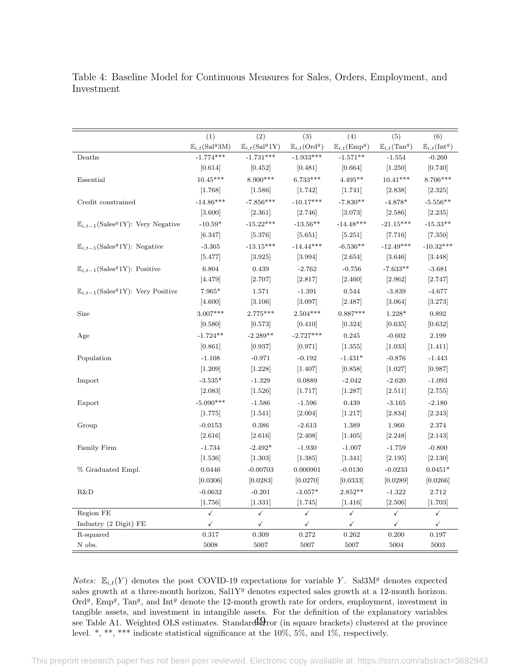<span id="page-50-0"></span>Table 4: Baseline Model for Continuous Measures for Sales, Orders, Employment, and Investment

|                                                                | (1)                                       | (2)                                        | (3)                              | (4)                              | (5)                              | (6)                              |
|----------------------------------------------------------------|-------------------------------------------|--------------------------------------------|----------------------------------|----------------------------------|----------------------------------|----------------------------------|
|                                                                | $\mathbb{E}_{i,t}(\text{Sal}^g3\text{M})$ | $\mathbb{E}_{i,t}(\text{Sal}^g 1\text{Y})$ | $\mathbb{E}_{i,t}(\text{Ord}^g)$ | $\mathbb{E}_{i,t}(\text{Emp}^g)$ | $\mathbb{E}_{i,t}(\text{Tan}^g)$ | $\mathbb{E}_{i,t}(\text{Int}^g)$ |
| Deaths                                                         | $-1.774***$                               | $-1.731***$                                | $-1.933***$                      | $-1.571**$                       | $-1.554$                         | $-0.260$                         |
|                                                                | [0.614]                                   | [0.452]                                    | [0.481]                          | [0.664]                          | [1.250]                          | [0.740]                          |
| Essential                                                      | $10.45***$                                | 8.900***                                   | $6.733***$                       | $4.495**$                        | $10.41***$                       | $8.706***$                       |
|                                                                | [1.768]                                   | [1.586]                                    | [1.742]                          | [1.741]                          | [2.838]                          | [2.325]                          |
| Credit constrained                                             | $-14.86***$                               | $-7.856***$                                | $-10.17***$                      | $-7.830**$                       | $-4.878*$                        | $-5.556**$                       |
|                                                                | [3.600]                                   | [2.361]                                    | [2.746]                          | [3.073]                          | [2.586]                          | [2.235]                          |
| $\mathbb{E}_{i,t-1}$ (Sales <sup>9</sup> 1Y): Very Negative    | $-10.59*$                                 | $-15.22***$                                | $-13.56**$                       | $-14.48***$                      | $-21.15***$                      | $-15.33**$                       |
|                                                                | [6.347]                                   | [5.376]                                    | [5.651]                          | [5.251]                          | [7.716]                          | [7.350]                          |
| $\mathbb{E}_{i,t-1}$ (Sales <sup>9</sup> 1Y): Negative         | $-3.365$                                  | $-13.15***$                                | $-14.44***$                      | $-6.536**$                       | $-12.49***$                      | $-10.32***$                      |
|                                                                | [5.477]                                   | [3.925]                                    | [3.994]                          | [2.654]                          | [3.646]                          | [3.448]                          |
| $\mathbb{E}_{i,t-1}(\text{Sales}^g 1\text{Y})$ : Positive      | 6.804                                     | 0.439                                      | $-2.762$                         | $-0.756$                         | $-7.633**$                       | $-3.681$                         |
|                                                                | [4.479]                                   | [2.707]                                    | [2.817]                          | [2.460]                          | [2.962]                          | [2.747]                          |
| $\mathbb{E}_{i,t-1}(\text{Sales}^g 1\text{Y})$ : Very Positive | 7.965*                                    | 1.571                                      | $-1.391$                         | 0.544                            | $-3.839$                         | $-4.677$                         |
|                                                                | [4.600]                                   | [3.106]                                    | [3.097]                          | [2.487]                          | [3.064]                          | [3.273]                          |
| Size                                                           | $3.007***$                                | $2.775***$                                 | $2.504***$                       | $0.887***$                       | $1.228*$                         | 0.892                            |
|                                                                | [0.580]                                   | [0.573]                                    | [0.410]                          | [0.324]                          | [0.635]                          | [0.632]                          |
| Age                                                            | $-1.724**$                                | $-2.289**$                                 | $-2.727***$                      | 0.245                            | $-0.602$                         | 2.199                            |
|                                                                | [0.861]                                   | [0.937]                                    | [0.971]                          | [1.355]                          | [1.033]                          | [1.411]                          |
| Population                                                     | $-1.108$                                  | $-0.971$                                   | $-0.192$                         | $-1.431*$                        | $-0.876$                         | $-1.443$                         |
|                                                                | [1.209]                                   | [1.228]                                    | [1.407]                          | [0.858]                          | [1.027]                          | [0.987]                          |
| Import                                                         | $-3.535*$                                 | $-1.329$                                   | 0.0889                           | $-2.042$                         | $-2.620$                         | $-1.093$                         |
|                                                                | [2.083]                                   | [1.526]                                    | [1.717]                          | [1.287]                          | [2.511]                          | [2.755]                          |
| Export                                                         | $-5.090***$                               | $-1.586$                                   | $-1.596$                         | 0.439                            | $-3.165$                         | $-2.180$                         |
|                                                                | [1.775]                                   | [1.541]                                    | [2.004]                          | [1.217]                          | [2.834]                          | [2.243]                          |
| Group                                                          | $-0.0153$                                 | 0.386                                      | $-2.613$                         | 1.389                            | 1.960                            | 2.374                            |
|                                                                | [2.616]                                   | [2.616]                                    | [2.408]                          | [1.405]                          | [2.248]                          | [2.143]                          |
| Family Firm                                                    | $-1.734$                                  | $-2.492*$                                  | $-1.930$                         | $-1.007$                         | $-1.759$                         | $-0.800$                         |
|                                                                | [1.536]                                   | [1.303]                                    | [1.385]                          | [1.341]                          | [2.195]                          | [2.130]                          |
| % Graduated Empl.                                              | 0.0446                                    | $-0.00703$                                 | 0.000901                         | $-0.0130$                        | $-0.0233$                        | $0.0451*$                        |
|                                                                | [0.0306]                                  | [0.0283]                                   | [0.0270]                         | [0.0333]                         | [0.0289]                         | [0.0266]                         |
| R&D                                                            | $-0.0632$                                 | $-0.201$                                   | $-3.057*$                        | $2.852**$                        | $-1.322$                         | 2.712                            |
|                                                                | [1.756]                                   | [1.331]                                    | [1.745]                          | [1.416]                          | [2.506]                          | [1.703]                          |
| Region FE                                                      | $\checkmark$                              | $\checkmark$                               | $\checkmark$                     | $\checkmark$                     | $\checkmark$                     | $\checkmark$                     |
| Industry (2 Digit) FE                                          | ✓                                         | ✓                                          | $\checkmark$                     | $\checkmark$                     | $\checkmark$                     | ✓                                |
| R-squared                                                      | 0.317                                     | 0.309                                      | 0.272                            | 0.262                            | 0.200                            | 0.197                            |
| N obs.                                                         | 5008                                      | 5007                                       | 5007                             | 5007                             | 5004                             | 5003                             |

*Notes:*  $\mathbb{E}_{i,t}(Y)$  denotes the post COVID-19 expectations for variable Y. Sal3M<sup>g</sup> denotes expected sales growth at a three-month horizon, Sal1Y<sup>g</sup> denotes expected sales growth at a 12-month horizon. Ord<sup>g</sup>, Emp<sup>g</sup>, Tan<sup>g</sup>, and Int<sup>g</sup> denote the 12-month growth rate for orders, employment, investment in tangible assets, and investment in intangible assets. For the definition of the explanatory variables see Table [A1.](#page-57-0) Weighted OLS estimates. Standard 2ror (in square brackets) clustered at the province level. \*, \*\*, \*\*\* indicate statistical significance at the 10%, 5%, and 1%, respectively.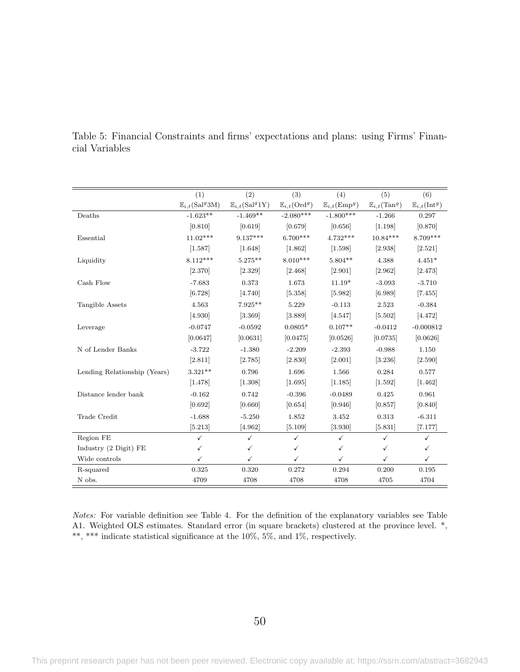|                              | (1)                                | (2)                                        | (3)                              | (4)                                | (5)                              | (6)                              |
|------------------------------|------------------------------------|--------------------------------------------|----------------------------------|------------------------------------|----------------------------------|----------------------------------|
|                              | $\mathbb{E}_{i,t}(\text{Sal}^g3M)$ | $\mathbb{E}_{i,t}(\text{Sal}^g 1\text{Y})$ | $\mathbb{E}_{i,t}(\text{Ord}^g)$ | $\mathbb{E}_{i,t}(\mathrm{Emp}^g)$ | $\mathbb{E}_{i,t}(\text{Tan}^g)$ | $\mathbb{E}_{i,t}(\text{Int}^g)$ |
| Deaths                       | $-1.623**$                         | $-1.469**$                                 | $-2.080***$                      | $-1.800***$                        | $-1.266$                         | 0.297                            |
|                              | [0.810]                            | [0.619]                                    | [0.679]                          | [0.656]                            | [1.198]                          | [0.870]                          |
| Essential                    | $11.02***$                         | $9.137***$                                 | $6.700***$                       | $4.732***$                         | $10.84***$                       | 8.709***                         |
|                              | [1.587]                            | [1.648]                                    | [1.862]                          | [1.598]                            | [2.938]                          | [2.521]                          |
| Liquidity                    | $8.112***$                         | $5.275**$                                  | $8.010***$                       | $5.804**$                          | 4.388                            | $4.451*$                         |
|                              | [2.370]                            | [2.329]                                    | [2.468]                          | [2.901]                            | [2.962]                          | [2.473]                          |
| Cash Flow                    | $-7.683$                           | 0.373                                      | 1.673                            | $11.19*$                           | $-3.093$                         | $-3.710$                         |
|                              | [6.728]                            | [4.740]                                    | [5.358]                          | [5.982]                            | [6.989]                          | [7.455]                          |
| Tangible Assets              | 4.563                              | $7.925**$                                  | 5.229                            | $-0.113$                           | 2.523                            | $-0.384$                         |
|                              | [4.930]                            | [3.369]                                    | [3.889]                          | [4.547]                            | [5.502]                          | [4.472]                          |
| Leverage                     | $-0.0747$                          | $-0.0592$                                  | $0.0805*$                        | $0.107**$                          | $-0.0412$                        | $-0.000812$                      |
|                              | [0.0647]                           | [0.0631]                                   | [0.0475]                         | [0.0526]                           | [0.0735]                         | [0.0626]                         |
| N of Lender Banks            | $-3.722$                           | $-1.380$                                   | $-2.209$                         | $-2.393$                           | $-0.988$                         | 1.150                            |
|                              | [2.811]                            | [2.785]                                    | [2.830]                          | [2.001]                            | [3.236]                          | [2.590]                          |
| Lending Relationship (Years) | $3.321**$                          | 0.796                                      | 1.696                            | 1.566                              | 0.284                            | 0.577                            |
|                              | [1.478]                            | [1.308]                                    | [1.695]                          | [1.185]                            | [1.592]                          | [1.462]                          |
| Distance lender bank         | $-0.162$                           | 0.742                                      | $-0.396$                         | $-0.0489$                          | 0.425                            | 0.961                            |
|                              | [0.692]                            | [0.660]                                    | [0.654]                          | [0.946]                            | [0.857]                          | [0.840]                          |
| Trade Credit                 | $-1.688$                           | $-5.250$                                   | 1.852                            | 3.452                              | 0.313                            | $-6.311$                         |
|                              | [5.213]                            | [4.962]                                    | [5.109]                          | [3.930]                            | [5.831]                          | [7.177]                          |
| Region FE                    | $\checkmark$                       | $\checkmark$                               | $\checkmark$                     | $\checkmark$                       | $\checkmark$                     | $\checkmark$                     |
| Industry (2 Digit) FE        | ✓                                  | $\checkmark$                               | ✓                                | ✓                                  | ✓                                | $\checkmark$                     |
| Wide controls                | ✓                                  | ✓                                          | ✓                                | ✓                                  | ✓                                | $\checkmark$                     |
| R-squared                    | 0.325                              | 0.320                                      | 0.272                            | 0.294                              | 0.200                            | 0.195                            |
| N obs.                       | 4709                               | 4708                                       | 4708                             | 4708                               | 4705                             | 4704                             |

<span id="page-51-0"></span>Table 5: Financial Constraints and firms' expectations and plans: using Firms' Financial Variables

Notes: For variable definition see Table [4.](#page-50-0) For the definition of the explanatory variables see Table [A1.](#page-57-0) Weighted OLS estimates. Standard error (in square brackets) clustered at the province level. \*, \*\*, \*\*\* indicate statistical significance at the 10%, 5%, and 1%, respectively.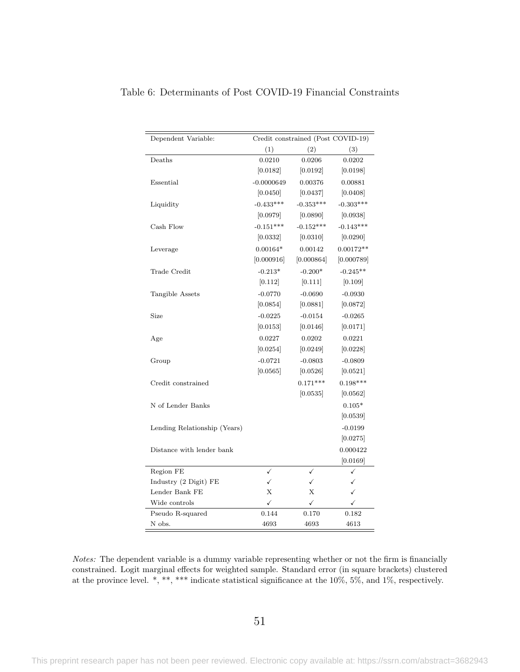| Dependent Variable:          | Credit constrained (Post COVID-19) |              |             |  |  |
|------------------------------|------------------------------------|--------------|-------------|--|--|
|                              | (1)                                | (2)          | (3)         |  |  |
| Deaths                       | 0.0210                             | 0.0206       | 0.0202      |  |  |
|                              | [0.0182]                           | [0.0192]     | [0.0198]    |  |  |
| Essential                    | $-0.0000649$                       | 0.00376      | 0.00881     |  |  |
|                              | [0.0450]                           | [0.0437]     | [0.0408]    |  |  |
| Liquidity                    | $-0.433***$                        | $-0.353***$  | $-0.303***$ |  |  |
|                              | [0.0979]                           | [0.0890]     | [0.0938]    |  |  |
| Cash Flow                    | $-0.151***$                        | $-0.152***$  | $-0.143***$ |  |  |
|                              | [0.0332]                           | [0.0310]     | 0.0290      |  |  |
| Leverage                     | $0.00164*$                         | 0.00142      | $0.00172**$ |  |  |
|                              | [0.000916]                         | [0.000864]   | [0.000789]  |  |  |
| Trade Credit                 | $-0.213*$                          | $-0.200*$    | $-0.245**$  |  |  |
|                              | [0.112]                            | [0.111]      | [0.109]     |  |  |
| Tangible Assets              | $-0.0770$                          | $-0.0690$    | $-0.0930$   |  |  |
|                              | [0.0854]                           | [0.0881]     | [0.0872]    |  |  |
| Size                         | $-0.0225$                          | $-0.0154$    | $-0.0265$   |  |  |
|                              | [0.0153]                           | [0.0146]     | [0.0171]    |  |  |
| Age                          | 0.0227                             | 0.0202       | 0.0221      |  |  |
|                              | [0.0254]                           | [0.0249]     | [0.0228]    |  |  |
| Group                        | $-0.0721$                          | $-0.0803$    | $-0.0809$   |  |  |
|                              | [0.0565]                           | [0.0526]     | [0.0521]    |  |  |
| Credit constrained           |                                    | $0.171***$   | $0.198***$  |  |  |
|                              |                                    | [0.0535]     | [0.0562]    |  |  |
| N of Lender Banks            |                                    |              | $0.105*$    |  |  |
|                              |                                    |              | [0.0539]    |  |  |
| Lending Relationship (Years) |                                    |              | $-0.0199$   |  |  |
|                              |                                    |              | [0.0275]    |  |  |
| Distance with lender bank    |                                    |              | 0.000422    |  |  |
|                              |                                    |              | [0.0169]    |  |  |
| Region FE                    | ✓                                  | ✓            | ✓           |  |  |
| Industry (2 Digit) FE        | $\checkmark$                       | $\checkmark$ | ✓           |  |  |
| Lender Bank FE               | X                                  | X            | ✓           |  |  |
| Wide controls                | ✓                                  | ✓            | ✓           |  |  |
| Pseudo R-squared             | 0.144                              | 0.170        | 0.182       |  |  |
| N obs.                       | 4693                               | 4693         | 4613        |  |  |

<span id="page-52-0"></span>Table 6: Determinants of Post COVID-19 Financial Constraints

Notes: The dependent variable is a dummy variable representing whether or not the firm is financially constrained. Logit marginal effects for weighted sample. Standard error (in square brackets) clustered at the province level. \*, \*\*\*, \*\*\* indicate statistical significance at the 10%, 5%, and 1%, respectively.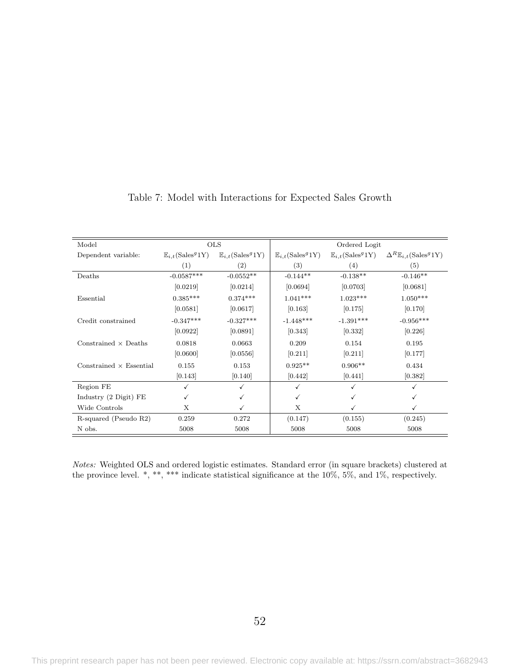<span id="page-53-0"></span>

| Model                           |                                             | <b>OLS</b>                                   |                                              | Ordered Logit                               |                                                     |
|---------------------------------|---------------------------------------------|----------------------------------------------|----------------------------------------------|---------------------------------------------|-----------------------------------------------------|
| Dependent variable:             | $\mathbb{E}_{i,t}(\text{Sales}^g1\text{Y})$ | $\mathbb{E}_{i,t}(\text{Sales}^g 1\text{Y})$ | $\mathbb{E}_{i,t}(\text{Sales}^g 1\text{Y})$ | $\mathbb{E}_{i,t}(\text{Sales}^g1\text{Y})$ | $\Delta^R \mathbb{E}_{i,t}$ (Sales <sup>9</sup> 1Y) |
|                                 | (1)                                         | (2)                                          | (3)                                          | (4)                                         | (5)                                                 |
| Deaths                          | $-0.0587***$                                | $-0.0552**$                                  | $-0.144**$                                   | $-0.138**$                                  | $-0.146**$                                          |
|                                 | [0.0219]                                    | [0.0214]                                     | [0.0694]                                     | [0.0703]                                    | [0.0681]                                            |
| Essential                       | $0.385***$                                  | $0.374***$                                   | $1.041***$                                   | $1.023***$                                  | $1.050***$                                          |
|                                 | [0.0581]                                    | [0.0617]                                     | [0.163]                                      | [0.175]                                     | [0.170]                                             |
| Credit constrained              | $-0.347***$                                 | $-0.327***$                                  | $-1.448***$                                  | $-1.391***$                                 | $-0.956***$                                         |
|                                 | [0.0922]                                    | [0.0891]                                     | [0.343]                                      | [0.332]                                     | [0.226]                                             |
| Constrained $\times$ Deaths     | 0.0818                                      | 0.0663                                       | 0.209                                        | 0.154                                       | 0.195                                               |
|                                 | [0.0600]                                    | [0.0556]                                     | [0.211]                                      | [0.211]                                     | [0.177]                                             |
| Constrained $\times$ Essential  | 0.155                                       | 0.153                                        | $0.925**$                                    | $0.906**$                                   | 0.434                                               |
|                                 | [0.143]                                     | [0.140]                                      | [0.442]                                      | [0.441]                                     | [0.382]                                             |
| Region FE                       | ✓                                           |                                              | ✓                                            |                                             |                                                     |
| Industry $(2 \text{ Digit})$ FE |                                             |                                              | ✓                                            |                                             |                                                     |
| Wide Controls                   | X                                           |                                              | X                                            |                                             |                                                     |
| R-squared (Pseudo R2)           | 0.259                                       | 0.272                                        | (0.147)                                      | (0.155)                                     | (0.245)                                             |
| N obs.                          | 5008                                        | 5008                                         | 5008                                         | 5008                                        | 5008                                                |

#### Table 7: Model with Interactions for Expected Sales Growth

Notes: Weighted OLS and ordered logistic estimates. Standard error (in square brackets) clustered at the province level. \*, \*\*, \*\*\* indicate statistical significance at the 10%, 5%, and 1%, respectively.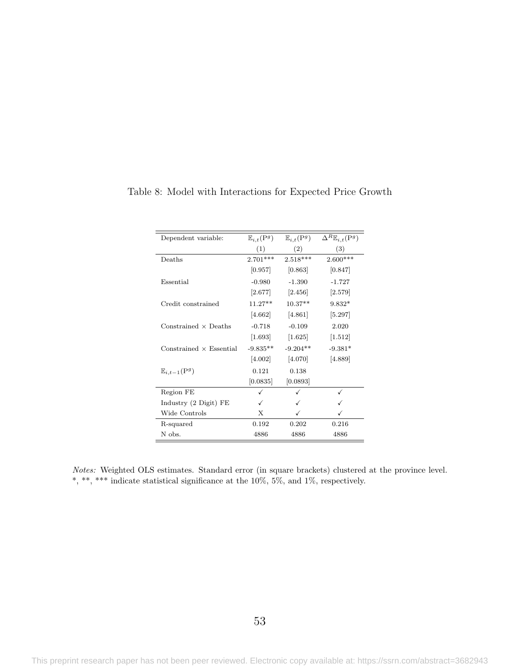| Dependent variable:                | $\mathbb{E}_{i,t}(\mathrm{P}^g)$ | $\mathbb{E}_{i,t}(\mathrm{P}^g)$ | $\Delta^R \mathbb{E}_{i,t}(\mathbf{P}^g)$ |
|------------------------------------|----------------------------------|----------------------------------|-------------------------------------------|
|                                    | (1)                              | (2)                              | (3)                                       |
| Deaths                             | $2.701***$                       | $2.518***$                       | $2.600***$                                |
|                                    | [0.957]                          | [0.863]                          | [0.847]                                   |
| Essential                          | $-0.980$                         | $-1.390$                         | $-1.727$                                  |
|                                    | [2.677]                          | [2.456]                          | $[2.579]$                                 |
| Credit constrained                 | $11.27**$                        | $10.37**$                        | $9.832*$                                  |
|                                    | [4.662]                          | [4.861]                          | [5.297]                                   |
| Constrained $\times$ Deaths        | $-0.718$                         | $-0.109$                         | 2.020                                     |
|                                    | [1.693]                          | $[1.625]$                        | $[1.512]$                                 |
| $Constrained \times Essential$     | $-9.835**$                       | $-9.204**$                       | $-9.381*$                                 |
|                                    | $[4.002]$                        | [4.070]                          | [4.889]                                   |
| $\mathbb{E}_{i,t-1}(\mathrm{P}^g)$ | 0.121                            | 0.138                            |                                           |
|                                    | [0.0835]                         | [0.0893]                         |                                           |
| Region FE                          |                                  |                                  |                                           |
| Industry (2 Digit) FE              | √                                |                                  |                                           |
| Wide Controls                      | X                                | ✓                                |                                           |
| R-squared                          | 0.192                            | 0.202                            | 0.216                                     |
| N obs.                             | 4886                             | 4886                             | 4886                                      |

<span id="page-54-0"></span>Table 8: Model with Interactions for Expected Price Growth

Notes: Weighted OLS estimates. Standard error (in square brackets) clustered at the province level.  $^*,$   $^{***},$   $^{***}$  indicate statistical significance at the 10%, 5%, and 1%, respectively.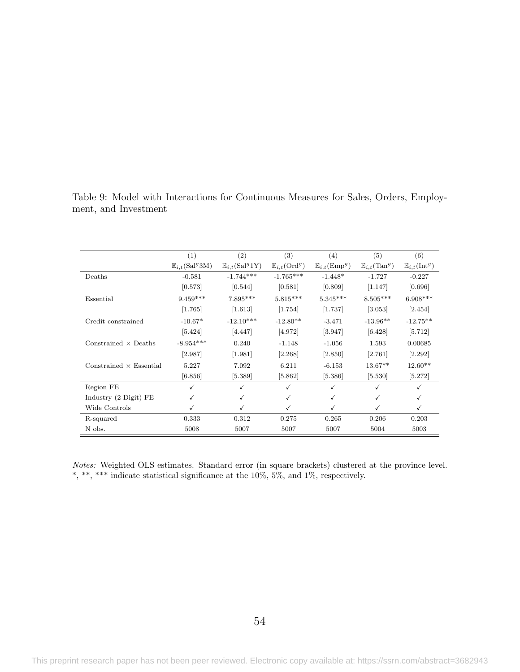|                                 | (1)                                | (2)                                        | (3)                              | (4)                                | (5)                              | (6)                              |
|---------------------------------|------------------------------------|--------------------------------------------|----------------------------------|------------------------------------|----------------------------------|----------------------------------|
|                                 | $\mathbb{E}_{i,t}(\text{Sal}^g3M)$ | $\mathbb{E}_{i,t}(\text{Sal}^g 1\text{Y})$ | $\mathbb{E}_{i,t}(\text{Ord}^g)$ | $\mathbb{E}_{i,t}(\mathrm{Emp}^g)$ | $\mathbb{E}_{i,t}(\text{Tan}^g)$ | $\mathbb{E}_{i,t}(\text{Int}^g)$ |
| Deaths                          | $-0.581$                           | $-1.744***$                                | $-1.765***$                      | $-1.448*$                          | $-1.727$                         | $-0.227$                         |
|                                 | [0.573]                            | [0.544]                                    | [0.581]                          | [0.809]                            | [1.147]                          | [0.696]                          |
| Essential                       | $9.459***$                         | $7.895***$                                 | $5.815***$                       | $5.345***$                         | $8.505***$                       | $6.908***$                       |
|                                 | [1.765]                            | [1.613]                                    | [1.754]                          | [1.737]                            | [3.053]                          | [2.454]                          |
| Credit constrained              | $-10.67*$                          | $-12.10***$                                | $-12.80**$                       | $-3.471$                           | $-13.96**$                       | $-12.75**$                       |
|                                 | [5.424]                            | [4.447]                                    | [4.972]                          | [3.947]                            | [6.428]                          | [5.712]                          |
| Constrained $\times$ Deaths     | $-8.954***$                        | 0.240                                      | $-1.148$                         | $-1.056$                           | 1.593                            | 0.00685                          |
|                                 | [2.987]                            | [1.981]                                    | [2.268]                          | [2.850]                            | [2.761]                          | [2.292]                          |
| Constrained $\times$ Essential  | 5.227                              | 7.092                                      | 6.211                            | $-6.153$                           | $13.67**$                        | $12.60**$                        |
|                                 | [6.856]                            | [5.389]                                    | [5.862]                          | [5.386]                            | [5.530]                          | [5.272]                          |
| Region FE                       | ✓                                  |                                            | $\checkmark$                     | ✓                                  |                                  | ✓                                |
| Industry $(2 \text{ Digit})$ FE | ✓                                  |                                            | ✓                                | ✓                                  | √                                | ✓                                |
| Wide Controls                   |                                    |                                            | ✓                                | ✓                                  |                                  | ✓                                |
| R-squared                       | 0.333                              | 0.312                                      | 0.275                            | 0.265                              | 0.206                            | 0.203                            |
| N obs.                          | 5008                               | 5007                                       | 5007                             | 5007                               | 5004                             | 5003                             |

<span id="page-55-0"></span>Table 9: Model with Interactions for Continuous Measures for Sales, Orders, Employment, and Investment

Notes: Weighted OLS estimates. Standard error (in square brackets) clustered at the province level.  $^*,$   $^{***},$   $^{***}$  indicate statistical significance at the 10%, 5%, and 1%, respectively.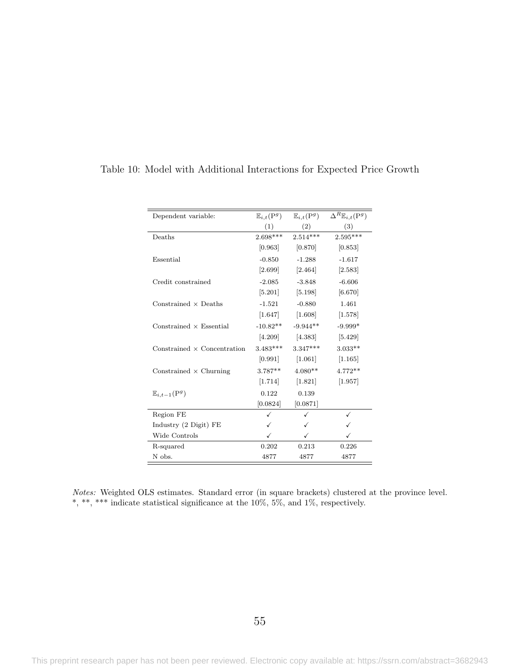| Dependent variable:                | $\mathbb{E}_{i,t}(\mathrm{P}^g)$ | $\mathbb{E}_{i,t}(\mathrm{P}^g)$ | $\Delta^R \mathbb{E}_{i,t}(\mathbf{P}^g)$ |
|------------------------------------|----------------------------------|----------------------------------|-------------------------------------------|
|                                    | (1)                              | (2)                              | (3)                                       |
| Deaths                             | $2.698***$                       | $2.514***$                       | $2.595***$                                |
|                                    | [0.963]                          | [0.870]                          | [0.853]                                   |
| Essential                          | $-0.850$                         | $-1.288$                         | $-1.617$                                  |
|                                    | $[2.699]$                        | $[2.464]$                        | [2.583]                                   |
| Credit constrained                 | $-2.085$                         | $-3.848$                         | $-6.606$                                  |
|                                    | $\left[5.201\right]$             | $[5.198]$                        | [6.670]                                   |
| Constrained $\times$ Deaths        | $-1.521$                         | $-0.880$                         | 1.461                                     |
|                                    | $[1.647]$                        | [1.608]                          | [1.578]                                   |
| Constrained $\times$ Essential     | $-10.82**$                       | $-9.944**$                       | $-9.999*$                                 |
|                                    |                                  | $[4.209]$ $[4.383]$              | [5.429]                                   |
| Constrained $\times$ Concentration | $3.483***$                       | $3.347***$                       | $3.033**$                                 |
|                                    | [0.991]                          | $[1.061]$                        | [1.165]                                   |
| Constrained $\times$ Churning      | $3.787**$                        | $4.080**$                        | $4.772**$                                 |
|                                    | $[1.714]$                        | [1.821]                          | [1.957]                                   |
| $\mathbb{E}_{i,t-1}(\mathrm{P}^g)$ | 0.122                            | 0.139                            |                                           |
|                                    | [0.0824]                         | [0.0871]                         |                                           |
| Region FE                          | ✓                                |                                  | ✓                                         |
| Industry (2 Digit) FE              | ✓                                |                                  |                                           |
| Wide Controls                      | ✓                                | ✓                                | ✓                                         |
| R-squared                          | 0.202                            | 0.213                            | 0.226                                     |
| N obs.                             | 4877                             | 4877                             | 4877                                      |

### <span id="page-56-0"></span>Table 10: Model with Additional Interactions for Expected Price Growth

Notes: Weighted OLS estimates. Standard error (in square brackets) clustered at the province level. \*, \*\*\* indicate statistical significance at the 10%, 5%, and 1%, respectively.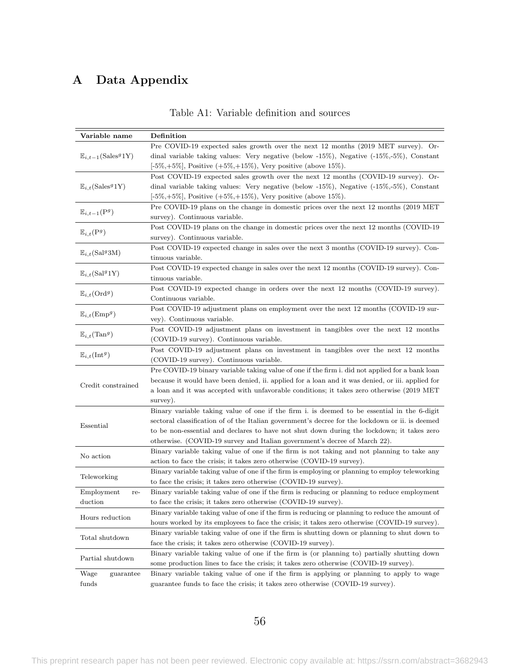## <span id="page-57-0"></span>A Data Appendix

| Variable name                                 | Definition                                                                                        |
|-----------------------------------------------|---------------------------------------------------------------------------------------------------|
|                                               | Pre COVID-19 expected sales growth over the next 12 months (2019 MET survey). Or-                 |
| $\mathbb{E}_{i,t-1}(\text{Sales}^g1\text{Y})$ | dinal variable taking values: Very negative (below $-15\%$ ), Negative $(-15\%, -5\%)$ , Constant |
|                                               | $[-5\%, +5\%]$ , Positive $(+5\%, +15\%)$ , Very positive (above 15%).                            |
|                                               | Post COVID-19 expected sales growth over the next 12 months (COVID-19 survey). Or-                |
| $\mathbb{E}_{i,t}(\text{Sales}^g1\text{Y})$   | dinal variable taking values: Very negative (below -15%), Negative $(-15\%, -5\%)$ , Constant     |
|                                               | $[-5\%, +5\%]$ , Positive $(+5\%, +15\%)$ , Very positive (above 15%).                            |
| $\mathbb{E}_{i,t-1}(\mathrm{P}^g)$            | Pre COVID-19 plans on the change in domestic prices over the next 12 months (2019 MET)            |
|                                               | survey). Continuous variable.                                                                     |
| $\mathbb{E}_{i,t}(\mathrm{P}^g)$              | Post COVID-19 plans on the change in domestic prices over the next 12 months (COVID-19            |
|                                               | survey). Continuous variable.                                                                     |
| $\mathbb{E}_{i,t}(\text{Sal}^g3M)$            | Post COVID-19 expected change in sales over the next 3 months (COVID-19 survey). Con-             |
|                                               | tinuous variable.                                                                                 |
| $\mathbb{E}_{i,t}(\text{Sal}^g 1\text{Y})$    | Post COVID-19 expected change in sales over the next 12 months (COVID-19 survey). Con-            |
|                                               | tinuous variable.                                                                                 |
| $\mathbb{E}_{i,t}(\text{Ord}^g)$              | Post COVID-19 expected change in orders over the next 12 months (COVID-19 survey).                |
|                                               | Continuous variable.                                                                              |
| $\mathbb{E}_{i,t}(\mathrm{Emp}^g)$            | Post COVID-19 adjustment plans on employment over the next 12 months (COVID-19 sur-               |
|                                               | vey). Continuous variable.                                                                        |
| $\mathbb{E}_{i,t}(\text{Tan}^g)$              | Post COVID-19 adjustment plans on investment in tangibles over the next 12 months                 |
|                                               | (COVID-19 survey). Continuous variable.                                                           |
| $\mathbb{E}_{i,t}(\text{Int}^g)$              | Post COVID-19 adjustment plans on investment in tangibles over the next 12 months                 |
|                                               | (COVID-19 survey). Continuous variable.                                                           |
|                                               | Pre COVID-19 binary variable taking value of one if the firm i. did not applied for a bank loan   |
| Credit constrained                            | because it would have been denied, ii. applied for a loan and it was denied, or iii. applied for  |
|                                               | a loan and it was accepted with unfavorable conditions; it takes zero otherwise (2019 MET)        |
|                                               | survey).                                                                                          |
|                                               | Binary variable taking value of one if the firm i. is deemed to be essential in the 6-digit       |
| Essential                                     | sectoral classification of of the Italian government's decree for the lockdown or ii. is deemed   |
|                                               | to be non-essential and declares to have not shut down during the lockdown; it takes zero         |
|                                               | otherwise. (COVID-19 survey and Italian government's decree of March 22).                         |
| No action                                     | Binary variable taking value of one if the firm is not taking and not planning to take any        |
|                                               | action to face the crisis; it takes zero otherwise (COVID-19 survey).                             |
| Teleworking                                   | Binary variable taking value of one if the firm is employing or planning to employ teleworking    |
|                                               | to face the crisis; it takes zero otherwise (COVID-19 survey).                                    |
| Employment<br>re-                             | Binary variable taking value of one if the firm is reducing or planning to reduce employment      |
| duction                                       | to face the crisis; it takes zero otherwise (COVID-19 survey).                                    |
| Hours reduction                               | Binary variable taking value of one if the firm is reducing or planning to reduce the amount of   |
|                                               | hours worked by its employees to face the crisis; it takes zero otherwise (COVID-19 survey).      |
| Total shutdown                                | Binary variable taking value of one if the firm is shutting down or planning to shut down to      |
|                                               | face the crisis; it takes zero otherwise (COVID-19 survey).                                       |
| Partial shutdown                              | Binary variable taking value of one if the firm is (or planning to) partially shutting down       |
|                                               | some production lines to face the crisis; it takes zero otherwise (COVID-19 survey).              |
| Wage<br>guarantee                             | Binary variable taking value of one if the firm is applying or planning to apply to wage          |
| funds                                         | guarantee funds to face the crisis; it takes zero otherwise (COVID-19 survey).                    |

Table A1: Variable definition and sources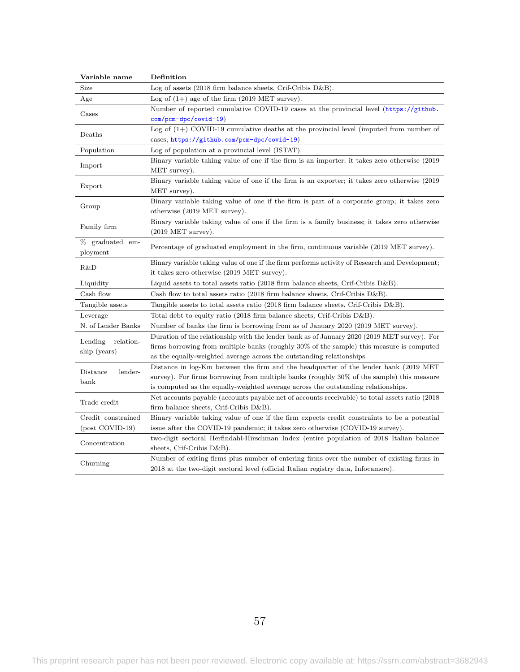| Variable name        | Definition                                                                                        |  |  |  |  |  |  |  |
|----------------------|---------------------------------------------------------------------------------------------------|--|--|--|--|--|--|--|
| Size                 | Log of assets $(2018 \text{ firm balance sheets}, \text{Crit-Cribis D&B}).$                       |  |  |  |  |  |  |  |
| Age                  | Log of $(1+)$ age of the firm $(2019 \text{ MET survey}).$                                        |  |  |  |  |  |  |  |
| Cases                | Number of reported cumulative COVID-19 cases at the provincial level $(\text{https://github.})$   |  |  |  |  |  |  |  |
|                      | $com/pcm-dpc/covid-19)$                                                                           |  |  |  |  |  |  |  |
|                      | Log of $(1+)$ COVID-19 cumulative deaths at the provincial level (imputed from number of          |  |  |  |  |  |  |  |
| Deaths               | cases, https://github.com/pcm-dpc/covid-19)                                                       |  |  |  |  |  |  |  |
| Population           | Log of population at a provincial level (ISTAT).                                                  |  |  |  |  |  |  |  |
| Import               | Binary variable taking value of one if the firm is an importer; it takes zero otherwise (2019)    |  |  |  |  |  |  |  |
|                      | MET survey).                                                                                      |  |  |  |  |  |  |  |
| Export               | Binary variable taking value of one if the firm is an exporter; it takes zero otherwise (2019)    |  |  |  |  |  |  |  |
|                      | MET survey).                                                                                      |  |  |  |  |  |  |  |
| Group                | Binary variable taking value of one if the firm is part of a corporate group; it takes zero       |  |  |  |  |  |  |  |
|                      | otherwise (2019 MET survey).                                                                      |  |  |  |  |  |  |  |
| Family firm          | Binary variable taking value of one if the firm is a family business; it takes zero otherwise     |  |  |  |  |  |  |  |
|                      | $(2019 \text{ MET survey}).$                                                                      |  |  |  |  |  |  |  |
| % graduated em-      | Percentage of graduated employment in the firm, continuous variable (2019 MET survey).            |  |  |  |  |  |  |  |
| ployment             |                                                                                                   |  |  |  |  |  |  |  |
| R&D                  | Binary variable taking value of one if the firm performs activity of Research and Development;    |  |  |  |  |  |  |  |
|                      | it takes zero otherwise (2019 MET survey).                                                        |  |  |  |  |  |  |  |
| Liquidity            | Liquid assets to total assets ratio $(2018 \text{ firm balance sheets}, \text{Crif-Cribis D&B}).$ |  |  |  |  |  |  |  |
| Cash flow            | Cash flow to total assets ratio (2018 firm balance sheets, Crif-Cribis $D\&B$ ).                  |  |  |  |  |  |  |  |
| Tangible assets      | Tangible assets to total assets ratio (2018 firm balance sheets, Crif-Cribis $D\&B$ ).            |  |  |  |  |  |  |  |
| Leverage             | Total debt to equity ratio (2018 firm balance sheets, Crif-Cribis $D\&B$ ).                       |  |  |  |  |  |  |  |
| N. of Lender Banks   | Number of banks the firm is borrowing from as of January 2020 (2019 MET survey).                  |  |  |  |  |  |  |  |
| Lending<br>relation- | Duration of the relationship with the lender bank as of January 2020 (2019 MET survey). For       |  |  |  |  |  |  |  |
|                      | firms borrowing from multiple banks (roughly 30% of the sample) this measure is computed          |  |  |  |  |  |  |  |
| ship (years)         | as the equally-weighted average across the outstanding relationships.                             |  |  |  |  |  |  |  |
| Distance<br>lender-  | Distance in log-Km between the firm and the headquarter of the lender bank (2019 MET)             |  |  |  |  |  |  |  |
| $_{\rm{bank}}$       | survey). For firms borrowing from multiple banks (roughly 30% of the sample) this measure         |  |  |  |  |  |  |  |
|                      | is computed as the equally-weighted average across the outstanding relationships.                 |  |  |  |  |  |  |  |
| Trade credit         | Net accounts payable (accounts payable net of accounts receivable) to total assets ratio (2018)   |  |  |  |  |  |  |  |
|                      | firm balance sheets, Crif-Cribis D&B).                                                            |  |  |  |  |  |  |  |
| Credit constrained   | Binary variable taking value of one if the firm expects credit constraints to be a potential      |  |  |  |  |  |  |  |
| (post COVID-19)      | issue after the COVID-19 pandemic; it takes zero otherwise (COVID-19 survey).                     |  |  |  |  |  |  |  |
| Concentration        | two-digit sectoral Herfindahl-Hirschman Index (entire population of 2018 Italian balance          |  |  |  |  |  |  |  |
|                      | sheets, Crif-Cribis $D&B$ ).                                                                      |  |  |  |  |  |  |  |
|                      | Number of exiting firms plus number of entering firms over the number of existing firms in        |  |  |  |  |  |  |  |
| Churning             | 2018 at the two-digit sectoral level (official Italian registry data, Infocamere).                |  |  |  |  |  |  |  |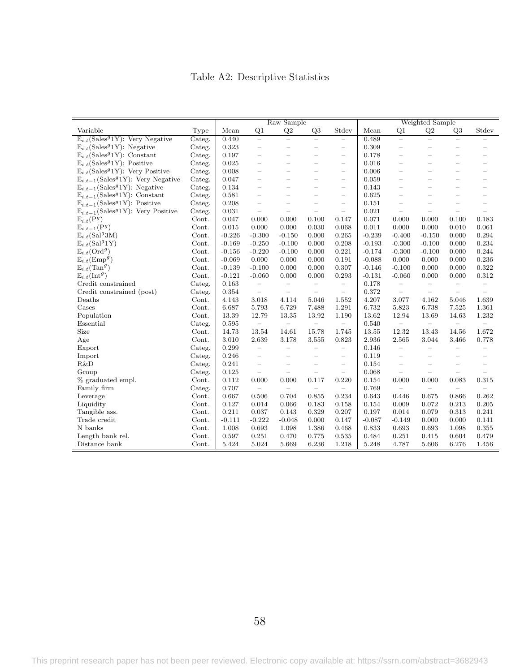## Table A2: Descriptive Statistics

<span id="page-59-0"></span>

|                                                                |        | Raw Sample |                          |                          |                          |                          | Weighted Sample |                          |                          |                          |                          |
|----------------------------------------------------------------|--------|------------|--------------------------|--------------------------|--------------------------|--------------------------|-----------------|--------------------------|--------------------------|--------------------------|--------------------------|
| Variable                                                       | Type   | Mean       | Q <sub>1</sub>           | Q2                       | Q3                       | Stdev                    | Mean            | Q1                       | Q2                       | Q <sub>3</sub>           | Stdev                    |
| $\mathbb{E}_{i}$ (Sales <sup>9</sup> 1Y): Very Negative        | Categ. | 0.440      | $\equiv$                 | $=$                      | $\overline{\phantom{0}}$ | $\equiv$                 | 0.489           | $\overline{\phantom{0}}$ | $=$                      | $\overline{\phantom{0}}$ |                          |
| $\mathbb{E}_{i,t}(\text{Sales}^g 1\text{Y})$ : Negative        | Categ. | 0.323      | $\overline{\phantom{0}}$ | $\overline{\phantom{0}}$ | $\overline{\phantom{0}}$ | $\overline{\phantom{m}}$ | 0.309           | $\overline{\phantom{0}}$ | $\overline{\phantom{0}}$ | $\overline{\phantom{0}}$ |                          |
| $\mathbb{E}_{i,t}(\text{Sales}^g 1\text{Y})$ : Constant        | Categ. | 0.197      | L.                       |                          |                          | $\overline{\phantom{a}}$ | 0.178           |                          |                          |                          |                          |
| $\mathbb{E}_{i,t}(\text{Sales}^g 1\text{Y})$ : Positive        | Categ. | 0.025      | $\overline{\phantom{0}}$ | $\overline{\phantom{0}}$ |                          | $\overline{\phantom{m}}$ | 0.016           | L.                       |                          | $\overline{\phantom{0}}$ | $\overline{\phantom{0}}$ |
| $\mathbb{E}_{i,t}(\text{Sales}^g 1\text{Y})$ : Very Positive   | Categ. | 0.008      | $\overline{\phantom{0}}$ |                          |                          | $\overline{\phantom{m}}$ | 0.006           | $\equiv$                 |                          | $\overline{\phantom{0}}$ |                          |
| $\mathbb{E}_{i,t-1}(\text{Sales}^g 1\text{Y})$ : Very Negative | Categ. | 0.047      | $\overline{\phantom{0}}$ |                          |                          | $\overline{\phantom{m}}$ | 0.059           | L.                       |                          | $\overline{\phantom{0}}$ |                          |
| $\mathbb{E}_{i,t-1}$ (Sales <sup>9</sup> 1Y): Negative         | Categ. | 0.134      | $\overline{\phantom{a}}$ | $\overline{\phantom{a}}$ | $\overline{\phantom{0}}$ | $\overline{\phantom{a}}$ | 0.143           | $\overline{\phantom{0}}$ |                          | $\overline{\phantom{0}}$ | $\overline{\phantom{0}}$ |
| $\mathbb{E}_{i,t-1}$ (Sales <sup>9</sup> 1Y): Constant         | Categ. | 0.581      | $\overline{\phantom{a}}$ | $\overline{\phantom{0}}$ |                          | $\overline{\phantom{a}}$ | 0.625           | L.                       |                          | L.                       | $\overline{\phantom{0}}$ |
| $\mathbb{E}_{i,t-1}(\text{Sales}^g 1\text{Y})$ : Positive      | Categ. | 0.208      | $\overline{\phantom{0}}$ | $\overline{\phantom{a}}$ | L.                       | $\overline{\phantom{m}}$ | 0.151           | $\overline{\phantom{0}}$ | $\overline{\phantom{a}}$ | $\sim$                   | $\overline{\phantom{0}}$ |
| $\mathbb{E}_{i,t-1}(\text{Sales}^g 1\text{Y})$ : Very Positive | Categ. | 0.031      | $\equiv$                 | $\overline{\phantom{a}}$ | $\overline{\phantom{0}}$ | $\overline{\phantom{m}}$ | 0.021           | $\overline{\phantom{0}}$ | $\overline{\phantom{0}}$ | $\overline{\phantom{a}}$ | $\overline{\phantom{m}}$ |
| $\mathbb{E}_{i,t}(\mathrm{P}^g)$                               | Cont.  | 0.047      | 0.000                    | 0.000                    | 0.100                    | 0.147                    | 0.071           | 0.000                    | 0.000                    | 0.100                    | 0.183                    |
| $\mathbb{E}_{i,t-1}(\mathrm{P}^g)$                             | Cont.  | 0.015      | 0.000                    | 0.000                    | 0.030                    | 0.068                    | 0.011           | 0.000                    | 0.000                    | 0.010                    | 0.061                    |
| $\mathbb{E}_{i,t}(\text{Sal}^g3\text{M})$                      | Cont.  | $-0.226$   | $-0.300$                 | $-0.150$                 | 0.000                    | 0.265                    | $-0.239$        | $-0.400$                 | $-0.150$                 | 0.000                    | 0.294                    |
| $\mathbb{E}_{i,t}(\text{Sal}^g 1\text{Y})$                     | Cont.  | $-0.169$   | $-0.250$                 | $-0.100$                 | 0.000                    | 0.208                    | $-0.193$        | $-0.300$                 | $-0.100$                 | 0.000                    | 0.234                    |
| $\mathbb{E}_{i,t}(\text{Ord}^g)$                               | Cont.  | $-0.156$   | $-0.220$                 | $-0.100$                 | 0.000                    | 0.221                    | $-0.174$        | $-0.300$                 | $-0.100$                 | 0.000                    | 0.244                    |
| $\mathbb{E}_{i,t}(\mathrm{Emp}^g)$                             | Cont.  | $-0.069$   | 0.000                    | 0.000                    | 0.000                    | 0.191                    | $-0.088$        | 0.000                    | 0.000                    | 0.000                    | 0.236                    |
| $\mathbb{E}_{i,t}(\text{Tan}^g)$                               | Cont.  | $-0.139$   | $-0.100$                 | 0.000                    | 0.000                    | 0.307                    | $-0.146$        | $-0.100$                 | 0.000                    | 0.000                    | 0.322                    |
| $\mathbb{E}_{i,t}(\text{Int}^g)$                               | Cont.  | $-0.121$   | $-0.060$                 | 0.000                    | 0.000                    | 0.293                    | $-0.131$        | $-0.060$                 | 0.000                    | 0.000                    | 0.312                    |
| Credit constrained                                             | Categ. | 0.163      | $\equiv$                 | $\overline{\phantom{m}}$ | $\qquad \qquad -$        | $\overline{\phantom{m}}$ | 0.178           | $\overline{\phantom{m}}$ | $\overline{\phantom{0}}$ | $\overline{\phantom{m}}$ | $\qquad \qquad -$        |
| Credit constrained (post)                                      | Categ. | 0.354      | $\equiv$                 | $\equiv$                 | $\equiv$                 | $\equiv$                 | 0.372           | $\equiv$                 | $\equiv$                 | $\overline{\phantom{a}}$ | $\overline{\phantom{m}}$ |
| Deaths                                                         | Cont.  | 4.143      | 3.018                    | 4.114                    | 5.046                    | 1.552                    | 4.207           | 3.077                    | 4.162                    | 5.046                    | 1.639                    |
| Cases                                                          | Cont.  | 6.687      | 5.793                    | 6.729                    | 7.488                    | 1.291                    | 6.732           | 5.823                    | 6.738                    | 7.525                    | 1.361                    |
| Population                                                     | Cont.  | 13.39      | 12.79                    | 13.35                    | 13.92                    | 1.190                    | 13.62           | 12.94                    | 13.69                    | 14.63                    | 1.232                    |
| Essential                                                      | Categ. | 0.595      | $\frac{1}{2}$            | $\equiv$                 | $\equiv$                 | $\equiv$                 | 0.540           | $\equiv$                 | $\equiv$                 | $\frac{1}{2}$            | $\equiv$                 |
| Size                                                           | Cont.  | 14.73      | 13.54                    | 14.61                    | 15.78                    | 1.745                    | 13.55           | 12.32                    | 13.43                    | 14.56                    | 1.672                    |
| Age                                                            | Cont.  | 3.010      | 2.639                    | 3.178                    | 3.555                    | 0.823                    | 2.936           | 2.565                    | 3.044                    | 3.466                    | 0.778                    |
| Export                                                         | Categ. | 0.299      | $\overline{\phantom{0}}$ | $\overline{\phantom{0}}$ | $\overline{\phantom{0}}$ | $\overline{\phantom{0}}$ | 0.146           | $\overline{\phantom{0}}$ | $\overline{\phantom{0}}$ | $\overline{\phantom{0}}$ | $\overline{\phantom{0}}$ |
| Import                                                         | Categ. | 0.246      | $\overline{\phantom{0}}$ | ÷                        | $\overline{\phantom{0}}$ | $\overline{\phantom{m}}$ | 0.119           | $\overline{\phantom{0}}$ | $\overline{\phantom{0}}$ | $\overline{\phantom{0}}$ | $\overline{\phantom{0}}$ |
| R&D                                                            | Categ. | 0.241      | $\overline{\phantom{0}}$ |                          |                          | $\overline{\phantom{0}}$ | 0.154           | $\overline{\phantom{0}}$ |                          |                          |                          |
| Group                                                          | Categ. | 0.125      | $\overline{\phantom{0}}$ | $\overline{a}$           | $\overline{\phantom{0}}$ | $\qquad \qquad -$        | 0.068           | $\overline{\phantom{0}}$ |                          |                          |                          |
| % graduated empl.                                              | Cont.  | 0.112      | 0.000                    | 0.000                    | 0.117                    | 0.220                    | 0.154           | 0.000                    | 0.000                    | 0.083                    | 0.315                    |
| Family firm                                                    | Categ. | 0.707      | $\equiv$                 | $\equiv$                 | $\equiv$                 | $\equiv$                 | 0.769           | $\overline{\phantom{m}}$ | -                        | $\equiv$                 | $\overline{\phantom{0}}$ |
| Leverage                                                       | Cont.  | 0.667      | 0.506                    | 0.704                    | 0.855                    | 0.234                    | 0.643           | 0.446                    | 0.675                    | 0.866                    | 0.262                    |
| Liquidity                                                      | Cont.  | 0.127      | 0.014                    | 0.066                    | 0.183                    | 0.158                    | 0.154           | 0.009                    | 0.072                    | 0.213                    | 0.205                    |
| Tangible ass.                                                  | Cont.  | 0.211      | 0.037                    | 0.143                    | 0.329                    | 0.207                    | 0.197           | 0.014                    | 0.079                    | 0.313                    | 0.241                    |
| Trade credit                                                   | Cont.  | $-0.111$   | $-0.222$                 | $-0.048$                 | 0.000                    | 0.147                    | $-0.087$        | $-0.149$                 | 0.000                    | 0.000                    | 0.141                    |
| N banks                                                        | Cont.  | 1.008      | 0.693                    | 1.098                    | 1.386                    | 0.468                    | 0.833           | 0.693                    | 0.693                    | 1.098                    | 0.355                    |
| Length bank rel.                                               | Cont.  | 0.597      | 0.251                    | 0.470                    | 0.775                    | 0.535                    | 0.484           | 0.251                    | 0.415                    | 0.604                    | 0.479                    |
| Distance bank                                                  | Cont.  | 5.424      | 5.024                    | 5.669                    | 6.236                    | 1.218                    | 5.248           | 4.787                    | 5.606                    | 6.276                    | 1.456                    |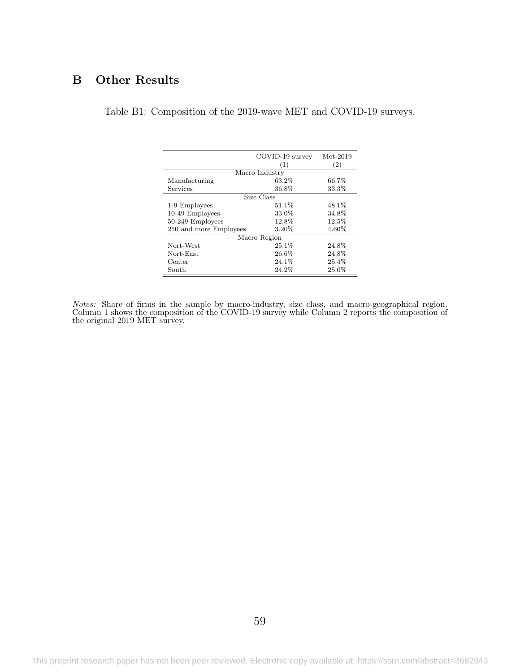## <span id="page-60-0"></span>B Other Results

Table B1: Composition of the 2019-wave MET and COVID-19 surveys.

|                        | COVID-19 survey | $Met-2019$ |  |  |  |  |  |  |  |
|------------------------|-----------------|------------|--|--|--|--|--|--|--|
|                        |                 |            |  |  |  |  |  |  |  |
|                        | (1)             | (2)        |  |  |  |  |  |  |  |
| Macro Industry         |                 |            |  |  |  |  |  |  |  |
| Manufacturing          | 63.2%           | 66.7%      |  |  |  |  |  |  |  |
| Services               | 36.8%           | 33.3%      |  |  |  |  |  |  |  |
|                        | Size Class      |            |  |  |  |  |  |  |  |
| 1-9 Employees          | $51.1\%$        | 48.1\%     |  |  |  |  |  |  |  |
| 10-49 Employees        | 33.0%           | 34.8%      |  |  |  |  |  |  |  |
| 50-249 Employees       | 12.8%           | 12.5%      |  |  |  |  |  |  |  |
| 250 and more Employees | 3.20%           | 4.60%      |  |  |  |  |  |  |  |
| Macro Region           |                 |            |  |  |  |  |  |  |  |
| Nort-West              | $25.1\%$        | 24.8%      |  |  |  |  |  |  |  |
| Nort-East              | $26.6\%$        | 24.8%      |  |  |  |  |  |  |  |
| Center                 | 24.1%           | 25.4%      |  |  |  |  |  |  |  |
| South                  | 24.2%           | 25.0%      |  |  |  |  |  |  |  |

Notes: Share of firms in the sample by macro-industry, size class, and macro-geographical region. Column 1 shows the composition of the COVID-19 survey while Column 2 reports the composition of the original 2019 MET survey.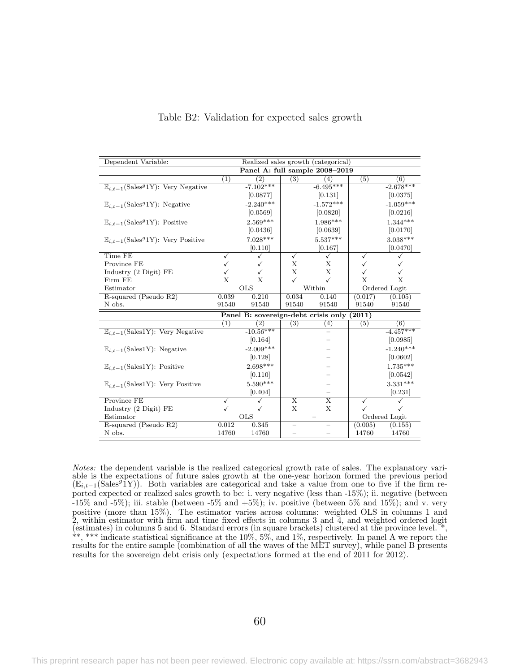<span id="page-61-0"></span>

| Dependent Variable:                                            | Realized sales growth (categorical)           |                   |                         |                         |               |               |  |  |  |
|----------------------------------------------------------------|-----------------------------------------------|-------------------|-------------------------|-------------------------|---------------|---------------|--|--|--|
|                                                                | Panel A: full sample 2008-2019                |                   |                         |                         |               |               |  |  |  |
|                                                                | (1)                                           | (2)               | (3)                     | (4)                     | (5)           | (6)           |  |  |  |
| $\mathbb{E}_{i,t-1}(\text{Sales}^g 1\text{Y})$ : Very Negative |                                               | $-7.102***$       |                         | $-6.495***$             |               | $-2.678***$   |  |  |  |
|                                                                |                                               | [0.0877]          |                         | [0.131]                 |               | [0.0375]      |  |  |  |
| $\mathbb{E}_{i,t-1}(\text{Sales}^g 1\text{Y})$ : Negative      |                                               | $-2.240***$       |                         | $-1.572***$             |               | $-1.059***$   |  |  |  |
|                                                                |                                               | [0.0569]          |                         | [0.0820]                |               | [0.0216]      |  |  |  |
| $\mathbb{E}_{i,t-1}(\text{Sales}^g 1\text{Y})$ : Positive      |                                               | $2.569***$        |                         | $1.986***$              |               | $1.344***$    |  |  |  |
|                                                                |                                               | [0.0436]          |                         | [0.0639]                |               | [0.0170]      |  |  |  |
| $\mathbb{E}_{i,t-1}(\text{Sales}^g 1\text{Y})$ : Very Positive |                                               | $7.028***$        |                         | $5.537***$              |               | $3.038***$    |  |  |  |
|                                                                |                                               | [0.110]           |                         | [0.167]                 |               | [0.0470]      |  |  |  |
| Time FE                                                        | ✓                                             |                   | $\checkmark$            | ✓                       | ✓             | ✓             |  |  |  |
| Province FE                                                    |                                               |                   | Х                       | Х                       |               |               |  |  |  |
| Industry (2 Digit) FE                                          |                                               |                   | X                       | X                       |               |               |  |  |  |
| Firm FE                                                        | X                                             | X                 | $\checkmark$            | $\checkmark$            | X             | X             |  |  |  |
| Estimator                                                      |                                               | <b>OLS</b>        |                         | Within                  |               | Ordered Logit |  |  |  |
| R-squared (Pseudo R2)                                          | 0.039                                         | 0.210             | 0.034                   | 0.140                   | (0.017)       | (0.105)       |  |  |  |
| N obs.                                                         | 91540                                         | 91540             | 91540                   | 91540                   | 91540         | 91540         |  |  |  |
|                                                                | Panel B: sovereign-debt crisis only<br>(2011) |                   |                         |                         |               |               |  |  |  |
|                                                                | (1)                                           | $\left( 2\right)$ | (3)                     | $^{(4)}$                | (5)           | (6)           |  |  |  |
| $\mathbb{E}_{i,t-1}$ (Sales1Y): Very Negative                  |                                               | $-10.56***$       |                         |                         |               | $-4.457***$   |  |  |  |
|                                                                |                                               | [0.164]           |                         |                         |               | [0.0985]      |  |  |  |
| $\mathbb{E}_{i,t-1}$ (Sales1Y): Negative                       |                                               | $-2.009***$       |                         |                         |               | $-1.240***$   |  |  |  |
|                                                                |                                               | [0.128]           |                         |                         |               | [0.0602]      |  |  |  |
| $\mathbb{E}_{i,t-1}(\text{Sales1Y})$ : Positive                |                                               | $2.698***$        |                         |                         |               | $1.735***$    |  |  |  |
|                                                                |                                               | [0.110]           |                         |                         |               | [0.0542]      |  |  |  |
| $\mathbb{E}_{i,t-1}$ (Sales1Y): Very Positive                  |                                               | $5.590***$        |                         |                         |               | $3.331***$    |  |  |  |
|                                                                |                                               | [0.404]           |                         |                         |               | [0.231]       |  |  |  |
| Province FE                                                    |                                               |                   | $\overline{\mathrm{X}}$ | $\overline{\mathrm{X}}$ |               |               |  |  |  |
| Industry $(2 \text{ Digit})$ FE                                |                                               |                   | X                       | X                       |               |               |  |  |  |
| Estimator                                                      |                                               | <b>OLS</b>        |                         |                         | Ordered Logit |               |  |  |  |
| R-squared (Pseudo R2)                                          | 0.012                                         | 0.345             | —                       |                         | (0.005)       | (0.155)       |  |  |  |
| N obs.                                                         | 14760                                         | 14760             |                         |                         | 14760         | 14760         |  |  |  |

#### Table B2: Validation for expected sales growth

Notes: the dependent variable is the realized categorical growth rate of sales. The explanatory variable is the expectations of future sales growth at the one-year horizon formed the previous period  $(\mathbb{E}_{i,t-1}(\text{Sales}^g \text{I} \text{Y}))$ . Both variables are categorical and take a value from one to five if the firm reported expected or realized sales growth to be: i. very negative (less than -15%); ii. negative (between  $-15\%$  and  $-5\%$ ); iii. stable (between  $-5\%$  and  $+5\%$ ); iv. positive (between  $5\%$  and  $15\%$ ); and v. very positive (more than 15%). The estimator varies across columns: weighted OLS in columns 1 and 2, within estimator with firm and time fixed effects in columns 3 and  $\overline{4}$ , and weighted ordered logit (estimates) in columns 5 and 6. Standard errors (in square brackets) clustered at the province level. \*, \*\*, \*\*\* indicate statistical significance at the 10%, 5%, and 1%, respectively. In panel A we report the results for the entire sample (combination of all the waves of the MET survey), while panel B presents results for the sovereign debt crisis only (expectations formed at the end of 2011 for 2012).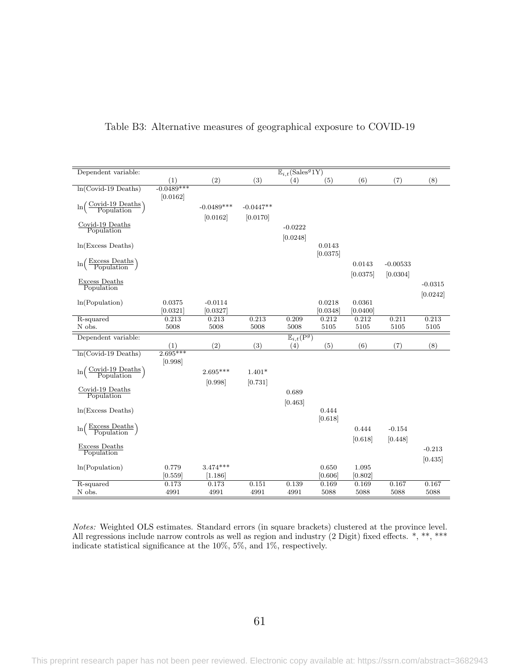| Dependent variable:                                                |                    |                       |               | $\overline{\mathbb{E}_{i,t}(\text{Sales}^g1Y)}$    |                    |                    |               |               |
|--------------------------------------------------------------------|--------------------|-----------------------|---------------|----------------------------------------------------|--------------------|--------------------|---------------|---------------|
|                                                                    | (1)                | (2)                   | (3)           | (4)                                                | (5)                | (6)                | (7)           | (8)           |
| $ln(Covid-19\text{ Deaths})$                                       | $-0.0489***$       |                       |               |                                                    |                    |                    |               |               |
|                                                                    | [0.0162]           |                       |               |                                                    |                    |                    |               |               |
| $\ln\left(\frac{\text{Covid-19 Deaths}}{\text{Population}}\right)$ |                    | $-0.0489***$          | $-0.0447**$   |                                                    |                    |                    |               |               |
|                                                                    |                    | [0.0162]              | [0.0170]      |                                                    |                    |                    |               |               |
| Covid-19 Deaths                                                    |                    |                       |               | $-0.0222$                                          |                    |                    |               |               |
| Population                                                         |                    |                       |               | [0.0248]                                           |                    |                    |               |               |
| $ln(Excess$ Deaths)                                                |                    |                       |               |                                                    | 0.0143             |                    |               |               |
|                                                                    |                    |                       |               |                                                    | [0.0375]           |                    |               |               |
| $\ln\left(\frac{\text{Excess Deaths}}{\text{Population}}\right)$   |                    |                       |               |                                                    |                    | 0.0143             | $-0.00533$    |               |
|                                                                    |                    |                       |               |                                                    |                    | [0.0375]           | [0.0304]      |               |
| Excess Deaths                                                      |                    |                       |               |                                                    |                    |                    |               | $-0.0315$     |
| Population                                                         |                    |                       |               |                                                    |                    |                    |               |               |
|                                                                    |                    |                       |               |                                                    |                    |                    |               | [0.0242]      |
| ln(Population)                                                     | 0.0375<br>[0.0321] | $-0.0114$<br>[0.0327] |               |                                                    | 0.0218<br>[0.0348] | 0.0361<br>[0.0400] |               |               |
| R-squared                                                          | 0.213              | 0.213                 | 0.213         | 0.209                                              | 0.212              | 0.212              | 0.211         | 0.213         |
| N obs.                                                             | 5008               | 5008                  | 5008          | 5008                                               | 5105               | 5105               | 5105          | 5105          |
|                                                                    |                    |                       |               |                                                    |                    |                    |               |               |
|                                                                    |                    |                       |               |                                                    |                    |                    |               |               |
| Dependent variable:                                                |                    |                       |               | $\overline{\mathbb{E}_{i,t}(\mathbf{P}^g)}$<br>(4) |                    |                    |               |               |
| $ln(Covid-19\text{ Deaths})$                                       | (1)<br>$2.695***$  | (2)                   | (3)           |                                                    | (5)                | (6)                | (7)           | (8)           |
|                                                                    | [0.998]            |                       |               |                                                    |                    |                    |               |               |
| $\ln$                                                              |                    | $2.695***$            | $1.401*$      |                                                    |                    |                    |               |               |
| $\left(\frac{\text{Covid-19 Deaths}}{\text{Population}}\right)$    |                    |                       |               |                                                    |                    |                    |               |               |
| Covid-19 Deaths                                                    |                    | [0.998]               | [0.731]       |                                                    |                    |                    |               |               |
| Population                                                         |                    |                       |               | 0.689                                              |                    |                    |               |               |
|                                                                    |                    |                       |               | [0.463]                                            |                    |                    |               |               |
| $ln(Excess$ Deaths)                                                |                    |                       |               |                                                    | 0.444              |                    |               |               |
|                                                                    |                    |                       |               |                                                    | [0.618]            |                    |               |               |
| $\ln\left(\frac{\text{Excess Deaths}}{\text{Population}}\right)$   |                    |                       |               |                                                    |                    | 0.444              | $-0.154$      |               |
|                                                                    |                    |                       |               |                                                    |                    | [0.618]            | [0.448]       |               |
| Excess Deaths<br>Population                                        |                    |                       |               |                                                    |                    |                    |               | $-0.213$      |
|                                                                    |                    |                       |               |                                                    |                    |                    |               | [0.435]       |
| ln(Population)                                                     | 0.779              | $3.474***$            |               |                                                    | 0.650              | 1.095              |               |               |
|                                                                    | [0.559]            | [1.186]               |               |                                                    | [0.606]            | [0.802]            |               |               |
| R-squared<br>N obs.                                                | 0.173<br>4991      | 0.173<br>4991         | 0.151<br>4991 | 0.139<br>4991                                      | 0.169<br>5088      | 0.169<br>5088      | 0.167<br>5088 | 0.167<br>5088 |

<span id="page-62-0"></span>Table B3: Alternative measures of geographical exposure to COVID-19

Notes: Weighted OLS estimates. Standard errors (in square brackets) clustered at the province level. All regressions include narrow controls as well as region and industry (2 Digit) fixed effects.  $*, ***$ indicate statistical significance at the 10%, 5%, and 1%, respectively.

61